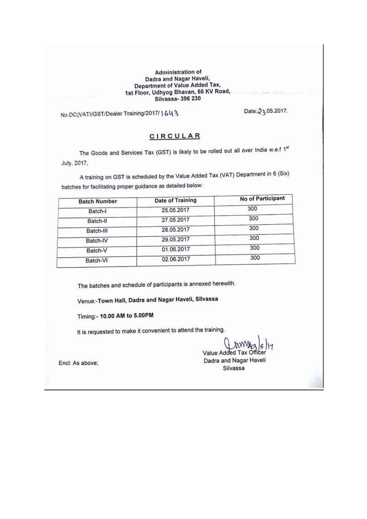#### **Administration of** Dadra and Nagar Haveli, Department of Value Added Tax, 1st Floor, Udhyog Bhavan, 66 KV Road, Silvassa- 396 230

No.DC(VAT)/GST/Dealer Training/2017/1643

Date: 23.05.2017.

#### **CIRCULAR**

The Goods and Services Tax (GST) is likely to be rolled out all over India w.e.f 1st July, 2017,

A training on GST is scheduled by the Value Added Tax (VAT) Department in 6 (Six) batches for facilitating proper guidance as detailed below:

| <b>Date of Training</b> | No of Participant |
|-------------------------|-------------------|
| 25.05.2017              | 300               |
| 27.05.2017              | 300               |
| 28.05.2017              | 300               |
| 29.05.2017              | 300               |
| 01.06.2017              | 300               |
| 02.06.2017              | 300               |
|                         |                   |

The batches and schedule of participants is annexed herewith.

Venue:-Town Hall, Dadra and Nagar Haveli, Sllvassa

Timing:- 10.00 AM to 5.00PM

It is requested to make it convenient to attend the training.

Value Added Tax O Dadra and Nagar Haveli

Silvassa

Encl: As above;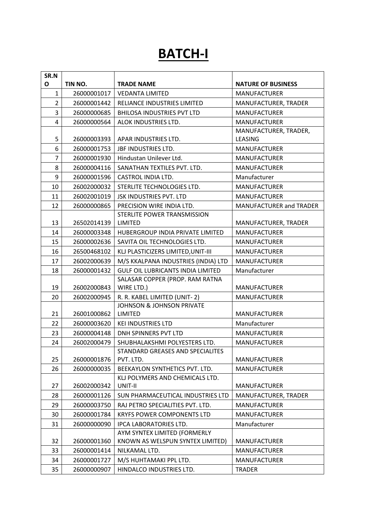# **BATCH-I**

| SR.N           |             |                                                                   |                                |
|----------------|-------------|-------------------------------------------------------------------|--------------------------------|
| O              | TIN NO.     | <b>TRADE NAME</b>                                                 | <b>NATURE OF BUSINESS</b>      |
| $\mathbf{1}$   | 26000001017 | <b>VEDANTA LIMITED</b>                                            | <b>MANUFACTURER</b>            |
| $\overline{2}$ | 26000001442 | RELIANCE INDUSTRIES LIMITED                                       | MANUFACTURER, TRADER           |
| 3              | 26000000685 | <b>BHILOSA INDUSTRIES PVT LTD</b>                                 | <b>MANUFACTURER</b>            |
| $\overline{4}$ | 26000000564 | ALOK INDUSTRIES LTD.                                              | <b>MANUFACTURER</b>            |
|                |             |                                                                   | MANUFACTURER, TRADER,          |
| 5              | 26000003393 | APAR INDUSTRIES LTD.                                              | LEASING                        |
| 6              | 26000001753 | JBF INDUSTRIES LTD.                                               | <b>MANUFACTURER</b>            |
| $\overline{7}$ | 26000001930 | Hindustan Unilever Ltd.                                           | <b>MANUFACTURER</b>            |
| 8              | 26000004116 | SANATHAN TEXTILES PVT. LTD.                                       | <b>MANUFACTURER</b>            |
| 9              | 26000001596 | CASTROL INDIA LTD.                                                | Manufacturer                   |
| 10             | 26002000032 | STERLITE TECHNOLOGIES LTD.                                        | <b>MANUFACTURER</b>            |
| 11             | 26002001019 | <b>JSK INDUSTRIES PVT. LTD</b>                                    | <b>MANUFACTURER</b>            |
| 12             | 26000000865 | PRECISION WIRE INDIA LTD.                                         | <b>MANUFACTURER and TRADER</b> |
|                |             | STERLITE POWER TRANSMISSION                                       |                                |
| 13             | 26502014139 | LIMITED                                                           | MANUFACTURER, TRADER           |
| 14             | 26000003348 | HUBERGROUP INDIA PRIVATE LIMITED                                  | <b>MANUFACTURER</b>            |
| 15             | 26000002636 | SAVITA OIL TECHNOLOGIES LTD.                                      | <b>MANUFACTURER</b>            |
| 16             | 26500468102 | KLJ PLASTICIZERS LIMITED, UNIT-III                                | <b>MANUFACTURER</b>            |
| 17             | 26002000639 | M/S KKALPANA INDUSTRIES (INDIA) LTD                               | <b>MANUFACTURER</b>            |
| 18             | 26000001432 | <b>GULF OIL LUBRICANTS INDIA LIMITED</b>                          | Manufacturer                   |
|                |             | SALASAR COPPER (PROP. RAM RATNA                                   |                                |
| 19             | 26002000843 | WIRE LTD.)                                                        | <b>MANUFACTURER</b>            |
| 20             | 26002000945 | R. R. KABEL LIMITED (UNIT-2)                                      | <b>MANUFACTURER</b>            |
|                |             | <b>JOHNSON &amp; JOHNSON PRIVATE</b>                              |                                |
| 21             | 26001000862 | <b>LIMITED</b>                                                    | <b>MANUFACTURER</b>            |
| 22             | 26000003620 | <b>KEI INDUSTRIES LTD</b>                                         | Manufacturer                   |
| 23             | 26000004148 | <b>DNH SPINNERS PVT LTD</b>                                       | <b>MANUFACTURER</b>            |
| 24             | 26002000479 | SHUBHALAKSHMI POLYESTERS LTD.<br>STANDARD GREASES AND SPECIALITES | <b>MANUFACTURER</b>            |
| 25             | 26000001876 | PVT. LTD.                                                         | <b>MANUFACTURER</b>            |
| 26             | 26000000035 | BEEKAYLON SYNTHETICS PVT. LTD.                                    | <b>MANUFACTURER</b>            |
|                |             | KLJ POLYMERS AND CHEMICALS LTD.                                   |                                |
| 27             | 26002000342 | UNIT-II                                                           | <b>MANUFACTURER</b>            |
| 28             | 26000001126 | SUN PHARMACEUTICAL INDUSTRIES LTD                                 | MANUFACTURER, TRADER           |
| 29             | 26000003750 | RAJ PETRO SPECIALITIES PVT. LTD.                                  | <b>MANUFACTURER</b>            |
| 30             | 26000001784 | KRYFS POWER COMPONENTS LTD                                        | <b>MANUFACTURER</b>            |
| 31             | 26000000090 | <b>IPCA LABORATORIES LTD.</b>                                     | Manufacturer                   |
|                |             | AYM SYNTEX LIMITED (FORMERLY                                      |                                |
| 32             | 26000001360 | KNOWN AS WELSPUN SYNTEX LIMITED)                                  | <b>MANUFACTURER</b>            |
| 33             | 26000001414 | NILKAMAL LTD.                                                     | <b>MANUFACTURER</b>            |
| 34             | 26000001727 | M/S HUHTAMAKI PPL LTD.                                            | <b>MANUFACTURER</b>            |
| 35             | 26000000907 | HINDALCO INDUSTRIES LTD.                                          | <b>TRADER</b>                  |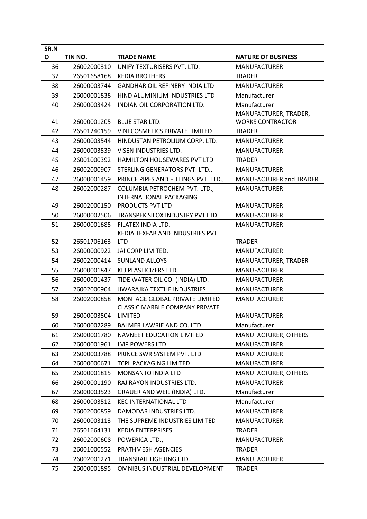| SR.N                                                                             |                                                                                                                                                                                                                |                                                                                                                                                                                                                                                                                                                                                                                          |                                                                                                                                                                                                                                                                                   |
|----------------------------------------------------------------------------------|----------------------------------------------------------------------------------------------------------------------------------------------------------------------------------------------------------------|------------------------------------------------------------------------------------------------------------------------------------------------------------------------------------------------------------------------------------------------------------------------------------------------------------------------------------------------------------------------------------------|-----------------------------------------------------------------------------------------------------------------------------------------------------------------------------------------------------------------------------------------------------------------------------------|
| O                                                                                | TIN NO.                                                                                                                                                                                                        | <b>TRADE NAME</b>                                                                                                                                                                                                                                                                                                                                                                        | <b>NATURE OF BUSINESS</b>                                                                                                                                                                                                                                                         |
| 36                                                                               | 26002000310                                                                                                                                                                                                    | UNIFY TEXTURISERS PVT. LTD.                                                                                                                                                                                                                                                                                                                                                              | <b>MANUFACTURER</b>                                                                                                                                                                                                                                                               |
| 37                                                                               | 26501658168                                                                                                                                                                                                    | <b>KEDIA BROTHERS</b>                                                                                                                                                                                                                                                                                                                                                                    | <b>TRADER</b>                                                                                                                                                                                                                                                                     |
| 38                                                                               | 26000003744                                                                                                                                                                                                    | <b>GANDHAR OIL REFINERY INDIA LTD</b>                                                                                                                                                                                                                                                                                                                                                    | <b>MANUFACTURER</b>                                                                                                                                                                                                                                                               |
| 39                                                                               | 26000001838                                                                                                                                                                                                    | HIND ALUMINIUM INDUSTRIES LTD                                                                                                                                                                                                                                                                                                                                                            | Manufacturer                                                                                                                                                                                                                                                                      |
| 40                                                                               | 26000003424                                                                                                                                                                                                    | INDIAN OIL CORPORATION LTD.                                                                                                                                                                                                                                                                                                                                                              | Manufacturer                                                                                                                                                                                                                                                                      |
|                                                                                  |                                                                                                                                                                                                                |                                                                                                                                                                                                                                                                                                                                                                                          | MANUFACTURER, TRADER,                                                                                                                                                                                                                                                             |
| 41                                                                               | 26000001205                                                                                                                                                                                                    | <b>BLUE STAR LTD.</b>                                                                                                                                                                                                                                                                                                                                                                    | <b>WORKS CONTRACTOR</b>                                                                                                                                                                                                                                                           |
| 42                                                                               | 26501240159                                                                                                                                                                                                    | VINI COSMETICS PRIVATE LIMITED                                                                                                                                                                                                                                                                                                                                                           | <b>TRADER</b>                                                                                                                                                                                                                                                                     |
| 43                                                                               | 26000003544                                                                                                                                                                                                    | HINDUSTAN PETROLIUM CORP. LTD.                                                                                                                                                                                                                                                                                                                                                           | <b>MANUFACTURER</b>                                                                                                                                                                                                                                                               |
| 44                                                                               | 26000003539                                                                                                                                                                                                    | VISEN INDUSTRIES LTD.                                                                                                                                                                                                                                                                                                                                                                    | <b>MANUFACTURER</b>                                                                                                                                                                                                                                                               |
| 45                                                                               | 26001000392                                                                                                                                                                                                    | <b>HAMILTON HOUSEWARES PVT LTD</b>                                                                                                                                                                                                                                                                                                                                                       | <b>TRADER</b>                                                                                                                                                                                                                                                                     |
| 46                                                                               | 26002000907                                                                                                                                                                                                    | STERLING GENERATORS PVT. LTD.,                                                                                                                                                                                                                                                                                                                                                           | <b>MANUFACTURER</b>                                                                                                                                                                                                                                                               |
| 47                                                                               | 26000001459                                                                                                                                                                                                    | PRINCE PIPES AND FITTINGS PVT. LTD.,                                                                                                                                                                                                                                                                                                                                                     | <b>MANUFACTURER and TRADER</b>                                                                                                                                                                                                                                                    |
| 48                                                                               | 26002000287                                                                                                                                                                                                    | COLUMBIA PETROCHEM PVT. LTD.,                                                                                                                                                                                                                                                                                                                                                            | <b>MANUFACTURER</b>                                                                                                                                                                                                                                                               |
|                                                                                  |                                                                                                                                                                                                                | INTERNATIONAL PACKAGING                                                                                                                                                                                                                                                                                                                                                                  |                                                                                                                                                                                                                                                                                   |
| 49                                                                               | 26002000150                                                                                                                                                                                                    | PRODUCTS PVT LTD                                                                                                                                                                                                                                                                                                                                                                         | <b>MANUFACTURER</b>                                                                                                                                                                                                                                                               |
| 50                                                                               | 26000002506                                                                                                                                                                                                    | TRANSPEK SILOX INDUSTRY PVT LTD                                                                                                                                                                                                                                                                                                                                                          | <b>MANUFACTURER</b>                                                                                                                                                                                                                                                               |
| 51                                                                               | 26000001685                                                                                                                                                                                                    | FILATEX INDIA LTD.                                                                                                                                                                                                                                                                                                                                                                       | <b>MANUFACTURER</b>                                                                                                                                                                                                                                                               |
|                                                                                  |                                                                                                                                                                                                                | KEDIA TEXFAB AND INDUSTRIES PVT.                                                                                                                                                                                                                                                                                                                                                         |                                                                                                                                                                                                                                                                                   |
| 52<br>53                                                                         | 26501706163                                                                                                                                                                                                    | <b>LTD</b>                                                                                                                                                                                                                                                                                                                                                                               | <b>TRADER</b>                                                                                                                                                                                                                                                                     |
|                                                                                  | 26000000922                                                                                                                                                                                                    | JAI CORP LIMITED,                                                                                                                                                                                                                                                                                                                                                                        | <b>MANUFACTURER</b>                                                                                                                                                                                                                                                               |
| 54                                                                               | 26002000414                                                                                                                                                                                                    | <b>SUNLAND ALLOYS</b>                                                                                                                                                                                                                                                                                                                                                                    | MANUFACTURER, TRADER                                                                                                                                                                                                                                                              |
| 55<br>56                                                                         | 26000001847                                                                                                                                                                                                    | KLJ PLASTICIZERS LTD.                                                                                                                                                                                                                                                                                                                                                                    | <b>MANUFACTURER</b>                                                                                                                                                                                                                                                               |
|                                                                                  | 26000001437                                                                                                                                                                                                    | TIDE WATER OIL CO. (INDIA) LTD.<br>JIWARAJKA TEXTILE INDUSTRIES                                                                                                                                                                                                                                                                                                                          | <b>MANUFACTURER</b>                                                                                                                                                                                                                                                               |
| 57                                                                               | 26002000904                                                                                                                                                                                                    |                                                                                                                                                                                                                                                                                                                                                                                          | <b>MANUFACTURER</b>                                                                                                                                                                                                                                                               |
| 58                                                                               | 26002000858                                                                                                                                                                                                    | <b>MONTAGE GLOBAL PRIVATE LIMITED</b><br><b>CLASSIC MARBLE COMPANY PRIVATE</b>                                                                                                                                                                                                                                                                                                           | <b>MANUFACTURER</b>                                                                                                                                                                                                                                                               |
| 59                                                                               | 26000003504                                                                                                                                                                                                    | LIMITED                                                                                                                                                                                                                                                                                                                                                                                  | <b>MANUFACTURER</b>                                                                                                                                                                                                                                                               |
| 60                                                                               | 26000002289                                                                                                                                                                                                    | BALMER LAWRIE AND CO. LTD.                                                                                                                                                                                                                                                                                                                                                               | Manufacturer                                                                                                                                                                                                                                                                      |
| 61                                                                               | 26000001780                                                                                                                                                                                                    | <b>NAVNEET EDUCATION LIMITED</b>                                                                                                                                                                                                                                                                                                                                                         | MANUFACTURER, OTHERS                                                                                                                                                                                                                                                              |
|                                                                                  |                                                                                                                                                                                                                |                                                                                                                                                                                                                                                                                                                                                                                          |                                                                                                                                                                                                                                                                                   |
|                                                                                  |                                                                                                                                                                                                                |                                                                                                                                                                                                                                                                                                                                                                                          |                                                                                                                                                                                                                                                                                   |
|                                                                                  |                                                                                                                                                                                                                |                                                                                                                                                                                                                                                                                                                                                                                          |                                                                                                                                                                                                                                                                                   |
|                                                                                  |                                                                                                                                                                                                                |                                                                                                                                                                                                                                                                                                                                                                                          |                                                                                                                                                                                                                                                                                   |
|                                                                                  |                                                                                                                                                                                                                |                                                                                                                                                                                                                                                                                                                                                                                          |                                                                                                                                                                                                                                                                                   |
|                                                                                  |                                                                                                                                                                                                                |                                                                                                                                                                                                                                                                                                                                                                                          |                                                                                                                                                                                                                                                                                   |
|                                                                                  |                                                                                                                                                                                                                |                                                                                                                                                                                                                                                                                                                                                                                          |                                                                                                                                                                                                                                                                                   |
|                                                                                  |                                                                                                                                                                                                                |                                                                                                                                                                                                                                                                                                                                                                                          |                                                                                                                                                                                                                                                                                   |
|                                                                                  |                                                                                                                                                                                                                |                                                                                                                                                                                                                                                                                                                                                                                          |                                                                                                                                                                                                                                                                                   |
|                                                                                  |                                                                                                                                                                                                                |                                                                                                                                                                                                                                                                                                                                                                                          |                                                                                                                                                                                                                                                                                   |
|                                                                                  |                                                                                                                                                                                                                |                                                                                                                                                                                                                                                                                                                                                                                          |                                                                                                                                                                                                                                                                                   |
|                                                                                  |                                                                                                                                                                                                                |                                                                                                                                                                                                                                                                                                                                                                                          |                                                                                                                                                                                                                                                                                   |
|                                                                                  |                                                                                                                                                                                                                |                                                                                                                                                                                                                                                                                                                                                                                          |                                                                                                                                                                                                                                                                                   |
|                                                                                  |                                                                                                                                                                                                                |                                                                                                                                                                                                                                                                                                                                                                                          |                                                                                                                                                                                                                                                                                   |
| 62<br>63<br>64<br>65<br>66<br>67<br>68<br>69<br>70<br>71<br>72<br>73<br>74<br>75 | 26000001961<br>26000003788<br>26000000671<br>26000001815<br>26000001190<br>26000003523<br>26000003512<br>26002000859<br>26000003113<br>26501664131<br>26002000608<br>26001000552<br>26002001271<br>26000001895 | IMP POWERS LTD.<br>PRINCE SWR SYSTEM PVT. LTD<br>TCPL PACKAGING LIMITED<br>MONSANTO INDIA LTD<br>RAJ RAYON INDUSTRIES LTD.<br>GRAUER AND WEIL (INDIA) LTD.<br><b>KEC INTERNATIONAL LTD</b><br>DAMODAR INDUSTRIES LTD.<br>THE SUPREME INDUSTRIES LIMITED<br><b>KEDIA ENTERPRISES</b><br>POWERICA LTD.,<br>PRATHMESH AGENCIES<br>TRANSRAIL LIGHTING LTD.<br>OMNIBUS INDUSTRIAL DEVELOPMENT | <b>MANUFACTURER</b><br><b>MANUFACTURER</b><br><b>MANUFACTURER</b><br>MANUFACTURER, OTHERS<br><b>MANUFACTURER</b><br>Manufacturer<br>Manufacturer<br><b>MANUFACTURER</b><br><b>MANUFACTURER</b><br>TRADER<br><b>MANUFACTURER</b><br><b>TRADER</b><br>MANUFACTURER<br><b>TRADER</b> |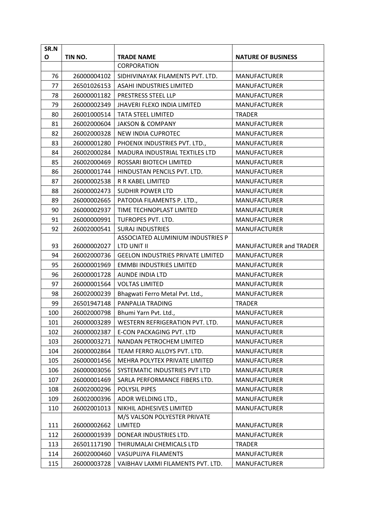| SR.N |             |                                          |                           |
|------|-------------|------------------------------------------|---------------------------|
| O    | TIN NO.     | <b>TRADE NAME</b>                        | <b>NATURE OF BUSINESS</b> |
|      |             | <b>CORPORATION</b>                       |                           |
| 76   | 26000004102 | SIDHIVINAYAK FILAMENTS PVT. LTD.         | <b>MANUFACTURER</b>       |
| 77   | 26501026153 | <b>ASAHI INDUSTRIES LIMITED</b>          | <b>MANUFACTURER</b>       |
| 78   | 26000001182 | PRESTRESS STEEL LLP                      | <b>MANUFACTURER</b>       |
| 79   | 26000002349 | <b>JHAVERI FLEXO INDIA LIMITED</b>       | <b>MANUFACTURER</b>       |
| 80   | 26001000514 | <b>TATA STEEL LIMITED</b>                | <b>TRADER</b>             |
| 81   | 26002000604 | <b>JAKSON &amp; COMPANY</b>              | <b>MANUFACTURER</b>       |
| 82   | 26002000328 | NEW INDIA CUPROTEC                       | <b>MANUFACTURER</b>       |
| 83   | 26000001280 | PHOENIX INDUSTRIES PVT. LTD.,            | <b>MANUFACTURER</b>       |
| 84   | 26002000284 | MADURA INDUSTRIAL TEXTILES LTD           | <b>MANUFACTURER</b>       |
| 85   | 26002000469 | ROSSARI BIOTECH LIMITED                  | <b>MANUFACTURER</b>       |
| 86   | 26000001744 | HINDUSTAN PENCILS PVT. LTD.              | <b>MANUFACTURER</b>       |
| 87   | 26000002538 | R R KABEL LIMITED                        | <b>MANUFACTURER</b>       |
| 88   | 26000002473 | <b>SUDHIR POWER LTD</b>                  | <b>MANUFACTURER</b>       |
| 89   | 26000002665 | PATODIA FILAMENTS P. LTD.,               | <b>MANUFACTURER</b>       |
| 90   | 26000002937 | TIME TECHNOPLAST LIMITED                 | <b>MANUFACTURER</b>       |
| 91   | 26000000991 | TUFROPES PVT. LTD.                       | <b>MANUFACTURER</b>       |
| 92   | 26002000541 | <b>SURAJ INDUSTRIES</b>                  | <b>MANUFACTURER</b>       |
|      |             | ASSOCIATED ALUMINIUM INDUSTRIES P        |                           |
| 93   | 26000002027 | LTD UNIT II                              | MANUFACTURER and TRADER   |
| 94   | 26002000736 | <b>GEELON INDUSTRIES PRIVATE LIMITED</b> | <b>MANUFACTURER</b>       |
| 95   | 26000001969 | <b>EMMBI INDUSTRIES LIMITED</b>          | <b>MANUFACTURER</b>       |
| 96   | 26000001728 | <b>AUNDE INDIA LTD</b>                   | <b>MANUFACTURER</b>       |
| 97   | 26000001564 | <b>VOLTAS LIMITED</b>                    | <b>MANUFACTURER</b>       |
| 98   | 26002000239 | Bhagwati Ferro Metal Pvt. Ltd.,          | <b>MANUFACTURER</b>       |
| 99   | 26501947148 | PANPALIA TRADING                         | <b>TRADER</b>             |
| 100  | 26002000798 | Bhumi Yarn Pvt. Ltd.,                    | <b>MANUFACTURER</b>       |
| 101  | 26000003289 | WESTERN REFRIGERATION PVT. LTD.          | <b>MANUFACTURER</b>       |
| 102  | 26000002387 | E-CON PACKAGING PVT. LTD                 | <b>MANUFACTURER</b>       |
| 103  | 26000003271 | NANDAN PETROCHEM LIMITED                 | <b>MANUFACTURER</b>       |
| 104  | 26000002864 | TEAM FERRO ALLOYS PVT. LTD.              | <b>MANUFACTURER</b>       |
| 105  | 26000001456 | MEHRA POLYTEX PRIVATE LIMITED            | <b>MANUFACTURER</b>       |
| 106  | 26000003056 | SYSTEMATIC INDUSTRIES PVT LTD            | <b>MANUFACTURER</b>       |
| 107  | 26000001469 | SARLA PERFORMANCE FIBERS LTD.            | <b>MANUFACTURER</b>       |
| 108  | 26002000296 | POLYSIL PIPES                            | <b>MANUFACTURER</b>       |
| 109  | 26002000396 | ADOR WELDING LTD.,                       | <b>MANUFACTURER</b>       |
| 110  | 26002001013 | NIKHIL ADHESIVES LIMITED                 | <b>MANUFACTURER</b>       |
|      |             | M/S VALSON POLYESTER PRIVATE             |                           |
| 111  | 26000002662 | LIMITED                                  | <b>MANUFACTURER</b>       |
| 112  | 26000001939 | DONEAR INDUSTRIES LTD.                   | <b>MANUFACTURER</b>       |
| 113  | 26501117190 | THIRUMALAI CHEMICALS LTD                 | <b>TRADER</b>             |
| 114  | 26002000460 | VASUPUJYA FILAMENTS                      | <b>MANUFACTURER</b>       |
| 115  | 26000003728 | VAIBHAV LAXMI FILAMENTS PVT. LTD.        | <b>MANUFACTURER</b>       |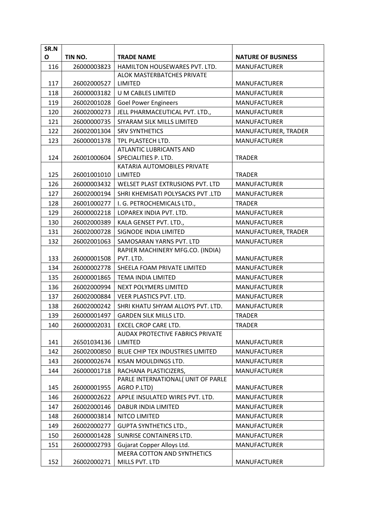| SR.N |             |                                                              |                                      |
|------|-------------|--------------------------------------------------------------|--------------------------------------|
| O    | TIN NO.     | <b>TRADE NAME</b>                                            | <b>NATURE OF BUSINESS</b>            |
| 116  | 26000003823 | HAMILTON HOUSEWARES PVT. LTD.                                | <b>MANUFACTURER</b>                  |
|      |             | <b>ALOK MASTERBATCHES PRIVATE</b>                            |                                      |
| 117  | 26002000527 | <b>LIMITED</b>                                               | <b>MANUFACTURER</b>                  |
| 118  | 26000003182 | U M CABLES LIMITED                                           | <b>MANUFACTURER</b>                  |
| 119  | 26002001028 | <b>Goel Power Engineers</b>                                  | <b>MANUFACTURER</b>                  |
| 120  | 26002000273 | JELL PHARMACEUTICAL PVT. LTD.,                               | <b>MANUFACTURER</b>                  |
| 121  | 26000000735 | SIYARAM SILK MILLS LIMITED                                   | <b>MANUFACTURER</b>                  |
| 122  | 26002001304 | <b>SRV SYNTHETICS</b>                                        | MANUFACTURER, TRADER                 |
| 123  | 26000001378 | TPL PLASTECH LTD.                                            | <b>MANUFACTURER</b>                  |
|      |             | ATLANTIC LUBRICANTS AND                                      |                                      |
| 124  | 26001000604 | SPECIALITIES P. LTD.                                         | <b>TRADER</b>                        |
| 125  | 26001001010 | KATARIA AUTOMOBILES PRIVATE<br>LIMITED                       | <b>TRADER</b>                        |
| 126  | 26000003432 | WELSET PLAST EXTRUSIONS PVT. LTD                             | <b>MANUFACTURER</b>                  |
| 127  | 26002000194 | SHRI KHEMISATI POLYSACKS PVT .LTD                            |                                      |
| 128  | 26001000277 |                                                              | <b>MANUFACTURER</b><br><b>TRADER</b> |
|      |             | I. G. PETROCHEMICALS LTD.,                                   |                                      |
| 129  | 26000002218 | LOPAREX INDIA PVT. LTD.                                      | <b>MANUFACTURER</b>                  |
| 130  | 26002000389 | KALA GENSET PVT. LTD.,                                       | <b>MANUFACTURER</b>                  |
| 131  | 26002000728 | SIGNODE INDIA LIMITED                                        | MANUFACTURER, TRADER                 |
| 132  | 26002001063 | SAMOSARAN YARNS PVT. LTD                                     | <b>MANUFACTURER</b>                  |
| 133  | 26000001508 | RAPIER MACHINERY MFG.CO. (INDIA)<br>PVT. LTD.                | <b>MANUFACTURER</b>                  |
| 134  | 26000002778 | SHEELA FOAM PRIVATE LIMITED                                  | <b>MANUFACTURER</b>                  |
| 135  | 26000001865 | <b>TEMA INDIA LIMITED</b>                                    | <b>MANUFACTURER</b>                  |
| 136  | 26002000994 | NEXT POLYMERS LIMITED                                        | <b>MANUFACTURER</b>                  |
| 137  | 26002000884 | VEER PLASTICS PVT. LTD.                                      | <b>MANUFACTURER</b>                  |
| 138  | 26002000242 | SHRI KHATU SHYAM ALLOYS PVT. LTD.                            | <b>MANUFACTURER</b>                  |
| 139  | 26000001497 |                                                              | <b>TRADER</b>                        |
|      |             | <b>GARDEN SILK MILLS LTD.</b><br><b>EXCEL CROP CARE LTD.</b> |                                      |
| 140  | 26000002031 | AUDAX PROTECTIVE FABRICS PRIVATE                             | <b>TRADER</b>                        |
| 141  | 26501034136 | <b>LIMITED</b>                                               | <b>MANUFACTURER</b>                  |
| 142  | 26002000850 | BLUE CHIP TEX INDUSTRIES LIMITED                             | <b>MANUFACTURER</b>                  |
| 143  | 26000002674 | KISAN MOULDINGS LTD.                                         | <b>MANUFACTURER</b>                  |
| 144  | 26000001718 | RACHANA PLASTICIZERS,                                        | <b>MANUFACTURER</b>                  |
|      |             | PARLE INTERNATIONAL( UNIT OF PARLE                           |                                      |
| 145  | 26000001955 | AGRO P.LTD)                                                  | <b>MANUFACTURER</b>                  |
| 146  | 26000002622 | APPLE INSULATED WIRES PVT. LTD.                              | <b>MANUFACTURER</b>                  |
| 147  | 26002000146 | DABUR INDIA LIMITED                                          | <b>MANUFACTURER</b>                  |
| 148  | 26000003814 | NITCO LIMITED                                                | <b>MANUFACTURER</b>                  |
| 149  | 26002000277 | <b>GUPTA SYNTHETICS LTD.,</b>                                | <b>MANUFACTURER</b>                  |
| 150  | 26000001428 | SUNRISE CONTAINERS LTD.                                      | <b>MANUFACTURER</b>                  |
| 151  | 26000002793 | Gujarat Copper Alloys Ltd.                                   | <b>MANUFACTURER</b>                  |
|      |             | MEERA COTTON AND SYNTHETICS                                  |                                      |
| 152  | 26002000271 | MILLS PVT. LTD                                               | <b>MANUFACTURER</b>                  |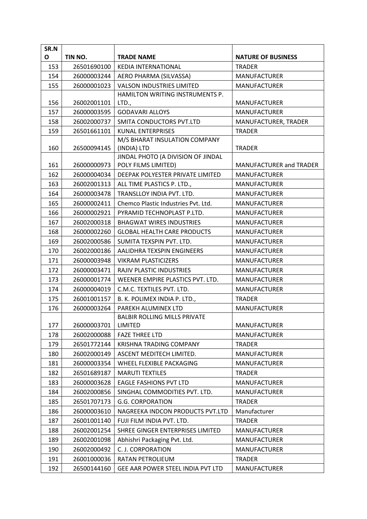| SR.N |             |                                     |                                |
|------|-------------|-------------------------------------|--------------------------------|
| O    | TIN NO.     | <b>TRADE NAME</b>                   | <b>NATURE OF BUSINESS</b>      |
| 153  | 26501690100 | <b>KEDIA INTERNATIONAL</b>          | <b>TRADER</b>                  |
| 154  | 26000003244 | AERO PHARMA (SILVASSA)              | <b>MANUFACTURER</b>            |
| 155  | 26000001023 | <b>VALSON INDUSTRIES LIMITED</b>    | <b>MANUFACTURER</b>            |
|      |             | HAMILTON WRITING INSTRUMENTS P.     |                                |
| 156  | 26002001101 | LTD.,                               | <b>MANUFACTURER</b>            |
| 157  | 26000003595 | <b>GODAVARI ALLOYS</b>              | <b>MANUFACTURER</b>            |
| 158  | 26002000737 | SMITA CONDUCTORS PVT.LTD            | MANUFACTURER, TRADER           |
| 159  | 26501661101 | <b>KUNAL ENTERPRISES</b>            | <b>TRADER</b>                  |
|      |             | M/S BHARAT INSULATION COMPANY       |                                |
| 160  | 26500094145 | (INDIA) LTD                         | <b>TRADER</b>                  |
|      |             | JINDAL PHOTO (A DIVISION OF JINDAL  |                                |
| 161  | 26000000973 | POLY FILMS LIMITED)                 | <b>MANUFACTURER and TRADER</b> |
| 162  | 26000004034 | DEEPAK POLYESTER PRIVATE LIMITED    | <b>MANUFACTURER</b>            |
| 163  | 26002001313 | ALL TIME PLASTICS P. LTD.,          | <b>MANUFACTURER</b>            |
| 164  | 26000003478 | TRANSLLOY INDIA PVT. LTD.           | <b>MANUFACTURER</b>            |
| 165  | 26000002411 | Chemco Plastic Industries Pvt. Ltd. | <b>MANUFACTURER</b>            |
| 166  | 26000002921 | PYRAMID TECHNOPLAST P.LTD.          | <b>MANUFACTURER</b>            |
| 167  | 26002000318 | <b>BHAGWAT WIRES INDUSTRIES</b>     | <b>MANUFACTURER</b>            |
| 168  | 26000002260 | <b>GLOBAL HEALTH CARE PRODUCTS</b>  | <b>MANUFACTURER</b>            |
| 169  | 26002000586 | SUMITA TEXSPIN PVT. LTD.            | MANUFACTURER                   |
| 170  | 26002000186 | AALIDHRA TEXSPIN ENGINEERS          | <b>MANUFACTURER</b>            |
| 171  | 26000003948 | <b>VIKRAM PLASTICIZERS</b>          | <b>MANUFACTURER</b>            |
| 172  | 26000003471 | RAJIV PLASTIC INDUSTRIES            | <b>MANUFACTURER</b>            |
| 173  | 26000001774 | WEENER EMPIRE PLASTICS PVT. LTD.    | <b>MANUFACTURER</b>            |
| 174  | 26000004019 | C.M.C. TEXTILES PVT. LTD.           | <b>MANUFACTURER</b>            |
| 175  | 26001001157 | B. K. POLIMEX INDIA P. LTD.,        | <b>TRADER</b>                  |
| 176  | 26000003264 | PAREKH ALUMINEX LTD                 | <b>MANUFACTURER</b>            |
|      |             | <b>BALBIR ROLLING MILLS PRIVATE</b> |                                |
| 177  | 26000003701 | <b>LIMITED</b>                      | MANUFACTURER                   |
| 178  | 26002000088 | <b>FAZE THREE LTD</b>               | <b>MANUFACTURER</b>            |
| 179  | 26501772144 | <b>KRISHNA TRADING COMPANY</b>      | <b>TRADER</b>                  |
| 180  | 26002000149 | ASCENT MEDITECH LIMITED.            | <b>MANUFACTURER</b>            |
| 181  | 26000003354 | WHEEL FLEXIBLE PACKAGING            | <b>MANUFACTURER</b>            |
| 182  | 26501689187 | <b>MARUTI TEXTILES</b>              | <b>TRADER</b>                  |
| 183  | 26000003628 | <b>EAGLE FASHIONS PVT LTD</b>       | <b>MANUFACTURER</b>            |
| 184  | 26002000856 | SINGHAL COMMODITIES PVT. LTD.       | <b>MANUFACTURER</b>            |
| 185  | 26501707173 | <b>G.G. CORPORATION</b>             | <b>TRADER</b>                  |
| 186  | 26000003610 | NAGREEKA INDCON PRODUCTS PVT.LTD    | Manufacturer                   |
| 187  | 26001001140 | FUJI FILM INDIA PVT. LTD.           | <b>TRADER</b>                  |
| 188  | 26002001254 | SHREE GINGER ENTERPRISES LIMITED    | <b>MANUFACTURER</b>            |
| 189  | 26002001098 | Abhishri Packaging Pvt. Ltd.        | <b>MANUFACTURER</b>            |
| 190  | 26002000492 | C. J. CORPORATION                   | <b>MANUFACTURER</b>            |
| 191  | 26001000036 | RATAN PETROLIEUM                    | <b>TRADER</b>                  |
| 192  | 26500144160 | GEE AAR POWER STEEL INDIA PVT LTD   | <b>MANUFACTURER</b>            |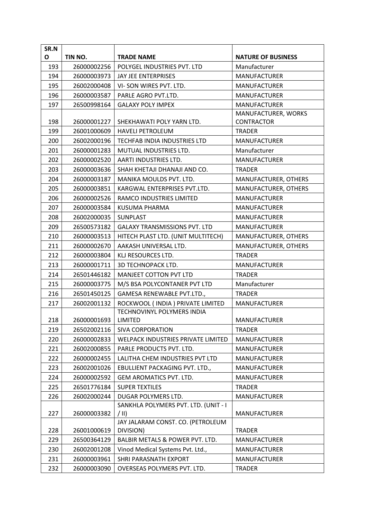| SR.N |                       |                                      |                           |
|------|-----------------------|--------------------------------------|---------------------------|
| O    | TIN NO.               | <b>TRADE NAME</b>                    | <b>NATURE OF BUSINESS</b> |
| 193  | 26000002256           | POLYGEL INDUSTRIES PVT. LTD          | Manufacturer              |
| 194  | 26000003973           | JAY JEE ENTERPRISES                  | <b>MANUFACTURER</b>       |
| 195  | 26002000408           | VI-SON WIRES PVT. LTD.               | <b>MANUFACTURER</b>       |
| 196  | 26000003587           | PARLE AGRO PVT.LTD.                  | <b>MANUFACTURER</b>       |
| 197  | 26500998164           | <b>GALAXY POLY IMPEX</b>             | <b>MANUFACTURER</b>       |
|      |                       |                                      | MANUFACTURER, WORKS       |
| 198  | 26000001227           | SHEKHAWATI POLY YARN LTD.            | <b>CONTRACTOR</b>         |
| 199  | 26001000609           | <b>HAVELI PETROLEUM</b>              | <b>TRADER</b>             |
| 200  | 26002000196           | TECHFAB INDIA INDUSTRIES LTD         | <b>MANUFACTURER</b>       |
| 201  | 26000001283           | MUTUAL INDUSTRIES LTD.               | Manufacturer              |
| 202  | 26000002520           | AARTI INDUSTRIES LTD.                | <b>MANUFACTURER</b>       |
| 203  | 26000003636           | SHAH KHETAJI DHANAJI AND CO.         | <b>TRADER</b>             |
| 204  | 26000003187           | MANIKA MOULDS PVT. LTD.              | MANUFACTURER, OTHERS      |
| 205  | 26000003851           | KARGWAL ENTERPRISES PVT.LTD.         | MANUFACTURER, OTHERS      |
| 206  | 26000002526           | RAMCO INDUSTRIES LIMITED             | <b>MANUFACTURER</b>       |
| 207  | 26000003584           | KUSUMA PHARMA                        | <b>MANUFACTURER</b>       |
| 208  | 26002000035           | SUNPLAST                             | <b>MANUFACTURER</b>       |
| 209  | 26500573182           | <b>GALAXY TRANSMISSIONS PVT. LTD</b> | <b>MANUFACTURER</b>       |
| 210  | 26000003513           | HITECH PLAST LTD. (UNIT MULTITECH)   | MANUFACTURER, OTHERS      |
| 211  | 26000002670           | AAKASH UNIVERSAL LTD.                | MANUFACTURER, OTHERS      |
| 212  | 26000003804           | KLJ RESOURCES LTD.                   | <b>TRADER</b>             |
| 213  | 26000001711           | <b>3D TECHNOPACK LTD.</b>            | <b>MANUFACTURER</b>       |
| 214  | 26501446182           | MANJEET COTTON PVT LTD               | <b>TRADER</b>             |
| 215  | 26000003775           | M/S BSA POLYCONTANER PVT LTD         | Manufacturer              |
| 216  | 26501450125           | GAMESA RENEWABLE PVT.LTD.,           | <b>TRADER</b>             |
| 217  | 26002001132           | ROCKWOOL (INDIA) PRIVATE LIMITED     | <b>MANUFACTURER</b>       |
|      |                       | TECHNOVINYL POLYMERS INDIA           |                           |
| 218  | 26000001693   LIMITED |                                      | <b>MANUFACTURER</b>       |
| 219  | 26502002116           | SIVA CORPORATION                     | <b>TRADER</b>             |
| 220  | 26000002833           | WELPACK INDUSTRIES PRIVATE LIMITED   | <b>MANUFACTURER</b>       |
| 221  | 26002000855           | PARLE PRODUCTS PVT. LTD.             | <b>MANUFACTURER</b>       |
| 222  | 26000002455           | LALITHA CHEM INDUSTRIES PVT LTD      | <b>MANUFACTURER</b>       |
| 223  | 26002001026           | EBULLIENT PACKAGING PVT. LTD.,       | <b>MANUFACTURER</b>       |
| 224  | 26000002592           | GEM AROMATICS PVT. LTD.              | <b>MANUFACTURER</b>       |
| 225  | 26501776184           | <b>SUPER TEXTILES</b>                | <b>TRADER</b>             |
| 226  | 26002000244           | DUGAR POLYMERS LTD.                  | <b>MANUFACTURER</b>       |
|      |                       | SANKHLA POLYMERS PVT. LTD. (UNIT - I |                           |
| 227  | 26000003382           | $/ \parallel$                        | <b>MANUFACTURER</b>       |
|      |                       | JAY JALARAM CONST. CO. (PETROLEUM    |                           |
| 228  | 26001000619           | DIVISION)                            | <b>TRADER</b>             |
| 229  | 26500364129           | BALBIR METALS & POWER PVT. LTD.      | <b>MANUFACTURER</b>       |
| 230  | 26002001208           | Vinod Medical Systems Pvt. Ltd.,     | <b>MANUFACTURER</b>       |
| 231  | 26000003961           | SHRI PARASNATH EXPORT                | <b>MANUFACTURER</b>       |
| 232  | 26000003090           | OVERSEAS POLYMERS PVT. LTD.          | <b>TRADER</b>             |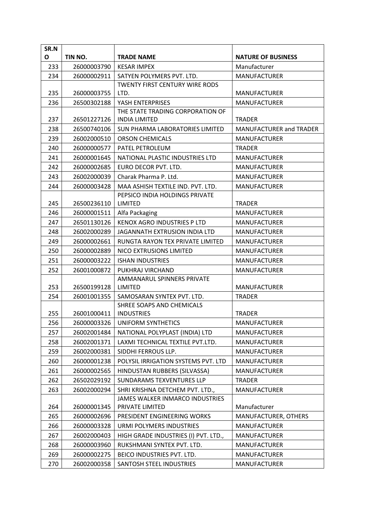| SR.N |             |                                           |                                |
|------|-------------|-------------------------------------------|--------------------------------|
| O    | TIN NO.     | <b>TRADE NAME</b>                         | <b>NATURE OF BUSINESS</b>      |
| 233  | 26000003790 | <b>KESAR IMPEX</b>                        | Manufacturer                   |
| 234  | 26000002911 | SATYEN POLYMERS PVT. LTD.                 | <b>MANUFACTURER</b>            |
|      |             | <b>TWENTY FIRST CENTURY WIRE RODS</b>     |                                |
| 235  | 26000003755 | LTD.                                      | <b>MANUFACTURER</b>            |
| 236  | 26500302188 | YASH ENTERPRISES                          | <b>MANUFACTURER</b>            |
|      |             | THE STATE TRADING CORPORATION OF          |                                |
| 237  | 26501227126 | <b>INDIA LIMITED</b>                      | <b>TRADER</b>                  |
| 238  | 26500740106 | SUN PHARMA LABORATORIES LIMITED           | <b>MANUFACTURER and TRADER</b> |
| 239  | 26002000510 | <b>ORSON CHEMICALS</b>                    | <b>MANUFACTURER</b>            |
| 240  | 26000000577 | PATEL PETROLEUM                           | <b>TRADER</b>                  |
| 241  | 26000001645 | NATIONAL PLASTIC INDUSTRIES LTD           | <b>MANUFACTURER</b>            |
| 242  | 26000002685 | EURO DECOR PVT. LTD.                      | <b>MANUFACTURER</b>            |
| 243  | 26002000039 | Charak Pharma P. Ltd.                     | <b>MANUFACTURER</b>            |
| 244  | 26000003428 | MAA ASHISH TEXTILE IND. PVT. LTD.         | <b>MANUFACTURER</b>            |
| 245  | 26500236110 | PEPSICO INDIA HOLDINGS PRIVATE<br>LIMITED | <b>TRADER</b>                  |
| 246  | 26000001511 | Alfa Packaging                            | <b>MANUFACTURER</b>            |
| 247  | 26501130126 | <b>KENOX AGRO INDUSTRIES P LTD</b>        | <b>MANUFACTURER</b>            |
| 248  | 26002000289 | JAGANNATH EXTRUSION INDIA LTD             | <b>MANUFACTURER</b>            |
| 249  | 26000002661 | RUNGTA RAYON TEX PRIVATE LIMITED          | <b>MANUFACTURER</b>            |
| 250  | 26000002889 | NICO EXTRUSIONS LIMITED                   | <b>MANUFACTURER</b>            |
| 251  | 26000003222 | <b>ISHAN INDUSTRIES</b>                   | <b>MANUFACTURER</b>            |
| 252  | 26001000872 | PUKHRAJ VIRCHAND                          | <b>MANUFACTURER</b>            |
|      |             | AMMANARUL SPINNERS PRIVATE                |                                |
| 253  | 26500199128 | <b>LIMITED</b>                            | <b>MANUFACTURER</b>            |
| 254  | 26001001355 | SAMOSARAN SYNTEX PVT. LTD.                | <b>TRADER</b>                  |
|      |             | SHREE SOAPS AND CHEMICALS                 |                                |
| 255  | 26001000411 | <b>INDUSTRIES</b>                         | <b>TRADER</b>                  |
| 256  | 26000003326 | UNIFORM SYNTHETICS                        | <b>MANUFACTURER</b>            |
| 257  | 26002001484 | NATIONAL POLYPLAST (INDIA) LTD            | <b>MANUFACTURER</b>            |
| 258  | 26002001371 | LAXMI TECHNICAL TEXTILE PVT.LTD.          | <b>MANUFACTURER</b>            |
| 259  | 26002000381 | SIDDHI FERROUS LLP.                       | <b>MANUFACTURER</b>            |
| 260  | 26000001238 | POLYSIL IRRIGATION SYSTEMS PVT. LTD       | <b>MANUFACTURER</b>            |
| 261  | 26000002565 | HINDUSTAN RUBBERS (SILVASSA)              | <b>MANUFACTURER</b>            |
| 262  | 26502029192 | SUNDARAMS TEXVENTURES LLP                 | <b>TRADER</b>                  |
| 263  | 26002000294 | SHRI KRISHNA DETCHEM PVT. LTD.,           | <b>MANUFACTURER</b>            |
|      |             | JAMES WALKER INMARCO INDUSTRIES           |                                |
| 264  | 26000001345 | PRIVATE LIMITED                           | Manufacturer                   |
| 265  | 26000002696 | PRESIDENT ENGINEERING WORKS               | MANUFACTURER, OTHERS           |
| 266  | 26000003328 | URMI POLYMERS INDUSTRIES                  | <b>MANUFACTURER</b>            |
| 267  | 26002000403 | HIGH GRADE INDUSTRIES (I) PVT. LTD.,      | <b>MANUFACTURER</b>            |
| 268  | 26000003960 | RUKSHMANI SYNTEX PVT. LTD.                | <b>MANUFACTURER</b>            |
| 269  | 26000002275 | BEICO INDUSTRIES PVT. LTD.                | <b>MANUFACTURER</b>            |
| 270  | 26002000358 | SANTOSH STEEL INDUSTRIES                  | <b>MANUFACTURER</b>            |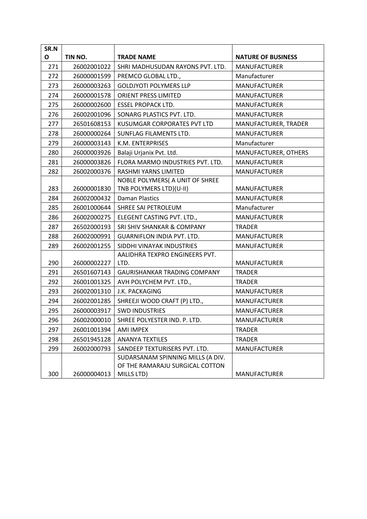| SR.N |             |                                     |                           |
|------|-------------|-------------------------------------|---------------------------|
| О    | TIN NO.     | <b>TRADE NAME</b>                   | <b>NATURE OF BUSINESS</b> |
| 271  | 26002001022 | SHRI MADHUSUDAN RAYONS PVT. LTD.    | <b>MANUFACTURER</b>       |
| 272  | 26000001599 | PREMCO GLOBAL LTD.,                 | Manufacturer              |
| 273  | 26000003263 | <b>GOLDJYOTI POLYMERS LLP</b>       | <b>MANUFACTURER</b>       |
| 274  | 26000001578 | <b>ORIENT PRESS LIMITED</b>         | <b>MANUFACTURER</b>       |
| 275  | 26000002600 | <b>ESSEL PROPACK LTD.</b>           | <b>MANUFACTURER</b>       |
| 276  | 26002001096 | SONARG PLASTICS PVT. LTD.           | <b>MANUFACTURER</b>       |
| 277  | 26501608153 | KUSUMGAR CORPORATES PVT LTD         | MANUFACTURER, TRADER      |
| 278  | 26000000264 | SUNFLAG FILAMENTS LTD.              | <b>MANUFACTURER</b>       |
| 279  | 26000003143 | K.M. ENTERPRISES                    | Manufacturer              |
| 280  | 26000003926 | Balaji Urjanix Pvt. Ltd.            | MANUFACTURER, OTHERS      |
| 281  | 26000003826 | FLORA MARMO INDUSTRIES PVT. LTD.    | <b>MANUFACTURER</b>       |
| 282  | 26002000376 | <b>RASHMI YARNS LIMITED</b>         | <b>MANUFACTURER</b>       |
|      |             | NOBLE POLYMERS( A UNIT OF SHREE     |                           |
| 283  | 26000001830 | TNB POLYMERS LTD)(U-II)             | <b>MANUFACTURER</b>       |
| 284  | 26002000432 | <b>Daman Plastics</b>               | <b>MANUFACTURER</b>       |
| 285  | 26001000644 | SHREE SAI PETROLEUM                 | Manufacturer              |
| 286  | 26002000275 | ELEGENT CASTING PVT. LTD.,          | <b>MANUFACTURER</b>       |
| 287  | 26502000193 | SRI SHIV SHANKAR & COMPANY          | <b>TRADER</b>             |
| 288  | 26002000991 | GUARNIFLON INDIA PVT. LTD.          | <b>MANUFACTURER</b>       |
| 289  | 26002001255 | SIDDHI VINAYAK INDUSTRIES           | <b>MANUFACTURER</b>       |
|      |             | AALIDHRA TEXPRO ENGINEERS PVT.      |                           |
| 290  | 26000002227 | LTD.                                | <b>MANUFACTURER</b>       |
| 291  | 26501607143 | <b>GAURISHANKAR TRADING COMPANY</b> | <b>TRADER</b>             |
| 292  | 26001001325 | AVH POLYCHEM PVT. LTD.,             | <b>TRADER</b>             |
| 293  | 26002001310 | J.K. PACKAGING                      | <b>MANUFACTURER</b>       |
| 294  | 26002001285 | SHREEJI WOOD CRAFT (P) LTD.,        | <b>MANUFACTURER</b>       |
| 295  | 26000003917 | <b>SWD INDUSTRIES</b>               | <b>MANUFACTURER</b>       |
| 296  | 26002000010 | SHREE POLYESTER IND. P. LTD.        | <b>MANUFACTURER</b>       |
| 297  | 26001001394 | AMI IMPEX                           | <b>TRADER</b>             |
| 298  | 26501945128 | <b>ANANYA TEXTILES</b>              | <b>TRADER</b>             |
| 299  | 26002000793 | SANDEEP TEXTURISERS PVT. LTD.       | <b>MANUFACTURER</b>       |
|      |             | SUDARSANAM SPINNING MILLS (A DIV.   |                           |
|      |             | OF THE RAMARAJU SURGICAL COTTON     |                           |
| 300  | 26000004013 | MILLS LTD)                          | <b>MANUFACTURER</b>       |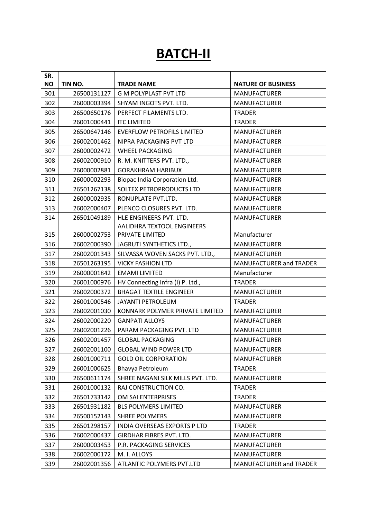# **BATCH-II**

| SR.       |             |                                   |                                |
|-----------|-------------|-----------------------------------|--------------------------------|
| <b>NO</b> | TIN NO.     | <b>TRADE NAME</b>                 | <b>NATURE OF BUSINESS</b>      |
| 301       | 26500131127 | <b>G M POLYPLAST PVT LTD</b>      | <b>MANUFACTURER</b>            |
| 302       | 26000003394 | SHYAM INGOTS PVT. LTD.            | <b>MANUFACTURER</b>            |
| 303       | 26500650176 | PERFECT FILAMENTS LTD.            | <b>TRADER</b>                  |
| 304       | 26001000441 | <b>ITC LIMITED</b>                | <b>TRADER</b>                  |
| 305       | 26500647146 | <b>EVERFLOW PETROFILS LIMITED</b> | <b>MANUFACTURER</b>            |
| 306       | 26002001462 | NIPRA PACKAGING PVT LTD           | <b>MANUFACTURER</b>            |
| 307       | 26000002472 | <b>WHEEL PACKAGING</b>            | <b>MANUFACTURER</b>            |
| 308       | 26002000910 | R. M. KNITTERS PVT. LTD.,         | <b>MANUFACTURER</b>            |
| 309       | 26000002881 | <b>GORAKHRAM HARIBUX</b>          | <b>MANUFACTURER</b>            |
| 310       | 26000002293 | Biopac India Corporation Ltd.     | <b>MANUFACTURER</b>            |
| 311       | 26501267138 | SOLTEX PETROPRODUCTS LTD          | <b>MANUFACTURER</b>            |
| 312       | 26000002935 | RONUPLATE PVT.LTD.                | <b>MANUFACTURER</b>            |
| 313       | 26002000407 | PLENCO CLOSURES PVT. LTD.         | <b>MANUFACTURER</b>            |
| 314       | 26501049189 | HLE ENGINEERS PVT. LTD.           | <b>MANUFACTURER</b>            |
|           |             | <b>AALIDHRA TEXTOOL ENGINEERS</b> |                                |
| 315       | 26000002753 | PRIVATE LIMITED                   | Manufacturer                   |
| 316       | 26002000390 | JAGRUTI SYNTHETICS LTD.,          | <b>MANUFACTURER</b>            |
| 317       | 26002001343 | SILVASSA WOVEN SACKS PVT. LTD.,   | <b>MANUFACTURER</b>            |
| 318       | 26501263195 | <b>VICKY FASHION LTD</b>          | MANUFACTURER and TRADER        |
| 319       | 26000001842 | <b>EMAMI LIMITED</b>              | Manufacturer                   |
| 320       | 26001000976 | HV Connecting Infra (I) P. Ltd.,  | <b>TRADER</b>                  |
| 321       | 26002000372 | <b>BHAGAT TEXTILE ENGINEER</b>    | <b>MANUFACTURER</b>            |
| 322       | 26001000546 | JAYANTI PETROLEUM                 | <b>TRADER</b>                  |
| 323       | 26002001030 | KONNARK POLYMER PRIVATE LIMITED   | <b>MANUFACTURER</b>            |
| 324       | 26002000220 | <b>GANPATI ALLOYS</b>             | <b>MANUFACTURER</b>            |
| 325       | 26002001226 | PARAM PACKAGING PVT. LTD          | <b>MANUFACTURER</b>            |
| 326       | 26002001457 | <b>GLOBAL PACKAGING</b>           | <b>MANUFACTURER</b>            |
| 327       | 26002001100 | <b>GLOBAL WIND POWER LTD</b>      | <b>MANUFACTURER</b>            |
| 328       | 26001000711 | <b>GOLD OIL CORPORATION</b>       | <b>MANUFACTURER</b>            |
| 329       | 26001000625 | Bhavya Petroleum                  | <b>TRADER</b>                  |
| 330       | 26500611174 | SHREE NAGANI SILK MILLS PVT. LTD. | <b>MANUFACTURER</b>            |
| 331       | 26001000132 | RAJ CONSTRUCTION CO.              | <b>TRADER</b>                  |
| 332       | 26501733142 | OM SAI ENTERPRISES                | <b>TRADER</b>                  |
| 333       | 26501931182 | <b>BLS POLYMERS LIMITED</b>       | <b>MANUFACTURER</b>            |
| 334       | 26500152143 | <b>SHREE POLYMERS</b>             | <b>MANUFACTURER</b>            |
| 335       | 26501298157 | INDIA OVERSEAS EXPORTS P LTD      | <b>TRADER</b>                  |
| 336       | 26002000437 | GIRDHAR FIBRES PVT. LTD.          | MANUFACTURER                   |
| 337       | 26000003453 | P.R. PACKAGING SERVICES           | <b>MANUFACTURER</b>            |
| 338       | 26002000172 | M. I. ALLOYS                      | <b>MANUFACTURER</b>            |
| 339       | 26002001356 | ATLANTIC POLYMERS PVT.LTD         | <b>MANUFACTURER and TRADER</b> |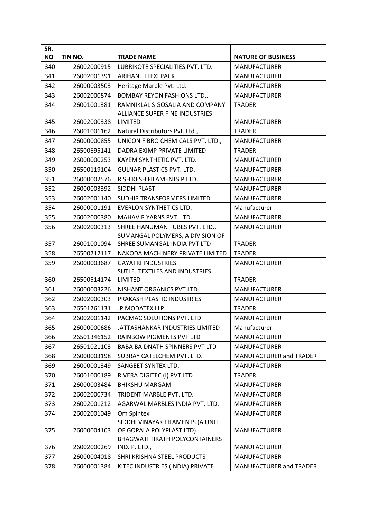| SR.       |             |                                       |                                |
|-----------|-------------|---------------------------------------|--------------------------------|
| <b>NO</b> | TIN NO.     | <b>TRADE NAME</b>                     | <b>NATURE OF BUSINESS</b>      |
| 340       | 26002000915 | LUBRIKOTE SPECIALITIES PVT. LTD.      | <b>MANUFACTURER</b>            |
| 341       | 26002001391 | <b>ARIHANT FLEXI PACK</b>             | <b>MANUFACTURER</b>            |
| 342       | 26000003503 | Heritage Marble Pvt. Ltd.             | <b>MANUFACTURER</b>            |
| 343       | 26002000874 | <b>BOMBAY REYON FASHIONS LTD.,</b>    | <b>MANUFACTURER</b>            |
| 344       | 26001001381 | RAMNIKLAL S GOSALIA AND COMPANY       | <b>TRADER</b>                  |
|           |             | ALLIANCE SUPER FINE INDUSTRIES        |                                |
| 345       | 26002000338 | LIMITED                               | <b>MANUFACTURER</b>            |
| 346       | 26001001162 | Natural Distributors Pvt. Ltd.,       | <b>TRADER</b>                  |
| 347       | 26000000855 | UNICON FIBRO CHEMICALS PVT. LTD.,     | <b>MANUFACTURER</b>            |
| 348       | 26500695141 | DADRA EXIMP PRIVATE LIMITED           | <b>TRADER</b>                  |
| 349       | 26000000253 | KAYEM SYNTHETIC PVT. LTD.             | <b>MANUFACTURER</b>            |
| 350       | 26500119104 | <b>GULNAR PLASTICS PVT. LTD.</b>      | <b>MANUFACTURER</b>            |
| 351       | 26000002576 | RISHIKESH FILAMENTS P.LTD.            | <b>MANUFACTURER</b>            |
| 352       | 26000003392 | SIDDHI PLAST                          | <b>MANUFACTURER</b>            |
| 353       | 26002001140 | SUDHIR TRANSFORMERS LIMITED           | <b>MANUFACTURER</b>            |
| 354       | 26000001191 | <b>EVERLON SYNTHETICS LTD.</b>        | Manufacturer                   |
| 355       | 26002000380 | MAHAVIR YARNS PVT. LTD.               | <b>MANUFACTURER</b>            |
| 356       | 26002000313 | SHREE HANUMAN TUBES PVT. LTD.,        | <b>MANUFACTURER</b>            |
|           |             | SUMANGAL POLYMERS, A DIVISION OF      |                                |
| 357       | 26001001094 | SHREE SUMANGAL INDIA PVT LTD          | <b>TRADER</b>                  |
| 358       | 26500712117 | NAKODA MACHINERY PRIVATE LIMITED      | <b>TRADER</b>                  |
| 359       | 26000003687 | <b>GAYATRI INDUSTRIES</b>             | <b>MANUFACTURER</b>            |
|           |             | SUTLEJ TEXTILES AND INDUSTRIES        |                                |
| 360       | 26500514174 | LIMITED                               | <b>TRADER</b>                  |
| 361       | 26000003226 | NISHANT ORGANICS PVT.LTD.             | <b>MANUFACTURER</b>            |
| 362       | 26002000303 | PRAKASH PLASTIC INDUSTRIES            | <b>MANUFACTURER</b>            |
| 363       | 26501761131 | JP MODATEX LLP                        | <b>TRADER</b>                  |
| 364       | 26002001142 | PACMAC SOLUTIONS PVT. LTD.            | <b>MANUFACTURER</b>            |
| 365       | 26000000686 | JATTASHANKAR INDUSTRIES LIMITED       | Manufacturer                   |
| 366       | 26501346152 | RAINBOW PIGMENTS PVT LTD              | <b>MANUFACTURER</b>            |
| 367       | 26501021103 | <b>BABA BAIDNATH SPINNERS PVT LTD</b> | <b>MANUFACTURER</b>            |
| 368       | 26000003198 | SUBRAY CATELCHEM PVT. LTD.            | <b>MANUFACTURER and TRADER</b> |
| 369       | 26000001349 | SANGEET SYNTEX LTD.                   | <b>MANUFACTURER</b>            |
| 370       | 26001000189 | RIVERA DIGITEC (I) PVT LTD            | <b>TRADER</b>                  |
| 371       | 26000003484 | <b>BHIKSHU MARGAM</b>                 | <b>MANUFACTURER</b>            |
| 372       | 26002000734 | TRIDENT MARBLE PVT. LTD.              | <b>MANUFACTURER</b>            |
| 373       | 26002001212 | AGARWAL MARBLES INDIA PVT. LTD.       | <b>MANUFACTURER</b>            |
| 374       | 26002001049 | Om Spintex                            | <b>MANUFACTURER</b>            |
|           |             | SIDDHI VINAYAK FILAMENTS (A UNIT      |                                |
| 375       | 26000004103 | OF GOPALA POLYPLAST LTD)              | <b>MANUFACTURER</b>            |
|           |             | <b>BHAGWATI TIRATH POLYCONTAINERS</b> |                                |
| 376       | 26002000269 | IND. P. LTD.,                         | <b>MANUFACTURER</b>            |
| 377       | 26000004018 | SHRI KRISHNA STEEL PRODUCTS           | <b>MANUFACTURER</b>            |
| 378       | 26000001384 | KITEC INDUSTRIES (INDIA) PRIVATE      | MANUFACTURER and TRADER        |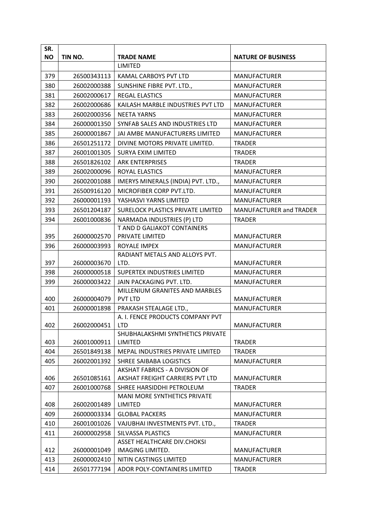| SR.       |             |                                                            |                                            |
|-----------|-------------|------------------------------------------------------------|--------------------------------------------|
| <b>NO</b> | TIN NO.     | <b>TRADE NAME</b>                                          | <b>NATURE OF BUSINESS</b>                  |
|           |             | <b>LIMITED</b>                                             |                                            |
| 379       | 26500343113 | KAMAL CARBOYS PVT LTD                                      | <b>MANUFACTURER</b>                        |
| 380       | 26002000388 | SUNSHINE FIBRE PVT. LTD.,                                  | <b>MANUFACTURER</b>                        |
| 381       | 26002000617 | <b>REGAL ELASTICS</b>                                      | <b>MANUFACTURER</b>                        |
| 382       | 26002000686 | KAILASH MARBLE INDUSTRIES PVT LTD                          | <b>MANUFACTURER</b>                        |
| 383       | 26002000356 | <b>NEETA YARNS</b>                                         | <b>MANUFACTURER</b>                        |
| 384       | 26000001350 | SYNFAB SALES AND INDUSTRIES LTD                            | <b>MANUFACTURER</b>                        |
| 385       | 26000001867 | JAI AMBE MANUFACTURERS LIMITED                             | <b>MANUFACTURER</b>                        |
| 386       | 26501251172 | DIVINE MOTORS PRIVATE LIMITED.                             | <b>TRADER</b>                              |
| 387       | 26001001305 | <b>SURYA EXIM LIMITED</b>                                  | <b>TRADER</b>                              |
| 388       | 26501826102 | <b>ARK ENTERPRISES</b>                                     | <b>TRADER</b>                              |
| 389       | 26002000096 | ROYAL ELASTICS                                             | <b>MANUFACTURER</b>                        |
| 390       | 26002001088 | IMERYS MINERALS (INDIA) PVT. LTD.,                         | <b>MANUFACTURER</b>                        |
| 391       | 26500916120 | MICROFIBER CORP PVT.LTD.                                   | <b>MANUFACTURER</b>                        |
| 392       | 26000001193 | YASHASVI YARNS LIMITED                                     | <b>MANUFACTURER</b>                        |
| 393       | 26501204187 | SURELOCK PLASTICS PRIVATE LIMITED                          | <b>MANUFACTURER and TRADER</b>             |
| 394       | 26001000836 | NARMADA INDUSTRIES (P) LTD                                 | <b>TRADER</b>                              |
|           |             | T AND D GALIAKOT CONTAINERS                                |                                            |
| 395       | 26000002570 | PRIVATE LIMITED                                            | <b>MANUFACTURER</b>                        |
| 396       | 26000003993 | ROYALE IMPEX                                               | <b>MANUFACTURER</b>                        |
|           |             | RADIANT METALS AND ALLOYS PVT.                             |                                            |
| 397       | 26000003670 | LTD.                                                       | <b>MANUFACTURER</b>                        |
| 398       | 26000000518 | SUPERTEX INDUSTRIES LIMITED                                | <b>MANUFACTURER</b>                        |
| 399       | 26000003422 | JAIN PACKAGING PVT. LTD.                                   | <b>MANUFACTURER</b>                        |
|           | 26000004079 | MILLENIUM GRANITES AND MARBLES                             |                                            |
| 400       | 26000001898 | <b>PVT LTD</b>                                             | <b>MANUFACTURER</b><br><b>MANUFACTURER</b> |
| 401       |             | PRAKASH STEALAGE LTD.,<br>A. I. FENCE PRODUCTS COMPANY PVT |                                            |
| 402       | 26002000451 | <b>LTD</b>                                                 | <b>MANUFACTURER</b>                        |
|           |             | SHUBHALAKSHMI SYNTHETICS PRIVATE                           |                                            |
| 403       | 26001000911 | LIMITED                                                    | <b>TRADER</b>                              |
| 404       | 26501849138 | MEPAL INDUSTRIES PRIVATE LIMITED                           | <b>TRADER</b>                              |
| 405       | 26002001392 | SHREE SAIBABA LOGISTICS                                    | <b>MANUFACTURER</b>                        |
|           |             | AKSHAT FABRICS - A DIVISION OF                             |                                            |
| 406       | 26501085161 | AKSHAT FREIGHT CARRIERS PVT LTD                            | <b>MANUFACTURER</b>                        |
| 407       | 26001000768 | SHREE HARSIDDHI PETROLEUM                                  | <b>TRADER</b>                              |
|           |             | <b>MANI MORE SYNTHETICS PRIVATE</b>                        |                                            |
| 408       | 26002001489 | <b>LIMITED</b>                                             | <b>MANUFACTURER</b>                        |
| 409       | 26000003334 | <b>GLOBAL PACKERS</b>                                      | <b>MANUFACTURER</b>                        |
| 410       | 26001001026 | VAJUBHAI INVESTMENTS PVT. LTD.,                            | <b>TRADER</b>                              |
| 411       | 26000002958 | <b>SILVASSA PLASTICS</b>                                   | <b>MANUFACTURER</b>                        |
|           |             | ASSET HEALTHCARE DIV.CHOKSI                                |                                            |
| 412       | 26000001049 | IMAGING LIMITED.                                           | <b>MANUFACTURER</b>                        |
| 413       | 26000002410 | NITIN CASTINGS LIMITED                                     | <b>MANUFACTURER</b>                        |
| 414       | 26501777194 | ADOR POLY-CONTAINERS LIMITED                               | <b>TRADER</b>                              |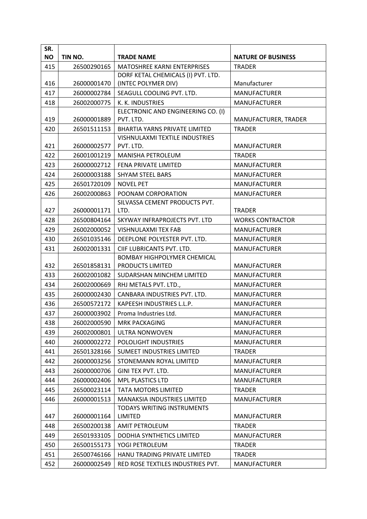| SR.<br><b>NO</b> | TIN NO.     | <b>TRADE NAME</b>                     | <b>NATURE OF BUSINESS</b> |
|------------------|-------------|---------------------------------------|---------------------------|
| 415              |             | <b>MATOSHREE KARNI ENTERPRISES</b>    |                           |
|                  | 26500290165 | DORF KETAL CHEMICALS (I) PVT. LTD.    | <b>TRADER</b>             |
| 416              | 26000001470 | (INTEC POLYMER DIV)                   | Manufacturer              |
| 417              | 26000002784 | SEAGULL COOLING PVT. LTD.             | <b>MANUFACTURER</b>       |
| 418              | 26002000775 | K. K. INDUSTRIES                      | <b>MANUFACTURER</b>       |
|                  |             | ELECTRONIC AND ENGINEERING CO. (I)    |                           |
| 419              | 26000001889 | PVT. LTD.                             | MANUFACTURER, TRADER      |
| 420              | 26501511153 | <b>BHARTIA YARNS PRIVATE LIMITED</b>  | <b>TRADER</b>             |
|                  |             | <b>VISHNULAXMI TEXTILE INDUSTRIES</b> |                           |
| 421              | 26000002577 | PVT. LTD.                             | <b>MANUFACTURER</b>       |
| 422              | 26001001219 | <b>MANISHA PETROLEUM</b>              | <b>TRADER</b>             |
| 423              | 26000002712 | <b>FENA PRIVATE LIMITED</b>           | <b>MANUFACTURER</b>       |
| 424              | 26000003188 | <b>SHYAM STEEL BARS</b>               | <b>MANUFACTURER</b>       |
| 425              | 26501720109 | <b>NOVEL PET</b>                      | <b>MANUFACTURER</b>       |
| 426              | 26002000863 | POONAM CORPORATION                    | <b>MANUFACTURER</b>       |
|                  |             | SILVASSA CEMENT PRODUCTS PVT.         |                           |
| 427              | 26000001171 | LTD.                                  | <b>TRADER</b>             |
| 428              | 26500804164 | SKYWAY INFRAPROJECTS PVT. LTD         | <b>WORKS CONTRACTOR</b>   |
| 429              | 26002000052 | <b>VISHNULAXMI TEX FAB</b>            | <b>MANUFACTURER</b>       |
| 430              | 26501035146 | DEEPLONE POLYESTER PVT. LTD.          | <b>MANUFACTURER</b>       |
| 431              | 26002001331 | CIIF LUBRICANTS PVT. LTD.             | <b>MANUFACTURER</b>       |
|                  |             | <b>BOMBAY HIGHPOLYMER CHEMICAL</b>    |                           |
| 432              | 26501858131 | PRODUCTS LIMITED                      | <b>MANUFACTURER</b>       |
| 433              | 26002001082 | SUDARSHAN MINCHEM LIMITED             | <b>MANUFACTURER</b>       |
| 434              | 26002000669 | RHJ METALS PVT. LTD.,                 | <b>MANUFACTURER</b>       |
| 435              | 26000002430 | CANBARA INDUSTRIES PVT. LTD.          | <b>MANUFACTURER</b>       |
| 436              | 26500572172 | KAPEESH INDUSTRIES L.L.P.             | <b>MANUFACTURER</b>       |
| 437              | 26000003902 | Proma Industries Ltd.                 | <b>MANUFACTURER</b>       |
| 438              | 26002000590 | <b>MRK PACKAGING</b>                  | MANUFACTURER              |
| 439              | 26002000801 | ULTRA NONWOVEN                        | <b>MANUFACTURER</b>       |
| 440              | 26000002272 | POLOLIGHT INDUSTRIES                  | <b>MANUFACTURER</b>       |
| 441              | 26501328166 | <b>SUMEET INDUSTRIES LIMITED</b>      | <b>TRADER</b>             |
| 442              | 26000003256 | STONEMANN ROYAL LIMITED               | <b>MANUFACTURER</b>       |
| 443              | 26000000706 | GINI TEX PVT. LTD.                    | <b>MANUFACTURER</b>       |
| 444              | 26000002406 | <b>MPL PLASTICS LTD</b>               | <b>MANUFACTURER</b>       |
| 445              | 26500023114 | <b>TATA MOTORS LIMITED</b>            | <b>TRADER</b>             |
| 446              | 26000001513 | <b>MANAKSIA INDUSTRIES LIMITED</b>    | <b>MANUFACTURER</b>       |
|                  |             | TODAYS WRITING INSTRUMENTS            |                           |
| 447              | 26000001164 | LIMITED                               | <b>MANUFACTURER</b>       |
| 448              | 26500200138 | <b>AMIT PETROLEUM</b>                 | <b>TRADER</b>             |
| 449              | 26501933105 | DODHIA SYNTHETICS LIMITED             | <b>MANUFACTURER</b>       |
| 450              | 26500155173 | YOGI PETROLEUM                        | <b>TRADER</b>             |
| 451              | 26500746166 | HANU TRADING PRIVATE LIMITED          | <b>TRADER</b>             |
| 452              | 26000002549 | RED ROSE TEXTILES INDUSTRIES PVT.     | <b>MANUFACTURER</b>       |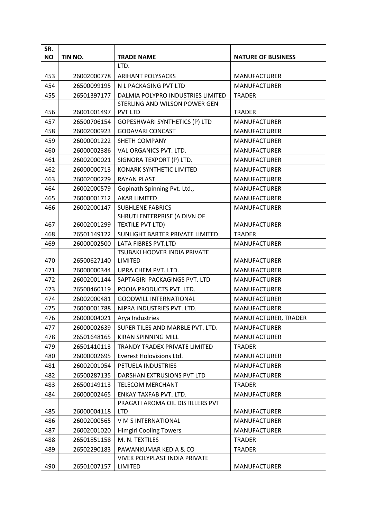| SR.       |             |                                                 |                           |
|-----------|-------------|-------------------------------------------------|---------------------------|
| <b>NO</b> | TIN NO.     | <b>TRADE NAME</b>                               | <b>NATURE OF BUSINESS</b> |
|           |             | LTD.                                            |                           |
| 453       | 26002000778 | ARIHANT POLYSACKS                               | <b>MANUFACTURER</b>       |
| 454       | 26500099195 | N L PACKAGING PVT LTD                           | <b>MANUFACTURER</b>       |
| 455       | 26501397177 | DALMIA POLYPRO INDUSTRIES LIMITED               | <b>TRADER</b>             |
|           |             | STERLING AND WILSON POWER GEN                   |                           |
| 456       | 26001001497 | <b>PVT LTD</b>                                  | <b>TRADER</b>             |
| 457       | 26500706154 | GOPESHWARI SYNTHETICS (P) LTD                   | <b>MANUFACTURER</b>       |
| 458       | 26002000923 | <b>GODAVARI CONCAST</b>                         | <b>MANUFACTURER</b>       |
| 459       | 26000001222 | SHETH COMPANY                                   | <b>MANUFACTURER</b>       |
| 460       | 26000002386 | VAL ORGANICS PVT. LTD.                          | <b>MANUFACTURER</b>       |
| 461       | 26002000021 | SIGNORA TEXPORT (P) LTD.                        | <b>MANUFACTURER</b>       |
| 462       | 26000000713 | <b>KONARK SYNTHETIC LIMITED</b>                 | <b>MANUFACTURER</b>       |
| 463       | 26002000229 | <b>RAYAN PLAST</b>                              | <b>MANUFACTURER</b>       |
| 464       | 26002000579 | Gopinath Spinning Pvt. Ltd.,                    | <b>MANUFACTURER</b>       |
| 465       | 26000001712 | <b>AKAR LIMITED</b>                             | <b>MANUFACTURER</b>       |
| 466       | 26002000147 | <b>SUBHLENE FABRICS</b>                         | <b>MANUFACTURER</b>       |
|           |             | SHRUTI ENTERPRISE (A DIVN OF                    |                           |
| 467       | 26002001299 | TEXTILE PVT LTD)                                | <b>MANUFACTURER</b>       |
| 468       | 26501149122 | SUNLIGHT BARTER PRIVATE LIMITED                 | <b>TRADER</b>             |
| 469       | 26000002500 | LATA FIBRES PVT.LTD                             | <b>MANUFACTURER</b>       |
|           |             | <b>TSUBAKI HOOVER INDIA PRIVATE</b>             |                           |
| 470       | 26500627140 | LIMITED                                         | <b>MANUFACTURER</b>       |
| 471       | 26000000344 | UPRA CHEM PVT. LTD.                             | <b>MANUFACTURER</b>       |
| 472       | 26002001144 | SAPTAGIRI PACKAGINGS PVT. LTD                   | <b>MANUFACTURER</b>       |
| 473       | 26500460119 | POOJA PRODUCTS PVT. LTD.                        | <b>MANUFACTURER</b>       |
| 474       | 26002000481 | <b>GOODWILL INTERNATIONAL</b>                   | <b>MANUFACTURER</b>       |
| 475       | 26000001788 | NIPRA INDUSTRIES PVT. LTD.                      | <b>MANUFACTURER</b>       |
| 476       | 26000004021 | Arya Industries                                 | MANUFACTURER, TRADER      |
| 477       | 26000002639 | SUPER TILES AND MARBLE PVT. LTD.                | <b>MANUFACTURER</b>       |
| 478       | 26501648165 | <b>KIRAN SPINNING MILL</b>                      | <b>MANUFACTURER</b>       |
| 479       | 26501410113 | TRANDY TRADEX PRIVATE LIMITED                   | <b>TRADER</b>             |
| 480       | 26000002695 | Everest Holovisions Ltd.                        | <b>MANUFACTURER</b>       |
| 481       | 26002001054 | PETUELA INDUSTRIES                              | <b>MANUFACTURER</b>       |
| 482       | 26500287135 | DARSHAN EXTRUSIONS PVT LTD                      | <b>MANUFACTURER</b>       |
| 483       | 26500149113 | <b>TELECOM MERCHANT</b>                         | <b>TRADER</b>             |
| 484       | 26000002465 | ENKAY TAXFAB PVT. LTD.                          | <b>MANUFACTURER</b>       |
|           |             | PRAGATI AROMA OIL DISTILLERS PVT                |                           |
| 485       | 26000004118 | <b>LTD</b>                                      | <b>MANUFACTURER</b>       |
| 486       | 26002000565 | V M S INTERNATIONAL                             | <b>MANUFACTURER</b>       |
| 487       | 26002001020 | <b>Himgiri Cooling Towers</b>                   | <b>MANUFACTURER</b>       |
| 488       | 26501851158 | M. N. TEXTILES                                  | <b>TRADER</b>             |
| 489       | 26502290183 | PAWANKUMAR KEDIA & CO                           | <b>TRADER</b>             |
| 490       | 26501007157 | <b>VIVEK POLYPLAST INDIA PRIVATE</b><br>LIMITED | <b>MANUFACTURER</b>       |
|           |             |                                                 |                           |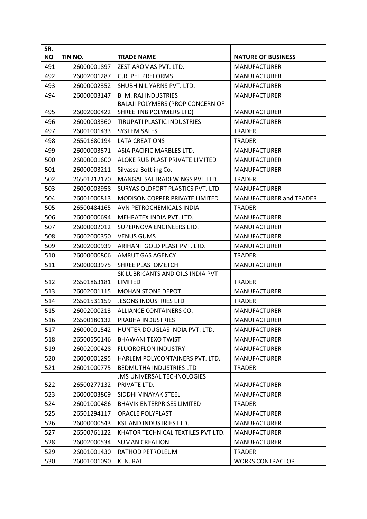| SR.       |             |                                         |                           |
|-----------|-------------|-----------------------------------------|---------------------------|
| <b>NO</b> | TIN NO.     | <b>TRADE NAME</b>                       | <b>NATURE OF BUSINESS</b> |
| 491       | 26000001897 | ZEST AROMAS PVT. LTD.                   | <b>MANUFACTURER</b>       |
| 492       | 26002001287 | <b>G.R. PET PREFORMS</b>                | <b>MANUFACTURER</b>       |
| 493       | 26000002352 | SHUBH NIL YARNS PVT. LTD.               | <b>MANUFACTURER</b>       |
| 494       | 26000003147 | <b>B. M. RAJ INDUSTRIES</b>             | <b>MANUFACTURER</b>       |
|           |             | <b>BALAJI POLYMERS (PROP CONCERN OF</b> |                           |
| 495       | 26002000422 | SHREE TNB POLYMERS LTD)                 | <b>MANUFACTURER</b>       |
| 496       | 26000003360 | <b>TIRUPATI PLASTIC INDUSTRIES</b>      | <b>MANUFACTURER</b>       |
| 497       | 26001001433 | <b>SYSTEM SALES</b>                     | <b>TRADER</b>             |
| 498       | 26501680194 | <b>LATA CREATIONS</b>                   | <b>TRADER</b>             |
| 499       | 26000003571 | ASIA PACIFIC MARBLES LTD.               | <b>MANUFACTURER</b>       |
| 500       | 26000001600 | ALOKE RUB PLAST PRIVATE LIMITED         | <b>MANUFACTURER</b>       |
| 501       | 26000003211 | Silvassa Bottling Co.                   | <b>MANUFACTURER</b>       |
| 502       | 26501212170 | MANGAL SAI TRADEWINGS PVT LTD           | <b>TRADER</b>             |
| 503       | 26000003958 | SURYAS OLDFORT PLASTICS PVT. LTD.       | <b>MANUFACTURER</b>       |
| 504       | 26001000813 | MODISON COPPER PRIVATE LIMITED          | MANUFACTURER and TRADER   |
| 505       | 26500484165 | AVN PETROCHEMICALS INDIA                | <b>TRADER</b>             |
| 506       | 26000000694 | MEHRATEX INDIA PVT. LTD.                | <b>MANUFACTURER</b>       |
| 507       | 26000002012 | SUPERNOVA ENGINEERS LTD.                | <b>MANUFACTURER</b>       |
| 508       | 26002000350 | <b>VENUS GUMS</b>                       | <b>MANUFACTURER</b>       |
| 509       | 26002000939 | ARIHANT GOLD PLAST PVT. LTD.            | <b>MANUFACTURER</b>       |
| 510       | 26000000806 | AMRUT GAS AGENCY                        | <b>TRADER</b>             |
| 511       | 26000003975 | SHREE PLASTOMETCH                       | <b>MANUFACTURER</b>       |
|           |             | SK LUBRICANTS AND OILS INDIA PVT        |                           |
| 512       | 26501863181 | LIMITED                                 | <b>TRADER</b>             |
| 513       | 26002001115 | <b>MOHAN STONE DEPOT</b>                | <b>MANUFACTURER</b>       |
| 514       | 26501531159 | <b>JESONS INDUSTRIES LTD</b>            | <b>TRADER</b>             |
| 515       | 26002000213 | ALLIANCE CONTAINERS CO.                 | <b>MANUFACTURER</b>       |
| 516       | 26500180132 | PRABHA INDUSTRIES                       | <b>MANUFACTURER</b>       |
| 517       | 26000001542 | HUNTER DOUGLAS INDIA PVT. LTD.          | <b>MANUFACTURER</b>       |
| 518       | 26500550146 | <b>BHAWANI TEXO TWIST</b>               | <b>MANUFACTURER</b>       |
| 519       | 26002000428 | <b>FLUOROFLON INDUSTRY</b>              | <b>MANUFACTURER</b>       |
| 520       | 26000001295 | HARLEM POLYCONTAINERS PVT. LTD.         | MANUFACTURER              |
| 521       | 26001000775 | <b>BEDMUTHA INDUSTRIES LTD</b>          | <b>TRADER</b>             |
|           |             | <b>JMS UNIVERSAL TECHNOLOGIES</b>       |                           |
| 522       | 26500277132 | PRIVATE LTD.                            | <b>MANUFACTURER</b>       |
| 523       | 26000003809 | SIDDHI VINAYAK STEEL                    | <b>MANUFACTURER</b>       |
| 524       | 26001000486 | <b>BHAVIK ENTERPRISES LIMITED</b>       | <b>TRADER</b>             |
| 525       | 26501294117 | <b>ORACLE POLYPLAST</b>                 | <b>MANUFACTURER</b>       |
| 526       | 26000000543 | KSL AND INDUSTRIES LTD.                 | <b>MANUFACTURER</b>       |
| 527       | 26500761122 | KHATOR TECHNICAL TEXTILES PVT LTD.      | <b>MANUFACTURER</b>       |
| 528       | 26002000534 | <b>SUMAN CREATION</b>                   | <b>MANUFACTURER</b>       |
| 529       | 26001001430 | RATHOD PETROLEUM                        | <b>TRADER</b>             |
| 530       | 26001001090 | K. N. RAI                               | <b>WORKS CONTRACTOR</b>   |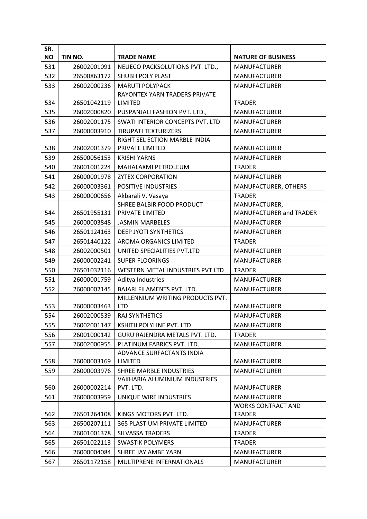| SR.       |             |                                            |                                                  |
|-----------|-------------|--------------------------------------------|--------------------------------------------------|
| <b>NO</b> | TIN NO.     | <b>TRADE NAME</b>                          | <b>NATURE OF BUSINESS</b>                        |
| 531       | 26002001091 | NEUECO PACKSOLUTIONS PVT. LTD.,            | <b>MANUFACTURER</b>                              |
| 532       | 26500863172 | <b>SHUBH POLY PLAST</b>                    | <b>MANUFACTURER</b>                              |
| 533       | 26002000236 | <b>MARUTI POLYPACK</b>                     | <b>MANUFACTURER</b>                              |
|           |             | RAYONTEX YARN TRADERS PRIVATE              |                                                  |
| 534       | 26501042119 | LIMITED                                    | <b>TRADER</b>                                    |
| 535       | 26002000820 | PUSPANJALI FASHION PVT. LTD.,              | <b>MANUFACTURER</b>                              |
| 536       | 26002001175 | SWATI INTERIOR CONCEPTS PVT. LTD           | <b>MANUFACTURER</b>                              |
| 537       | 26000003910 | <b>TIRUPATI TEXTURIZERS</b>                | <b>MANUFACTURER</b>                              |
|           |             | RIGHT SEL ECTION MARBLE INDIA              |                                                  |
| 538       | 26002001379 | PRIVATE LIMITED                            | <b>MANUFACTURER</b>                              |
| 539       | 26500056153 | <b>KRISHI YARNS</b>                        | <b>MANUFACTURER</b>                              |
| 540       | 26001001224 | MAHALAXMI PETROLEUM                        | <b>TRADER</b>                                    |
| 541       | 26000001978 | <b>ZYTEX CORPORATION</b>                   | <b>MANUFACTURER</b>                              |
| 542       | 26000003361 | <b>POSITIVE INDUSTRIES</b>                 | MANUFACTURER, OTHERS                             |
| 543       | 26000000656 | Akbarali V. Vasaya                         | <b>TRADER</b>                                    |
|           |             | <b>SHREE BALBIR FOOD PRODUCT</b>           | MANUFACTURER,                                    |
| 544       | 26501955131 | PRIVATE LIMITED                            | <b>MANUFACTURER and TRADER</b>                   |
| 545       | 26000003848 | <b>JASMIN MARBELES</b>                     | <b>MANUFACTURER</b>                              |
| 546       | 26501124163 | DEEP JYOTI SYNTHETICS                      | <b>MANUFACTURER</b>                              |
| 547       | 26501440122 | AROMA ORGANICS LIMITED                     | <b>TRADER</b>                                    |
| 548       | 26002000501 | UNITED SPECIALITIES PVT.LTD                | <b>MANUFACTURER</b>                              |
| 549       | 26000002241 | <b>SUPER FLOORINGS</b>                     | <b>MANUFACTURER</b>                              |
| 550       | 26501032116 | WESTERN METAL INDUSTRIES PVT LTD           | <b>TRADER</b>                                    |
| 551       | 26000001759 | Aditya Industries                          | <b>MANUFACTURER</b>                              |
| 552       | 26000002145 | BAJARI FILAMENTS PVT. LTD.                 | <b>MANUFACTURER</b>                              |
|           |             | MILLENNIUM WRITING PRODUCTS PVT.           |                                                  |
| 553       | 26000003463 | <b>LTD</b>                                 | <b>MANUFACTURER</b>                              |
| 554       | 26002000539 | <b>RAJ SYNTHETICS</b>                      | <b>MANUFACTURER</b>                              |
| 555       | 26002001147 | KSHITIJ POLYLINE PVT. LTD                  | <b>MANUFACTURER</b>                              |
| 556       | 26001000142 | <b>GURU RAJENDRA METALS PVT. LTD.</b>      | <b>TRADER</b>                                    |
| 557       | 26002000955 | PLATINUM FABRICS PVT. LTD.                 | <b>MANUFACTURER</b>                              |
|           |             | ADVANCE SURFACTANTS INDIA                  |                                                  |
| 558       | 26000003169 | <b>LIMITED</b>                             | <b>MANUFACTURER</b>                              |
| 559       | 26000003976 | SHREE MARBLE INDUSTRIES                    | <b>MANUFACTURER</b>                              |
| 560       | 26000002214 | VAKHARIA ALUMINIUM INDUSTRIES<br>PVT. LTD. | <b>MANUFACTURER</b>                              |
|           |             |                                            |                                                  |
| 561       | 26000003959 | UNIQUE WIRE INDUSTRIES                     | <b>MANUFACTURER</b><br><b>WORKS CONTRACT AND</b> |
| 562       | 26501264108 | KINGS MOTORS PVT. LTD.                     | <b>TRADER</b>                                    |
| 563       | 26500207111 | 365 PLASTIUM PRIVATE LIMITED               | <b>MANUFACTURER</b>                              |
| 564       | 26001001378 | <b>SILVASSA TRADERS</b>                    | <b>TRADER</b>                                    |
| 565       | 26501022113 | <b>SWASTIK POLYMERS</b>                    | <b>TRADER</b>                                    |
| 566       | 26000004084 | SHREE JAY AMBE YARN                        | <b>MANUFACTURER</b>                              |
| 567       | 26501172158 | MULTIPRENE INTERNATIONALS                  | <b>MANUFACTURER</b>                              |
|           |             |                                            |                                                  |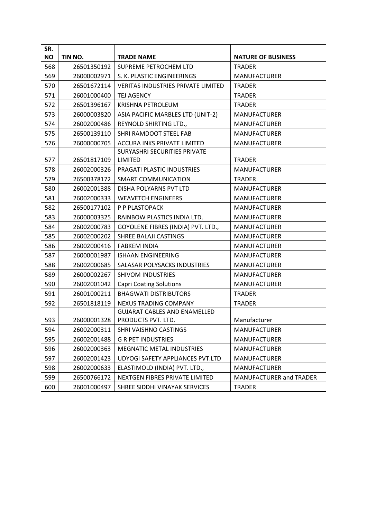| SR.       |             |                                           |                           |
|-----------|-------------|-------------------------------------------|---------------------------|
| <b>NO</b> | TIN NO.     | <b>TRADE NAME</b>                         | <b>NATURE OF BUSINESS</b> |
| 568       | 26501350192 | SUPREME PETROCHEM LTD                     | <b>TRADER</b>             |
| 569       | 26000002971 | S. K. PLASTIC ENGINEERINGS                | <b>MANUFACTURER</b>       |
| 570       | 26501672114 | <b>VERITAS INDUSTRIES PRIVATE LIMITED</b> | <b>TRADER</b>             |
| 571       | 26001000400 | <b>TEJ AGENCY</b>                         | <b>TRADER</b>             |
| 572       | 26501396167 | KRISHNA PETROLEUM                         | <b>TRADER</b>             |
| 573       | 26000003820 | ASIA PACIFIC MARBLES LTD (UNIT-2)         | <b>MANUFACTURER</b>       |
| 574       | 26002000486 | REYNOLD SHIRTING LTD.,                    | <b>MANUFACTURER</b>       |
| 575       | 26500139110 | SHRI RAMDOOT STEEL FAB                    | <b>MANUFACTURER</b>       |
| 576       | 26000000705 | ACCURA INKS PRIVATE LIMITED               | <b>MANUFACTURER</b>       |
|           |             | <b>SURYASHRI SECURITIES PRIVATE</b>       |                           |
| 577       | 26501817109 | <b>LIMITED</b>                            | <b>TRADER</b>             |
| 578       | 26002000326 | PRAGATI PLASTIC INDUSTRIES                | <b>MANUFACTURER</b>       |
| 579       | 26500378172 | SMART COMMUNICATION                       | <b>TRADER</b>             |
| 580       | 26002001388 | DISHA POLYARNS PVT LTD                    | <b>MANUFACTURER</b>       |
| 581       | 26002000333 | <b>WEAVETCH ENGINEERS</b>                 | MANUFACTURER              |
| 582       | 26500177102 | P P PLASTOPACK                            | <b>MANUFACTURER</b>       |
| 583       | 26000003325 | RAINBOW PLASTICS INDIA LTD.               | <b>MANUFACTURER</b>       |
| 584       | 26002000783 | GOYOLENE FIBRES (INDIA) PVT. LTD.,        | <b>MANUFACTURER</b>       |
| 585       | 26002000202 | SHREE BALAJI CASTINGS                     | <b>MANUFACTURER</b>       |
| 586       | 26002000416 | <b>FABKEM INDIA</b>                       | <b>MANUFACTURER</b>       |
| 587       | 26000001987 | <b>ISHAAN ENGINEERING</b>                 | <b>MANUFACTURER</b>       |
| 588       | 26002000685 | SALASAR POLYSACKS INDUSTRIES              | <b>MANUFACTURER</b>       |
| 589       | 26000002267 | <b>SHIVOM INDUSTRIES</b>                  | <b>MANUFACTURER</b>       |
| 590       | 26002001042 | <b>Capri Coating Solutions</b>            | <b>MANUFACTURER</b>       |
| 591       | 26001000211 | <b>BHAGWATI DISTRIBUTORS</b>              | <b>TRADER</b>             |
| 592       | 26501818119 | NEXUS TRADING COMPANY                     | <b>TRADER</b>             |
|           |             | <b>GUJARAT CABLES AND ENAMELLED</b>       |                           |
| 593       | 26000001328 | PRODUCTS PVT. LTD.                        | Manufacturer              |
| 594       | 26002000311 | SHRI VAISHNO CASTINGS                     | <b>MANUFACTURER</b>       |
| 595       | 26002001488 | <b>G R PET INDUSTRIES</b>                 | <b>MANUFACTURER</b>       |
| 596       | 26002000363 | <b>MEGNATIC METAL INDUSTRIES</b>          | MANUFACTURER              |
| 597       | 26002001423 | UDYOGI SAFETY APPLIANCES PVT.LTD          | <b>MANUFACTURER</b>       |
| 598       | 26002000633 | ELASTIMOLD (INDIA) PVT. LTD.,             | <b>MANUFACTURER</b>       |
| 599       | 26500766172 | NEXTGEN FIBRES PRIVATE LIMITED            | MANUFACTURER and TRADER   |
| 600       | 26001000497 | SHREE SIDDHI VINAYAK SERVICES             | <b>TRADER</b>             |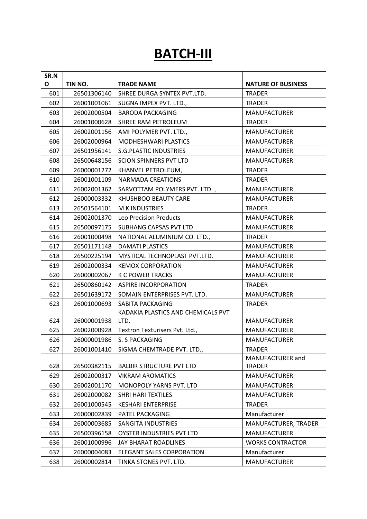# **BATCH-III**

| SR.N |             |                                    |                           |
|------|-------------|------------------------------------|---------------------------|
| O    | TIN NO.     | <b>TRADE NAME</b>                  | <b>NATURE OF BUSINESS</b> |
| 601  | 26501306140 | SHREE DURGA SYNTEX PVT.LTD.        | <b>TRADER</b>             |
| 602  | 26001001061 | SUGNA IMPEX PVT. LTD.,             | <b>TRADER</b>             |
| 603  | 26002000504 | <b>BARODA PACKAGING</b>            | <b>MANUFACTURER</b>       |
| 604  | 26001000628 | SHREE RAM PETROLEUM                | <b>TRADER</b>             |
| 605  | 26002001156 | AMI POLYMER PVT. LTD.,             | <b>MANUFACTURER</b>       |
| 606  | 26002000964 | MODHESHWARI PLASTICS               | <b>MANUFACTURER</b>       |
| 607  | 26501956141 | <b>S.G.PLASTIC INDUSTRIES</b>      | <b>MANUFACTURER</b>       |
| 608  | 26500648156 | <b>SCION SPINNERS PVT LTD</b>      | <b>MANUFACTURER</b>       |
| 609  | 26000001272 | KHANVEL PETROLEUM,                 | <b>TRADER</b>             |
| 610  | 26001001109 | <b>NARMADA CREATIONS</b>           | <b>TRADER</b>             |
| 611  | 26002001362 | SARVOTTAM POLYMERS PVT. LTD.,      | MANUFACTURER              |
| 612  | 26000003332 | KHUSHBOO BEAUTY CARE               | <b>MANUFACTURER</b>       |
| 613  | 26501564101 | M K INDUSTRIES                     | <b>TRADER</b>             |
| 614  | 26002001370 | Leo Precision Products             | MANUFACTURER              |
| 615  | 26500097175 | SUBHANG CAPSAS PVT LTD             | <b>MANUFACTURER</b>       |
| 616  | 26001000498 | NATIONAL ALUMINIUM CO. LTD.,       | <b>TRADER</b>             |
| 617  | 26501171148 | DAMATI PLASTICS                    | <b>MANUFACTURER</b>       |
| 618  | 26500225194 | MYSTICAL TECHNOPLAST PVT.LTD.      | <b>MANUFACTURER</b>       |
| 619  | 26002000334 | <b>KEMOX CORPORATION</b>           | <b>MANUFACTURER</b>       |
| 620  | 26000002067 | <b>K C POWER TRACKS</b>            | <b>MANUFACTURER</b>       |
| 621  | 26500860142 | <b>ASPIRE INCORPORATION</b>        | <b>TRADER</b>             |
| 622  | 26501639172 | SOMAIN ENTERPRISES PVT. LTD.       | <b>MANUFACTURER</b>       |
| 623  | 26001000693 | SABITA PACKAGING                   | <b>TRADER</b>             |
|      |             | KADAKIA PLASTICS AND CHEMICALS PVT |                           |
| 624  | 26000001938 | LTD.                               | MANUFACTURER              |
| 625  | 26002000928 | Textron Texturisers Pvt. Ltd.,     | <b>MANUFACTURER</b>       |
| 626  | 26000001986 | S. S PACKAGING                     | <b>MANUFACTURER</b>       |
| 627  | 26001001410 | SIGMA CHEMTRADE PVT. LTD.,         | <b>TRADER</b>             |
|      |             |                                    | MANUFACTURER and          |
| 628  | 26500382115 | <b>BALBIR STRUCTURE PVT LTD</b>    | <b>TRADER</b>             |
| 629  | 26002000317 | <b>VIKRAM AROMATICS</b>            | <b>MANUFACTURER</b>       |
| 630  | 26002001170 | <b>MONOPOLY YARNS PVT. LTD</b>     | <b>MANUFACTURER</b>       |
| 631  | 26002000082 | SHRI HARI TEXTILES                 | <b>MANUFACTURER</b>       |
| 632  | 26001000545 | <b>KESHARI ENTERPRISE</b>          | <b>TRADER</b>             |
| 633  | 26000002839 | PATEL PACKAGING                    | Manufacturer              |
| 634  | 26000003685 | SANGITA INDUSTRIES                 | MANUFACTURER, TRADER      |
| 635  | 26500396158 | OYSTER INDUSTRIES PVT LTD          | <b>MANUFACTURER</b>       |
| 636  | 26001000996 | JAY BHARAT ROADLINES               | <b>WORKS CONTRACTOR</b>   |
| 637  | 26000004083 | ELEGANT SALES CORPORATION          | Manufacturer              |
| 638  | 26000002814 | TINKA STONES PVT. LTD.             | <b>MANUFACTURER</b>       |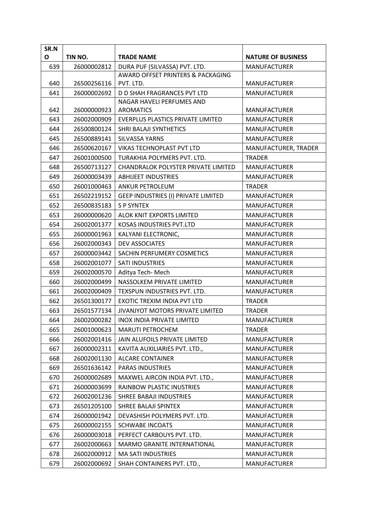| SR.N |             |                                                   |                                            |
|------|-------------|---------------------------------------------------|--------------------------------------------|
| O    | TIN NO.     | <b>TRADE NAME</b>                                 | <b>NATURE OF BUSINESS</b>                  |
| 639  | 26000002812 | DURA PUF (SILVASSA) PVT. LTD.                     | <b>MANUFACTURER</b>                        |
|      |             | AWARD OFFSET PRINTERS & PACKAGING                 |                                            |
| 640  | 26500256116 | PVT. LTD.                                         | <b>MANUFACTURER</b>                        |
| 641  | 26000002692 | D D SHAH FRAGRANCES PVT LTD                       | <b>MANUFACTURER</b>                        |
| 642  | 26000000923 | NAGAR HAVELI PERFUMES AND<br><b>AROMATICS</b>     | <b>MANUFACTURER</b>                        |
| 643  | 26002000909 | <b>EVERPLUS PLASTICS PRIVATE LIMITED</b>          | <b>MANUFACTURER</b>                        |
| 644  | 26500800124 | SHRI BALAJI SYNTHETICS                            | <b>MANUFACTURER</b>                        |
| 645  | 26500889141 | SILVASSA YARNS                                    | <b>MANUFACTURER</b>                        |
| 646  | 26500620167 | VIKAS TECHNOPLAST PVT LTD                         | MANUFACTURER, TRADER                       |
| 647  | 26001000500 | TURAKHIA POLYMERS PVT. LTD.                       | <b>TRADER</b>                              |
| 648  | 26500713127 | CHANDRALOK POLYSTER PRIVATE LIMITED               | <b>MANUFACTURER</b>                        |
| 649  | 26000003439 | <b>ABHIJEET INDUSTRIES</b>                        | <b>MANUFACTURER</b>                        |
| 650  | 26001000463 | <b>ANKUR PETROLEUM</b>                            |                                            |
| 651  | 26502219152 |                                                   | <b>TRADER</b>                              |
| 652  | 26500835183 | GEEP INDUSTRIES (I) PRIVATE LIMITED<br>S P SYNTEX | <b>MANUFACTURER</b><br><b>MANUFACTURER</b> |
|      |             |                                                   |                                            |
| 653  | 26000000620 | ALOK KNIT EXPORTS LIMITED                         | <b>MANUFACTURER</b>                        |
| 654  | 26002001377 | KOSAS INDUSTRIES PVT.LTD                          | <b>MANUFACTURER</b>                        |
| 655  | 26000001963 | KALYANI ELECTRONIC,                               | <b>MANUFACTURER</b>                        |
| 656  | 26002000343 | <b>DEV ASSOCIATES</b>                             | <b>MANUFACTURER</b>                        |
| 657  | 26000003442 | SACHIN PERFUMERY COSMETICS                        | <b>MANUFACTURER</b>                        |
| 658  | 26002001077 | <b>SATI INDUSTRIES</b>                            | <b>MANUFACTURER</b>                        |
| 659  | 26002000570 | Aditya Tech-Mech                                  | <b>MANUFACTURER</b>                        |
| 660  | 26002000499 | NASSOLKEM PRIVATE LIMITED                         | <b>MANUFACTURER</b>                        |
| 661  | 26002000409 | TEXSPUN INDUSTRIES PVT. LTD.                      | <b>MANUFACTURER</b>                        |
| 662  | 26501300177 | EXOTIC TREXIM INDIA PVT LTD                       | <b>TRADER</b>                              |
| 663  | 26501577134 | JIVANJYOT MOTORS PRIVATE LIMITED                  | <b>TRADER</b>                              |
| 664  | 26002000282 | <b>INOX INDIA PRIVATE LIMITED</b>                 | <b>MANUFACTURER</b>                        |
| 665  | 26001000623 | <b>MARUTI PETROCHEM</b>                           | <b>TRADER</b>                              |
| 666  | 26002001416 | JAIN ALUFOILS PRIVATE LIMITED                     | <b>MANUFACTURER</b>                        |
| 667  | 26000002311 | KAVITA AUXILIARIES PVT. LTD.,                     | <b>MANUFACTURER</b>                        |
| 668  | 26002001130 | <b>ALCARE CONTAINER</b>                           | <b>MANUFACTURER</b>                        |
| 669  | 26501636142 | PARAS INDUSTRIES                                  | <b>MANUFACTURER</b>                        |
| 670  | 26000002689 | MAXWEL AIRCON INDIA PVT. LTD.,                    | <b>MANUFACTURER</b>                        |
| 671  | 26000003699 | RAINBOW PLASTIC INUSTRIES                         | <b>MANUFACTURER</b>                        |
| 672  | 26002001236 | SHREE BABAJI INDUSTRIES                           | <b>MANUFACTURER</b>                        |
| 673  | 26501205100 | SHREE BALAJI SPINTEX                              | <b>MANUFACTURER</b>                        |
| 674  | 26000001942 | DEVASHISH POLYMERS PVT. LTD.                      | <b>MANUFACTURER</b>                        |
| 675  | 26000002155 | <b>SCHWABE INCOATS</b>                            | <b>MANUFACTURER</b>                        |
| 676  | 26000003018 | PERFECT CARBOUYS PVT. LTD.                        | <b>MANUFACTURER</b>                        |
| 677  | 26002000663 | MARMO GRANITE INTERNATIONAL                       | <b>MANUFACTURER</b>                        |
| 678  | 26002000912 | MA SATI INDUSTRIES                                | MANUFACTURER                               |
| 679  | 26002000692 | SHAH CONTAINERS PVT. LTD.,                        | <b>MANUFACTURER</b>                        |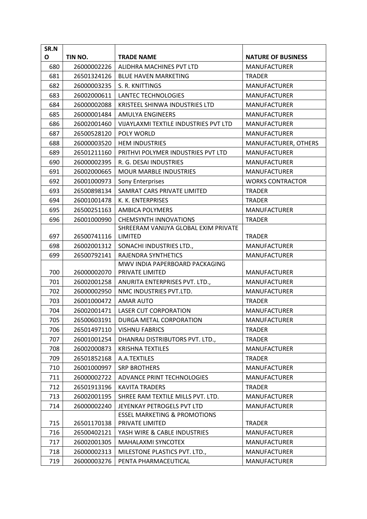| SR.N |             |                                                   |                           |
|------|-------------|---------------------------------------------------|---------------------------|
| O    | TIN NO.     | <b>TRADE NAME</b>                                 | <b>NATURE OF BUSINESS</b> |
| 680  | 26000002226 | ALIDHRA MACHINES PVT LTD                          | <b>MANUFACTURER</b>       |
| 681  | 26501324126 | <b>BLUE HAVEN MARKETING</b>                       | <b>TRADER</b>             |
| 682  | 26000003235 | S. R. KNITTINGS                                   | <b>MANUFACTURER</b>       |
| 683  | 26002000611 | LANTEC TECHNOLOGIES                               | <b>MANUFACTURER</b>       |
| 684  | 26000002088 | KRISTEEL SHINWA INDUSTRIES LTD                    | <b>MANUFACTURER</b>       |
| 685  | 26000001484 | AMULYA ENGINEERS                                  | <b>MANUFACTURER</b>       |
| 686  | 26002001460 | VIJAYLAXMI TEXTILE INDUSTRIES PVT LTD             | <b>MANUFACTURER</b>       |
| 687  | 26500528120 | POLY WORLD                                        | <b>MANUFACTURER</b>       |
| 688  | 26000003520 | <b>HEM INDUSTRIES</b>                             | MANUFACTURER, OTHERS      |
| 689  | 26501211160 | PRITHVI POLYMER INDUSTRIES PVT LTD                | <b>MANUFACTURER</b>       |
| 690  | 26000002395 | R. G. DESAI INDUSTRIES                            | <b>MANUFACTURER</b>       |
| 691  | 26002000665 | <b>MOUR MARBLE INDUSTRIES</b>                     | <b>MANUFACTURER</b>       |
| 692  | 26001000973 | <b>Sony Enterprises</b>                           | <b>WORKS CONTRACTOR</b>   |
| 693  | 26500898134 | SAMRAT CARS PRIVATE LIMITED                       | <b>TRADER</b>             |
| 694  | 26001001478 | K. K. ENTERPRISES                                 | <b>TRADER</b>             |
| 695  | 26500251163 | <b>AMBICA POLYMERS</b>                            | <b>MANUFACTURER</b>       |
| 696  | 26001000990 | <b>CHEMSYNTH INNOVATIONS</b>                      | <b>TRADER</b>             |
|      |             | SHREERAM VANIJYA GLOBAL EXIM PRIVATE              |                           |
| 697  | 26500741116 | LIMITED                                           | <b>TRADER</b>             |
| 698  | 26002001312 | SONACHI INDUSTRIES LTD.,                          | <b>MANUFACTURER</b>       |
| 699  | 26500792141 | RAJENDRA SYNTHETICS                               | <b>MANUFACTURER</b>       |
| 700  | 26000002070 | MWV INDIA PAPERBOARD PACKAGING<br>PRIVATE LIMITED | <b>MANUFACTURER</b>       |
| 701  | 26002001258 | ANURITA ENTERPRISES PVT. LTD.,                    | <b>MANUFACTURER</b>       |
| 702  | 26000002950 | NMC INDUSTRIES PVT.LTD.                           | <b>MANUFACTURER</b>       |
| 703  | 26001000472 | <b>AMAR AUTO</b>                                  | <b>TRADER</b>             |
| 704  | 26002001471 | <b>LASER CUT CORPORATION</b>                      | <b>MANUFACTURER</b>       |
| 705  | 26500603191 | DURGA METAL CORPORATION                           | MANUFACTURER              |
| 706  | 26501497110 | <b>VISHNU FABRICS</b>                             | TRADER                    |
| 707  | 26001001254 | DHANRAJ DISTRIBUTORS PVT. LTD.,                   | <b>TRADER</b>             |
| 708  | 26002000873 | <b>KRISHNA TEXTILES</b>                           | <b>MANUFACTURER</b>       |
| 709  | 26501852168 | A.A.TEXTILES                                      | <b>TRADER</b>             |
| 710  | 26001000997 | <b>SRP BROTHERS</b>                               | <b>MANUFACTURER</b>       |
| 711  | 26000002722 | ADVANCE PRINT TECHNOLOGIES                        | <b>MANUFACTURER</b>       |
| 712  | 26501913196 | <b>KAVITA TRADERS</b>                             | <b>TRADER</b>             |
| 713  | 26002001195 | SHREE RAM TEXTILE MILLS PVT. LTD.                 | <b>MANUFACTURER</b>       |
| 714  | 26000002240 | JEYENKAY PETROGELS PVT LTD                        | <b>MANUFACTURER</b>       |
|      |             | <b>ESSEL MARKETING &amp; PROMOTIONS</b>           |                           |
| 715  | 26501170138 | PRIVATE LIMITED                                   | <b>TRADER</b>             |
| 716  | 26500402121 | YASH WIRE & CABLE INDUSTRIES                      | <b>MANUFACTURER</b>       |
| 717  | 26002001305 | MAHALAXMI SYNCOTEX                                | <b>MANUFACTURER</b>       |
| 718  | 26000002313 | MILESTONE PLASTICS PVT. LTD.,                     | <b>MANUFACTURER</b>       |
| 719  | 26000003276 | PENTA PHARMACEUTICAL                              | <b>MANUFACTURER</b>       |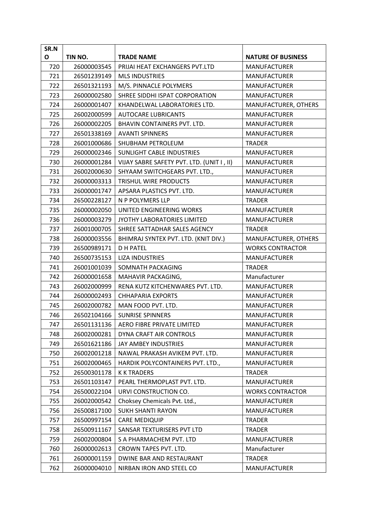| SR.N |             |                                           |                           |
|------|-------------|-------------------------------------------|---------------------------|
| O    | TIN NO.     | <b>TRADE NAME</b>                         | <b>NATURE OF BUSINESS</b> |
| 720  | 26000003545 | PRIJAI HEAT EXCHANGERS PVT.LTD            | <b>MANUFACTURER</b>       |
| 721  | 26501239149 | <b>MLS INDUSTRIES</b>                     | <b>MANUFACTURER</b>       |
| 722  | 26501321193 | M/S. PINNACLE POLYMERS                    | <b>MANUFACTURER</b>       |
| 723  | 26000002580 | SHREE SIDDHI ISPAT CORPORATION            | <b>MANUFACTURER</b>       |
| 724  | 26000001407 | KHANDELWAL LABORATORIES LTD.              | MANUFACTURER, OTHERS      |
| 725  | 26002000599 | <b>AUTOCARE LUBRICANTS</b>                | <b>MANUFACTURER</b>       |
| 726  | 26000002205 | BHAVIN CONTAINERS PVT. LTD.               | <b>MANUFACTURER</b>       |
| 727  | 26501338169 | <b>AVANTI SPINNERS</b>                    | <b>MANUFACTURER</b>       |
| 728  | 26001000686 | SHUBHAM PETROLEUM                         | <b>TRADER</b>             |
| 729  | 26000002346 | SUNLIGHT CABLE INDUSTRIES                 | <b>MANUFACTURER</b>       |
| 730  | 26000001284 | VIJAY SABRE SAFETY PVT. LTD. (UNIT I, II) | <b>MANUFACTURER</b>       |
| 731  | 26002000630 | SHYAAM SWITCHGEARS PVT. LTD.,             | <b>MANUFACTURER</b>       |
| 732  | 26000003313 | TRISHUL WIRE PRODUCTS                     | <b>MANUFACTURER</b>       |
| 733  | 26000001747 | APSARA PLASTICS PVT. LTD.                 | <b>MANUFACTURER</b>       |
| 734  | 26500228127 | N P POLYMERS LLP                          | <b>TRADER</b>             |
| 735  | 26000002050 | UNITED ENGINEERING WORKS                  | <b>MANUFACTURER</b>       |
| 736  | 26000003279 | JYOTHY LABORATORIES LIMITED               | <b>MANUFACTURER</b>       |
| 737  | 26001000705 | SHREE SATTADHAR SALES AGENCY              | <b>TRADER</b>             |
| 738  | 26000003556 | BHIMRAJ SYNTEX PVT. LTD. (KNIT DIV.)      | MANUFACTURER, OTHERS      |
| 739  | 26500989171 | <b>DH PATEL</b>                           | <b>WORKS CONTRACTOR</b>   |
| 740  | 26500735153 | <b>LIZA INDUSTRIES</b>                    | <b>MANUFACTURER</b>       |
| 741  | 26001001039 | SOMNATH PACKAGING                         | <b>TRADER</b>             |
| 742  | 26000001658 | MAHAVIR PACKAGING,                        | Manufacturer              |
| 743  | 26002000999 | RENA KUTZ KITCHENWARES PVT. LTD.          | <b>MANUFACTURER</b>       |
| 744  | 26000002493 | <b>CHHAPARIA EXPORTS</b>                  | <b>MANUFACTURER</b>       |
| 745  | 26002000782 | MAN FOOD PVT. LTD.                        | <b>MANUFACTURER</b>       |
| 746  | 26502104166 | <b>SUNRISE SPINNERS</b>                   | <b>MANUFACTURER</b>       |
| 747  | 26501131136 | AERO FIBRE PRIVATE LIMITED                | <b>MANUFACTURER</b>       |
| 748  | 26002000281 | DYNA CRAFT AIR CONTROLS                   | <b>MANUFACTURER</b>       |
| 749  | 26501621186 | JAY AMBEY INDUSTRIES                      | <b>MANUFACTURER</b>       |
| 750  | 26002001218 | NAWAL PRAKASH AVIKEM PVT. LTD.            | <b>MANUFACTURER</b>       |
| 751  | 26002000465 | HARDIK POLYCONTAINERS PVT. LTD.,          | <b>MANUFACTURER</b>       |
| 752  | 26500301178 | <b>K K TRADERS</b>                        | <b>TRADER</b>             |
| 753  | 26501103147 | PEARL THERMOPLAST PVT. LTD.               | <b>MANUFACTURER</b>       |
| 754  | 26500022104 | URVI CONSTRUCTION CO.                     | <b>WORKS CONTRACTOR</b>   |
| 755  | 26002000542 | Choksey Chemicals Pvt. Ltd.,              | <b>MANUFACTURER</b>       |
| 756  | 26500817100 | <b>SUKH SHANTI RAYON</b>                  | <b>MANUFACTURER</b>       |
| 757  | 26500997154 | <b>CARE MEDIQUIP</b>                      | <b>TRADER</b>             |
| 758  | 26500911167 | SANSAR TEXTURISERS PVT LTD                | <b>TRADER</b>             |
| 759  | 26002000804 | S A PHARMACHEM PVT. LTD                   | <b>MANUFACTURER</b>       |
| 760  | 26000002613 | CROWN TAPES PVT. LTD.                     | Manufacturer              |
| 761  | 26000001159 | DWINE BAR AND RESTAURANT                  | <b>TRADER</b>             |
| 762  | 26000004010 | NIRBAN IRON AND STEEL CO                  | <b>MANUFACTURER</b>       |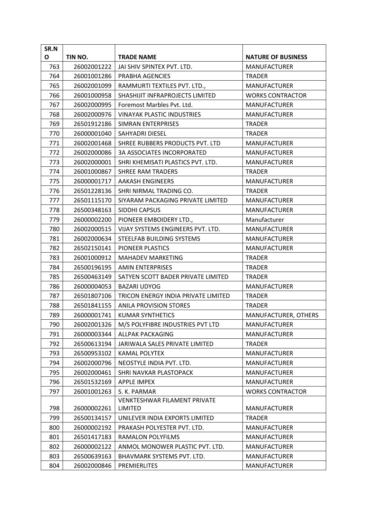| SR.N |             |                                     |                           |
|------|-------------|-------------------------------------|---------------------------|
| O    | TIN NO.     | <b>TRADE NAME</b>                   | <b>NATURE OF BUSINESS</b> |
| 763  | 26002001222 | JAI SHIV SPINTEX PVT. LTD.          | <b>MANUFACTURER</b>       |
| 764  | 26001001286 | <b>PRABHA AGENCIES</b>              | <b>TRADER</b>             |
| 765  | 26002001099 | RAMMURTI TEXTILES PVT. LTD.,        | <b>MANUFACTURER</b>       |
| 766  | 26001000958 | SHASHIJIT INFRAPROJECTS LIMITED     | <b>WORKS CONTRACTOR</b>   |
| 767  | 26002000995 | Foremost Marbles Pyt. Ltd.          | <b>MANUFACTURER</b>       |
| 768  | 26002000976 | <b>VINAYAK PLASTIC INDUSTRIES</b>   | <b>MANUFACTURER</b>       |
| 769  | 26501912186 | SIMRAN ENTERPRISES                  | <b>TRADER</b>             |
| 770  | 26000001040 | <b>SAHYADRI DIESEL</b>              | <b>TRADER</b>             |
| 771  | 26002001468 | SHREE RUBBERS PRODUCTS PVT. LTD     | <b>MANUFACTURER</b>       |
| 772  | 26002000086 | <b>3A ASSOCIATES INCORPORATED</b>   | <b>MANUFACTURER</b>       |
| 773  | 26002000001 | SHRI KHEMISATI PLASTICS PVT. LTD.   | <b>MANUFACTURER</b>       |
| 774  | 26001000867 | <b>SHREE RAM TRADERS</b>            | <b>TRADER</b>             |
| 775  | 26000001717 | <b>AAKASH ENGINEERS</b>             | <b>MANUFACTURER</b>       |
| 776  | 26501228136 | SHRI NIRMAL TRADING CO.             | <b>TRADER</b>             |
| 777  | 26501115170 | SIYARAM PACKAGING PRIVATE LIMITED   | <b>MANUFACTURER</b>       |
| 778  | 26500348163 | SIDDHI CAPSUS                       | <b>MANUFACTURER</b>       |
| 779  | 26000002200 | PIONEER EMBOIDERY LTD.,             | Manufacturer              |
| 780  | 26002000515 | VIJAY SYSTEMS ENGINEERS PVT. LTD.   | <b>MANUFACTURER</b>       |
| 781  | 26002000634 | STEELFAB BUILDING SYSTEMS           | <b>MANUFACTURER</b>       |
| 782  | 26502150141 | PIONEER PLASTICS                    | <b>MANUFACTURER</b>       |
| 783  | 26001000912 | <b>MAHADEV MARKETING</b>            | <b>TRADER</b>             |
| 784  | 26500196195 | <b>AMIN ENTERPRISES</b>             | <b>TRADER</b>             |
| 785  | 26500463149 | SATYEN SCOTT BADER PRIVATE LIMITED  | <b>TRADER</b>             |
| 786  | 26000004053 | <b>BAZARI UDYOG</b>                 | <b>MANUFACTURER</b>       |
| 787  | 26501807106 | TRICON ENERGY INDIA PRIVATE LIMITED | <b>TRADER</b>             |
| 788  | 26501841155 | <b>ANILA PROVISION STORES</b>       | <b>TRADER</b>             |
| 789  | 26000001741 | KUMAR SYNTHETICS                    | MANUFACTURER, OTHERS      |
| 790  | 26002001326 | M/S POLYFIBRE INDUSTRIES PVT LTD    | <b>MANUFACTURER</b>       |
| 791  | 26000003344 | ALLPAK PACKAGING                    | <b>MANUFACTURER</b>       |
| 792  | 26500613194 | JARIWALA SALES PRIVATE LIMITED      | <b>TRADER</b>             |
| 793  | 26500953102 | <b>KAMAL POLYTEX</b>                | <b>MANUFACTURER</b>       |
| 794  | 26002000796 | NEOSTYLE INDIA PVT. LTD.            | <b>MANUFACTURER</b>       |
| 795  | 26002000461 | SHRI NAVKAR PLASTOPACK              | <b>MANUFACTURER</b>       |
| 796  | 26501532169 | <b>APPLE IMPEX</b>                  | <b>MANUFACTURER</b>       |
| 797  | 26001001263 | S. K. PARMAR                        | <b>WORKS CONTRACTOR</b>   |
|      |             | VENKTESHWAR FILAMENT PRIVATE        |                           |
| 798  | 26000002261 | LIMITED                             | <b>MANUFACTURER</b>       |
| 799  | 26500134157 | UNILEVER INDIA EXPORTS LIMITED      | <b>TRADER</b>             |
| 800  | 26000002192 | PRAKASH POLYESTER PVT. LTD.         | <b>MANUFACTURER</b>       |
| 801  | 26501417183 | <b>RAMALON POLYFILMS</b>            | <b>MANUFACTURER</b>       |
| 802  | 26000002122 | ANMOL MONOWER PLASTIC PVT. LTD.     | <b>MANUFACTURER</b>       |
| 803  | 26500639163 | BHAVMARK SYSTEMS PVT. LTD.          | <b>MANUFACTURER</b>       |
| 804  | 26002000846 | PREMIERLITES                        | <b>MANUFACTURER</b>       |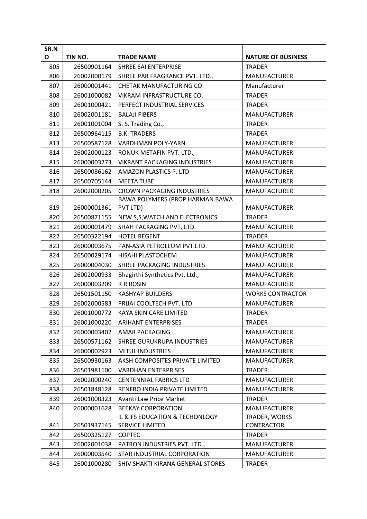| SR.N |             |                                     |                           |
|------|-------------|-------------------------------------|---------------------------|
| O    | TIN NO.     | <b>TRADE NAME</b>                   | <b>NATURE OF BUSINESS</b> |
| 805  | 26500901164 | SHREE SAI ENTERPRISE                | <b>TRADER</b>             |
| 806  | 26002000179 | SHREE PAR FRAGRANCE PVT. LTD.,      | <b>MANUFACTURER</b>       |
| 807  | 26000001441 | CHETAK MANUFACTURING CO.            | Manufacturer              |
| 808  | 26001000082 | VIKRAM INFRASTRUCTURE CO.           | <b>TRADER</b>             |
| 809  | 26001000421 | PERFECT INDUSTRIAL SERVICES         | <b>TRADER</b>             |
| 810  | 26002001181 | <b>BALAJI FIBERS</b>                | <b>MANUFACTURER</b>       |
| 811  | 26001001004 | S. S. Trading Co.,                  | <b>TRADER</b>             |
| 812  | 26500964115 | <b>B.K. TRADERS</b>                 | <b>TRADER</b>             |
| 813  | 26500587128 | <b>VARDHMAN POLY-YARN</b>           | <b>MANUFACTURER</b>       |
| 814  | 26002000123 | RONUK METAFIN PVT. LTD.,            | <b>MANUFACTURER</b>       |
| 815  | 26000003273 | <b>VIKRANT PACKAGING INDUSTRIES</b> | <b>MANUFACTURER</b>       |
| 816  | 26500086162 | AMAZON PLASTICS P. LTD              | <b>MANUFACTURER</b>       |
| 817  | 26500705144 | <b>MEETA TUBE</b>                   | <b>MANUFACTURER</b>       |
| 818  | 26002000205 | <b>CROWN PACKAGING INDUSTRIES</b>   | <b>MANUFACTURER</b>       |
|      |             | BAWA POLYMERS (PROP HARMAN BAWA     |                           |
| 819  | 26000001361 | PVT LTD)                            | <b>MANUFACTURER</b>       |
| 820  | 26500871155 | NEW S, S, WATCH AND ELECTRONICS     | <b>TRADER</b>             |
| 821  | 26000001479 | SHAH PACKAGING PVT. LTD.            | <b>MANUFACTURER</b>       |
| 822  | 26500322194 | <b>HOTEL REGENT</b>                 | <b>TRADER</b>             |
| 823  | 26000003675 | PAN-ASIA PETROLEUM PVT.LTD.         | <b>MANUFACTURER</b>       |
| 824  | 26500029174 | HISAHI PLASTOCHEM                   | <b>MANUFACTURER</b>       |
| 825  | 26000004030 | SHREE PACKAGING INDUSTRIES          | <b>MANUFACTURER</b>       |
| 826  | 26002000933 | Bhagirthi Synthetics Pvt. Ltd.,     | <b>MANUFACTURER</b>       |
| 827  | 26000003209 | <b>R R ROSIN</b>                    | <b>MANUFACTURER</b>       |
| 828  | 26501501150 | <b>KASHYAP BUILDERS</b>             | <b>WORKS CONTRACTOR</b>   |
| 829  | 26002000583 | PRIJAI COOLTECH PVT. LTD            | <b>MANUFACTURER</b>       |
| 830  | 26001000772 | KAYA SKIN CARE LIMITED              | <b>TRADER</b>             |
| 831  | 26001000220 | <b>ARIHANT ENTERPRISES</b>          | <b>TRADER</b>             |
| 832  | 26000003402 | AMAR PACKAGING                      | <b>MANUFACTURER</b>       |
| 833  | 26500571162 | SHREE GURUKRUPA INDUSTRIES          | <b>MANUFACTURER</b>       |
| 834  | 26000002923 | <b>MITUL INDUSTRIES</b>             | <b>MANUFACTURER</b>       |
| 835  | 26500930163 | AKSH COMPOSITES PRIVATE LIMITED     | <b>MANUFACTURER</b>       |
| 836  | 26501981100 | <b>VARDHAN ENTERPRISES</b>          | <b>TRADER</b>             |
| 837  | 26002000240 | <b>CENTENNIAL FABRICS LTD</b>       | <b>MANUFACTURER</b>       |
| 838  | 26501848128 | RENFRO INDIA PRIVATE LIMITED        | <b>MANUFACTURER</b>       |
| 839  | 26001000323 | Avanti Law Price Market             | <b>TRADER</b>             |
| 840  | 26000001628 | <b>BEEKAY CORPORATION</b>           | <b>MANUFACTURER</b>       |
|      |             | IL & FS EDUCATION & TECHONLOGY      | TRADER, WORKS             |
| 841  | 26501937145 | <b>SERVICE LIMITED</b>              | <b>CONTRACTOR</b>         |
| 842  | 26500325127 | <b>COPTEC</b>                       | <b>TRADER</b>             |
| 843  | 26002001038 | PATRON INDUSTRIES PVT. LTD.,        | <b>MANUFACTURER</b>       |
| 844  | 26000003540 | STAR INDUSTRIAL CORPORATION         | <b>MANUFACTURER</b>       |
| 845  | 26001000280 | SHIV SHAKTI KIRANA GENERAL STORES   | <b>TRADER</b>             |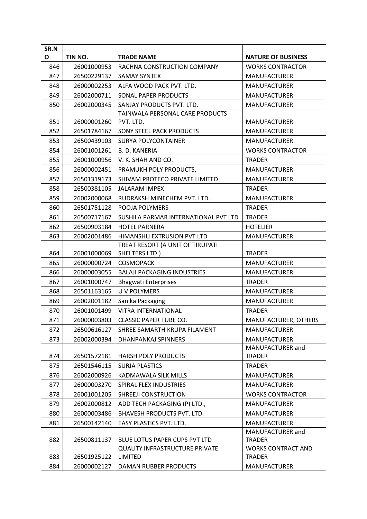| SR.N |             |                                                         |                                            |
|------|-------------|---------------------------------------------------------|--------------------------------------------|
| O    | TIN NO.     | <b>TRADE NAME</b>                                       | <b>NATURE OF BUSINESS</b>                  |
| 846  | 26001000953 | RACHNA CONSTRUCTION COMPANY                             | <b>WORKS CONTRACTOR</b>                    |
| 847  | 26500229137 | <b>SAMAY SYNTEX</b>                                     | <b>MANUFACTURER</b>                        |
| 848  | 26000002253 | ALFA WOOD PACK PVT. LTD.                                | <b>MANUFACTURER</b>                        |
| 849  | 26002000711 | SONAL PAPER PRODUCTS                                    | <b>MANUFACTURER</b>                        |
| 850  | 26002000345 | SANJAY PRODUCTS PVT. LTD.                               | <b>MANUFACTURER</b>                        |
|      |             | TAINWALA PERSONAL CARE PRODUCTS                         |                                            |
| 851  | 26000001260 | PVT. LTD.                                               | <b>MANUFACTURER</b>                        |
| 852  | 26501784167 | <b>SONY STEEL PACK PRODUCTS</b>                         | <b>MANUFACTURER</b>                        |
| 853  | 26500439103 | SURYA POLYCONTAINER                                     | <b>MANUFACTURER</b>                        |
| 854  | 26001001261 | <b>B. D. KANERIA</b>                                    | <b>WORKS CONTRACTOR</b>                    |
| 855  | 26001000956 | V. K. SHAH AND CO.                                      | <b>TRADER</b>                              |
| 856  | 26000002451 | PRAMUKH POLY PRODUCTS,                                  | <b>MANUFACTURER</b>                        |
| 857  | 26501319173 | SHIVAM PROTECO PRIVATE LIMITED                          | <b>MANUFACTURER</b>                        |
| 858  | 26500381105 | <b>JALARAM IMPEX</b>                                    | <b>TRADER</b>                              |
| 859  | 26002000068 | RUDRAKSH MINECHEM PVT. LTD.                             | <b>MANUFACTURER</b>                        |
| 860  | 26501751128 | POOJA POLYMERS                                          | <b>TRADER</b>                              |
| 861  | 26500717167 | SUSHILA PARMAR INTERNATIONAL PVT LTD                    | <b>TRADER</b>                              |
| 862  | 26500903184 | <b>HOTEL PARNERA</b>                                    | <b>HOTELIER</b>                            |
| 863  | 26002001486 | HIMANSHU EXTRUSION PVT LTD                              | <b>MANUFACTURER</b>                        |
|      |             | TREAT RESORT (A UNIT OF TIRUPATI                        |                                            |
| 864  | 26001000069 | SHELTERS LTD.)                                          | <b>TRADER</b>                              |
| 865  | 26000000724 | <b>COSMOPACK</b>                                        | <b>MANUFACTURER</b>                        |
| 866  | 26000003055 | <b>BALAJI PACKAGING INDUSTRIES</b>                      | <b>MANUFACTURER</b>                        |
| 867  | 26001000747 | <b>Bhagwati Enterprises</b>                             | <b>TRADER</b>                              |
| 868  | 26501163165 | <b>UV POLYMERS</b>                                      | <b>MANUFACTURER</b>                        |
| 869  | 26002001182 | Sanika Packaging                                        | <b>MANUFACTURER</b>                        |
| 870  | 26001001499 | VITRA INTERNATIONAL                                     | <b>TRADER</b>                              |
| 871  | 26000003803 | <b>CLASSIC PAPER TUBE CO.</b>                           | MANUFACTURER, OTHERS                       |
| 872  | 26500616127 | SHREE SAMARTH KRUPA FILAMENT                            | MANUFACTURER                               |
| 873  | 26002000394 | DHANPANKAJ SPINNERS                                     | <b>MANUFACTURER</b>                        |
|      |             |                                                         | MANUFACTURER and                           |
| 874  | 26501572181 | <b>HARSH POLY PRODUCTS</b>                              | TRADER                                     |
| 875  | 26501546115 | <b>SURJA PLASTICS</b>                                   | <b>TRADER</b>                              |
| 876  | 26002000926 | KADMAWALA SILK MILLS                                    | <b>MANUFACTURER</b>                        |
| 877  | 26000003270 | SPIRAL FLEX INDUSTRIES                                  | <b>MANUFACTURER</b>                        |
| 878  | 26001001205 | SHREEJI CONSTRUCTION                                    | <b>WORKS CONTRACTOR</b>                    |
| 879  | 26002000812 | ADD TECH PACKAGING (P) LTD.,                            | <b>MANUFACTURER</b>                        |
| 880  | 26000003486 | BHAVESH PRODUCTS PVT. LTD.                              | <b>MANUFACTURER</b>                        |
| 881  | 26500142140 | EASY PLASTICS PVT. LTD.                                 | <b>MANUFACTURER</b>                        |
|      |             |                                                         | MANUFACTURER and                           |
| 882  | 26500811137 | BLUE LOTUS PAPER CUPS PVT LTD                           | <b>TRADER</b>                              |
| 883  | 26501925122 | <b>QUALITY INFRASTRUCTURE PRIVATE</b><br><b>LIMITED</b> | <b>WORKS CONTRACT AND</b><br><b>TRADER</b> |
| 884  | 26000002127 | DAMAN RUBBER PRODUCTS                                   | <b>MANUFACTURER</b>                        |
|      |             |                                                         |                                            |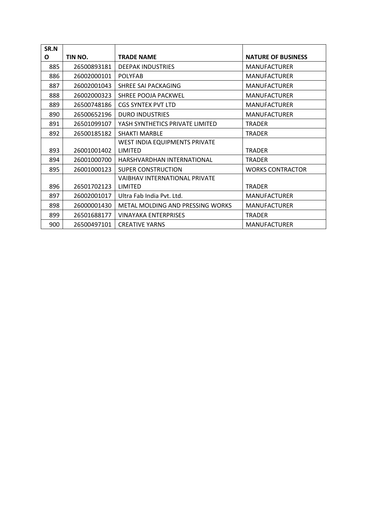| SR.N |             |                                  |                           |
|------|-------------|----------------------------------|---------------------------|
| O    | TIN NO.     | <b>TRADE NAME</b>                | <b>NATURE OF BUSINESS</b> |
| 885  | 26500893181 | <b>DEEPAK INDUSTRIES</b>         | <b>MANUFACTURER</b>       |
| 886  | 26002000101 | <b>POLYFAB</b>                   | <b>MANUFACTURER</b>       |
| 887  | 26002001043 | SHREE SALPACKAGING               | <b>MANUFACTURER</b>       |
| 888  | 26002000323 | SHREE POOJA PACKWEL              | <b>MANUFACTURER</b>       |
| 889  | 26500748186 | <b>CGS SYNTEX PVT LTD</b>        | <b>MANUFACTURER</b>       |
| 890  | 26500652196 | <b>DURO INDUSTRIES</b>           | <b>MANUFACTURER</b>       |
| 891  | 26501099107 | YASH SYNTHETICS PRIVATE LIMITED  | TRADER                    |
| 892  | 26500185182 | <b>SHAKTI MARBLE</b>             | <b>TRADER</b>             |
|      |             | WEST INDIA EQUIPMENTS PRIVATE    |                           |
| 893  | 26001001402 | LIMITED                          | <b>TRADER</b>             |
| 894  | 26001000700 | HARSHVARDHAN INTERNATIONAL       | <b>TRADER</b>             |
| 895  | 26001000123 | SUPER CONSTRUCTION               | <b>WORKS CONTRACTOR</b>   |
|      |             | VAIBHAV INTERNATIONAL PRIVATE    |                           |
| 896  | 26501702123 | LIMITED                          | <b>TRADER</b>             |
| 897  | 26002001017 | Ultra Fab India Pyt. Ltd.        | <b>MANUFACTURER</b>       |
| 898  | 26000001430 | METAL MOLDING AND PRESSING WORKS | <b>MANUFACTURER</b>       |
| 899  | 26501688177 | <b>VINAYAKA ENTERPRISES</b>      | <b>TRADER</b>             |
| 900  | 26500497101 | <b>CREATIVE YARNS</b>            | <b>MANUFACTURER</b>       |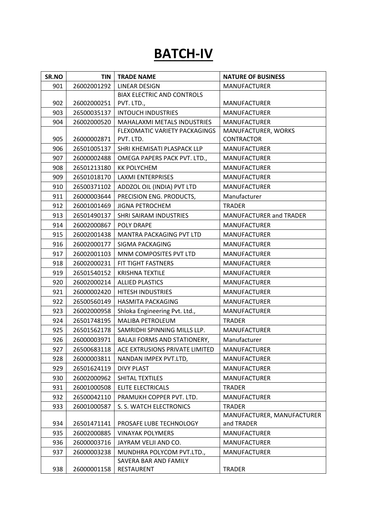### **BATCH-IV**

| SR.NO | <b>TIN</b>  | <b>TRADE NAME</b>                   | <b>NATURE OF BUSINESS</b>      |
|-------|-------------|-------------------------------------|--------------------------------|
| 901   | 26002001292 | <b>LINEAR DESIGN</b>                | <b>MANUFACTURER</b>            |
|       |             | <b>BIAX ELECTRIC AND CONTROLS</b>   |                                |
| 902   | 26002000251 | PVT. LTD.,                          | <b>MANUFACTURER</b>            |
| 903   | 26500035137 | <b>INTOUCH INDUSTRIES</b>           | <b>MANUFACTURER</b>            |
| 904   | 26002000520 | MAHALAXMI METALS INDUSTRIES         | <b>MANUFACTURER</b>            |
|       |             | FLEXOMATIC VARIETY PACKAGINGS       | MANUFACTURER, WORKS            |
| 905   | 26000002871 | PVT. LTD.                           | <b>CONTRACTOR</b>              |
| 906   | 26501005137 | SHRI KHEMISATI PLASPACK LLP         | <b>MANUFACTURER</b>            |
| 907   | 26000002488 | OMEGA PAPERS PACK PVT. LTD.,        | <b>MANUFACTURER</b>            |
| 908   | 26501213180 | <b>KK POLYCHEM</b>                  | <b>MANUFACTURER</b>            |
| 909   | 26501018170 | <b>LAXMI ENTERPRISES</b>            | <b>MANUFACTURER</b>            |
| 910   | 26500371102 | ADDZOL OIL (INDIA) PVT LTD          | <b>MANUFACTURER</b>            |
| 911   | 26000003644 | PRECISION ENG. PRODUCTS,            | Manufacturer                   |
| 912   | 26001001469 | <b>JIGNA PETROCHEM</b>              | <b>TRADER</b>                  |
| 913   | 26501490137 | SHRI SAIRAM INDUSTRIES              | <b>MANUFACTURER and TRADER</b> |
| 914   | 26002000867 | POLY DRAPE                          | <b>MANUFACTURER</b>            |
| 915   | 26002001438 | MANTRA PACKAGING PVT LTD            | <b>MANUFACTURER</b>            |
| 916   | 26002000177 | SIGMA PACKAGING                     | <b>MANUFACTURER</b>            |
| 917   | 26002001103 | MNM COMPOSITES PVT LTD              | <b>MANUFACTURER</b>            |
| 918   | 26002000231 | FIT TIGHT FASTNERS                  | <b>MANUFACTURER</b>            |
| 919   | 26501540152 | <b>KRISHNA TEXTILE</b>              | <b>MANUFACTURER</b>            |
| 920   | 26002000214 | <b>ALLIED PLASTICS</b>              | <b>MANUFACTURER</b>            |
| 921   | 26000002420 | HITESH INDUSTRIES                   | <b>MANUFACTURER</b>            |
| 922   | 26500560149 | <b>HASMITA PACKAGING</b>            | <b>MANUFACTURER</b>            |
| 923   | 26002000958 | Shloka Engineering Pvt. Ltd.,       | <b>MANUFACTURER</b>            |
| 924   | 26501748195 | MALIBA PETROLEUM                    | <b>TRADER</b>                  |
| 925   | 26501562178 | SAMRIDHI SPINNING MILLS LLP.        | <b>MANUFACTURER</b>            |
| 926   | 26000003971 | <b>BALAJI FORMS AND STATIONERY,</b> | Manufacturer                   |
| 927   | 26500683118 | ACE EXTRUSIONS PRIVATE LIMITED      | <b>MANUFACTURER</b>            |
| 928   | 26000003811 | NANDAN IMPEX PVT.LTD,               | <b>MANUFACTURER</b>            |
| 929   | 26501624119 | <b>DIVY PLAST</b>                   | <b>MANUFACTURER</b>            |
| 930   | 26002000962 | SHITAL TEXTILES                     | <b>MANUFACTURER</b>            |
| 931   | 26001000508 | <b>ELITE ELECTRICALS</b>            | <b>TRADER</b>                  |
| 932   | 26500042110 | PRAMUKH COPPER PVT. LTD.            | <b>MANUFACTURER</b>            |
| 933   | 26001000587 | S. S. WATCH ELECTRONICS             | <b>TRADER</b>                  |
|       |             |                                     | MANUFACTURER, MANUFACTURER     |
| 934   | 26501471141 | PROSAFE LUBE TECHNOLOGY             | and TRADER                     |
| 935   | 26002000885 | <b>VINAYAK POLYMERS</b>             | <b>MANUFACTURER</b>            |
| 936   | 26000003716 | JAYRAM VELJI AND CO.                | <b>MANUFACTURER</b>            |
| 937   | 26000003238 | MUNDHRA POLYCOM PVT.LTD.,           | <b>MANUFACTURER</b>            |
|       |             | SAVERA BAR AND FAMILY               |                                |
| 938   | 26000001158 | RESTAURENT                          | <b>TRADER</b>                  |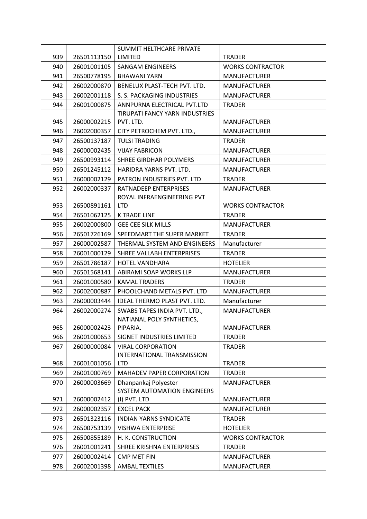|     |             | SUMMIT HELTHCARE PRIVATE                 |                         |
|-----|-------------|------------------------------------------|-------------------------|
| 939 | 26501113150 | LIMITED                                  | <b>TRADER</b>           |
| 940 | 26001001105 | <b>SANGAM ENGINEERS</b>                  | <b>WORKS CONTRACTOR</b> |
| 941 | 26500778195 | <b>BHAWANI YARN</b>                      | <b>MANUFACTURER</b>     |
| 942 | 26002000870 | BENELUX PLAST-TECH PVT. LTD.             | <b>MANUFACTURER</b>     |
| 943 | 26002001118 | S. S. PACKAGING INDUSTRIES               | <b>MANUFACTURER</b>     |
| 944 | 26001000875 | ANNPURNA ELECTRICAL PVT.LTD              | <b>TRADER</b>           |
|     |             | TIRUPATI FANCY YARN INDUSTRIES           |                         |
| 945 | 26000002215 | PVT. LTD.                                | <b>MANUFACTURER</b>     |
| 946 | 26002000357 | CITY PETROCHEM PVT. LTD.,                | <b>MANUFACTURER</b>     |
| 947 | 26500137187 | <b>TULSI TRADING</b>                     | <b>TRADER</b>           |
| 948 | 26000002435 | <b>VIJAY FABRICON</b>                    | <b>MANUFACTURER</b>     |
| 949 | 26500993114 | SHREE GIRDHAR POLYMERS                   | <b>MANUFACTURER</b>     |
| 950 | 26501245112 | HARIDRA YARNS PVT. LTD.                  | <b>MANUFACTURER</b>     |
| 951 | 26000002129 | PATRON INDUSTRIES PVT. LTD               | <b>TRADER</b>           |
| 952 | 26002000337 | RATNADEEP ENTERPRISES                    | <b>MANUFACTURER</b>     |
|     |             | ROYAL INFRAENGINEERING PVT               |                         |
| 953 | 26500891161 | <b>LTD</b>                               | <b>WORKS CONTRACTOR</b> |
| 954 | 26501062125 | <b>K TRADE LINE</b>                      | <b>TRADER</b>           |
| 955 | 26002000800 | <b>GEE CEE SILK MILLS</b>                | <b>MANUFACTURER</b>     |
| 956 | 26501726169 | SPEEDMART THE SUPER MARKET               | <b>TRADER</b>           |
| 957 | 26000002587 | THERMAL SYSTEM AND ENGINEERS             | Manufacturer            |
| 958 | 26001000129 | SHREE VALLABH ENTERPRISES                | <b>TRADER</b>           |
| 959 | 26501786187 | <b>HOTEL VANDHARA</b>                    | <b>HOTELIER</b>         |
| 960 | 26501568141 | ABIRAMI SOAP WORKS LLP                   | <b>MANUFACTURER</b>     |
| 961 | 26001000580 | <b>KAMAL TRADERS</b>                     | <b>TRADER</b>           |
| 962 | 26002000887 | PHOOLCHAND METALS PVT. LTD               | <b>MANUFACTURER</b>     |
| 963 | 26000003444 | IDEAL THERMO PLAST PVT. LTD.             | Manufacturer            |
| 964 | 26002000274 | SWABS TAPES INDIA PVT. LTD.,             | <b>MANUFACTURER</b>     |
|     |             | NATIANAL POLY SYNTHETICS,                |                         |
| 965 | 26000002423 | PIPARIA.                                 | <b>MANUFACTURER</b>     |
| 966 | 26001000653 | SIGNET INDUSTRIES LIMITED                | <b>TRADER</b>           |
| 967 | 26000000084 | <b>VIRAL CORPORATION</b>                 | <b>TRADER</b>           |
| 968 | 26001001056 | INTERNATIONAL TRANSMISSION<br><b>LTD</b> | <b>TRADER</b>           |
| 969 | 26001000769 | MAHADEV PAPER CORPORATION                | <b>TRADER</b>           |
| 970 | 26000003669 | Dhanpankaj Polyester                     | <b>MANUFACTURER</b>     |
|     |             | SYSTEM AUTOMATION ENGINEERS              |                         |
| 971 | 26000002412 | (I) PVT. LTD                             | <b>MANUFACTURER</b>     |
| 972 | 26000002357 | <b>EXCEL PACK</b>                        | <b>MANUFACTURER</b>     |
| 973 | 26501323116 | <b>INDIAN YARNS SYNDICATE</b>            | <b>TRADER</b>           |
| 974 | 26500753139 | <b>VISHWA ENTERPRISE</b>                 | <b>HOTELIER</b>         |
| 975 | 26500855189 | H. K. CONSTRUCTION                       | <b>WORKS CONTRACTOR</b> |
| 976 | 26001001241 | SHREE KRISHNA ENTERPRISES                | <b>TRADER</b>           |
| 977 | 26000002414 | <b>CMP MET FIN</b>                       | <b>MANUFACTURER</b>     |
| 978 | 26002001398 | <b>AMBAL TEXTILES</b>                    | <b>MANUFACTURER</b>     |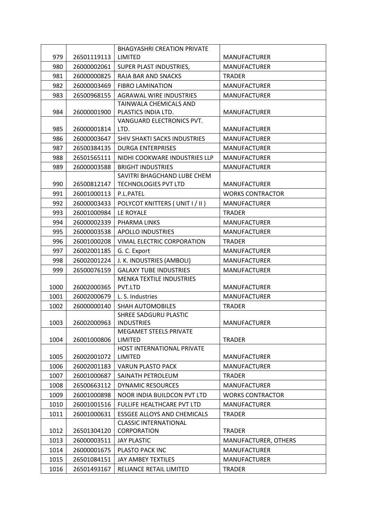|      |             | <b>BHAGYASHRI CREATION PRIVATE</b> |                         |
|------|-------------|------------------------------------|-------------------------|
| 979  | 26501119113 | LIMITED                            | <b>MANUFACTURER</b>     |
| 980  | 26000002061 | SUPER PLAST INDUSTRIES,            | <b>MANUFACTURER</b>     |
| 981  | 26000000825 | RAJA BAR AND SNACKS                | <b>TRADER</b>           |
| 982  | 26000003469 | <b>FIBRO LAMINATION</b>            | <b>MANUFACTURER</b>     |
| 983  | 26500968155 | <b>AGRAWAL WIRE INDUSTRIES</b>     | <b>MANUFACTURER</b>     |
|      |             | TAINWALA CHEMICALS AND             |                         |
| 984  | 26000001900 | PLASTICS INDIA LTD.                | <b>MANUFACTURER</b>     |
|      |             | VANGUARD ELECTRONICS PVT.          |                         |
| 985  | 26000001814 | LTD.                               | <b>MANUFACTURER</b>     |
| 986  | 26000003647 | SHIV SHAKTI SACKS INDUSTRIES       | <b>MANUFACTURER</b>     |
| 987  | 26500384135 | <b>DURGA ENTERPRISES</b>           | <b>MANUFACTURER</b>     |
| 988  | 26501565111 | NIDHI COOKWARE INDUSTRIES LLP      | <b>MANUFACTURER</b>     |
| 989  | 26000003588 | <b>BRIGHT INDUSTRIES</b>           | <b>MANUFACTURER</b>     |
|      |             | SAVITRI BHAGCHAND LUBE CHEM        |                         |
| 990  | 26500812147 | <b>TECHNOLOGIES PVT LTD</b>        | <b>MANUFACTURER</b>     |
| 991  | 26001000113 | P.L.PATEL                          | <b>WORKS CONTRACTOR</b> |
| 992  | 26000003433 | POLYCOT KNITTERS (UNIT I / II)     | <b>MANUFACTURER</b>     |
| 993  | 26001000984 | LE ROYALE                          | <b>TRADER</b>           |
| 994  | 26000002339 | PHARMA LINKS                       | <b>MANUFACTURER</b>     |
| 995  | 26000003538 | <b>APOLLO INDUSTRIES</b>           | <b>MANUFACTURER</b>     |
| 996  | 26001000208 | VIMAL ELECTRIC CORPORATION         | <b>TRADER</b>           |
| 997  | 26002001185 | G. C. Export                       | <b>MANUFACTURER</b>     |
| 998  | 26002001224 | J. K. INDUSTRIES (AMBOLI)          | <b>MANUFACTURER</b>     |
| 999  | 26500076159 | <b>GALAXY TUBE INDUSTRIES</b>      | <b>MANUFACTURER</b>     |
|      |             | <b>MENKA TEXTILE INDUSTRIES</b>    |                         |
| 1000 | 26002000365 | PVT.LTD                            | <b>MANUFACTURER</b>     |
| 1001 | 26002000679 | L. S. Industries                   | <b>MANUFACTURER</b>     |
| 1002 | 26000000140 | <b>SHAH AUTOMOBILES</b>            | <b>TRADER</b>           |
|      |             | SHREE SADGURU PLASTIC              |                         |
| 1003 | 26002000963 | <b>INDUSTRIES</b>                  | <b>MANUFACTURER</b>     |
| 1004 | 26001000806 | MEGAMET STEELS PRIVATE<br>LIMITED  | <b>TRADER</b>           |
|      |             | HOST INTERNATIONAL PRIVATE         |                         |
| 1005 | 26002001072 | LIMITED                            | <b>MANUFACTURER</b>     |
| 1006 | 26002001183 | <b>VARUN PLASTO PACK</b>           | <b>MANUFACTURER</b>     |
| 1007 | 26001000687 | SAINATH PETROLEUM                  | <b>TRADER</b>           |
| 1008 | 26500663112 | <b>DYNAMIC RESOURCES</b>           | <b>MANUFACTURER</b>     |
| 1009 | 26001000898 | NOOR INDIA BUILDCON PVT LTD        | <b>WORKS CONTRACTOR</b> |
| 1010 | 26001001516 | FULLIFE HEALTHCARE PVT LTD         | <b>MANUFACTURER</b>     |
| 1011 | 26001000631 | <b>ESSGEE ALLOYS AND CHEMICALS</b> | <b>TRADER</b>           |
|      |             | <b>CLASSIC INTERNATIONAL</b>       |                         |
| 1012 | 26501304120 | <b>CORPORATION</b>                 | <b>TRADER</b>           |
| 1013 | 26000003511 | <b>JAY PLASTIC</b>                 | MANUFACTURER, OTHERS    |
| 1014 | 26000001675 | PLASTO PACK INC                    | <b>MANUFACTURER</b>     |
| 1015 | 26501084151 | JAY AMBEY TEXTILES                 | <b>MANUFACTURER</b>     |
| 1016 | 26501493167 | RELIANCE RETAIL LIMITED            | <b>TRADER</b>           |
|      |             |                                    |                         |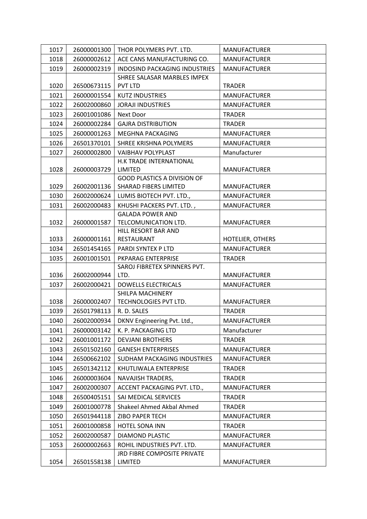| 1017 | 26000001300 | THOR POLYMERS PVT. LTD.                         | <b>MANUFACTURER</b> |
|------|-------------|-------------------------------------------------|---------------------|
| 1018 | 26000002612 | ACE CANS MANUFACTURING CO.                      | <b>MANUFACTURER</b> |
| 1019 | 26000002319 | <b>INDOSIND PACKAGING INDUSTRIES</b>            | <b>MANUFACTURER</b> |
|      |             | SHREE SALASAR MARBLES IMPEX                     |                     |
| 1020 | 26500673115 | <b>PVT LTD</b>                                  | <b>TRADER</b>       |
| 1021 | 26000001554 | <b>KUTZ INDUSTRIES</b>                          | <b>MANUFACTURER</b> |
| 1022 | 26002000860 | <b>JORAJI INDUSTRIES</b>                        | <b>MANUFACTURER</b> |
| 1023 | 26001001086 | Next Door                                       | <b>TRADER</b>       |
| 1024 | 26000002284 | <b>GAJRA DISTRIBUTION</b>                       | <b>TRADER</b>       |
| 1025 | 26000001263 | MEGHNA PACKAGING                                | <b>MANUFACTURER</b> |
| 1026 | 26501370101 | SHREE KRISHNA POLYMERS                          | <b>MANUFACTURER</b> |
| 1027 | 26000002800 | <b>VAIBHAV POLYPLAST</b>                        | Manufacturer        |
|      |             | H.K TRADE INTERNATIONAL                         |                     |
| 1028 | 26000003729 | LIMITED                                         | <b>MANUFACTURER</b> |
|      |             | <b>GOOD PLASTICS A DIVISION OF</b>              |                     |
| 1029 | 26002001136 | <b>SHARAD FIBERS LIMITED</b>                    | <b>MANUFACTURER</b> |
| 1030 | 26002000624 | LUMIS BIOTECH PVT. LTD.,                        | <b>MANUFACTURER</b> |
| 1031 | 26002000483 | KHUSHI PACKERS PVT. LTD.,                       | <b>MANUFACTURER</b> |
| 1032 | 26000001587 | <b>GALADA POWER AND</b><br>TELCOMUNICATION LTD. | <b>MANUFACTURER</b> |
|      |             | HILL RESORT BAR AND                             |                     |
| 1033 | 26000001161 | RESTAURANT                                      | HOTELIER, OTHERS    |
| 1034 | 26501454165 | PARDI SYNTEX P LTD                              | <b>MANUFACTURER</b> |
| 1035 | 26001001501 | PKPARAG ENTERPRISE                              | <b>TRADER</b>       |
|      |             | SAROJ FIBRETEX SPINNERS PVT.                    |                     |
| 1036 | 26002000944 | LTD.                                            | <b>MANUFACTURER</b> |
| 1037 | 26002000421 | <b>DOWELLS ELECTRICALS</b>                      | <b>MANUFACTURER</b> |
|      |             | SHILPA MACHINERY                                |                     |
| 1038 | 26000002407 | TECHNOLOGIES PVT LTD.                           | <b>MANUFACTURER</b> |
| 1039 | 26501798113 | R. D. SALES                                     | <b>TRADER</b>       |
| 1040 |             | 26002000934   DKNV Engineering Pvt. Ltd.,       | MANUFACTURER        |
| 1041 | 26000003142 | K. P. PACKAGING LTD                             | Manufacturer        |
| 1042 | 26001001172 | <b>DEVJANI BROTHERS</b>                         | <b>TRADER</b>       |
| 1043 | 26501502160 | <b>GANESH ENTERPRISES</b>                       | <b>MANUFACTURER</b> |
| 1044 | 26500662102 | SUDHAM PACKAGING INDUSTRIES                     | <b>MANUFACTURER</b> |
| 1045 | 26501342112 | KHUTLIWALA ENTERPRISE                           | <b>TRADER</b>       |
| 1046 | 26000003604 | <b>NAVAJISH TRADERS,</b>                        | TRADER              |
| 1047 | 26002000307 | ACCENT PACKAGING PVT. LTD.,                     | <b>MANUFACTURER</b> |
| 1048 | 26500405151 | SAI MEDICAL SERVICES                            | <b>TRADER</b>       |
| 1049 | 26001000778 | Shakeel Ahmed Akbal Ahmed                       | TRADER              |
| 1050 | 26501944118 | ZIBO PAPER TECH                                 | <b>MANUFACTURER</b> |
| 1051 | 26001000858 | HOTEL SONA INN                                  | <b>TRADER</b>       |
| 1052 | 26002000587 | <b>DIAMOND PLASTIC</b>                          | <b>MANUFACTURER</b> |
| 1053 | 26000002663 | ROHIL INDUSTRIES PVT. LTD.                      | <b>MANUFACTURER</b> |
|      |             | JRD FIBRE COMPOSITE PRIVATE                     |                     |
| 1054 | 26501558138 | LIMITED                                         | <b>MANUFACTURER</b> |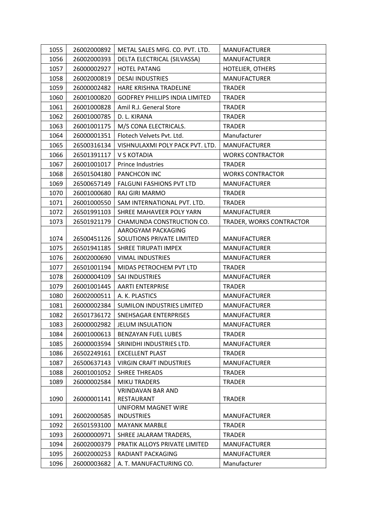| 1055 | 26002000892 | METAL SALES MFG. CO. PVT. LTD.        | <b>MANUFACTURER</b>      |
|------|-------------|---------------------------------------|--------------------------|
| 1056 | 26002000393 | DELTA ELECTRICAL (SILVASSA)           | <b>MANUFACTURER</b>      |
| 1057 | 26000002927 | <b>HOTEL PATANG</b>                   | HOTELIER, OTHERS         |
| 1058 | 26002000819 | <b>DESAI INDUSTRIES</b>               | <b>MANUFACTURER</b>      |
| 1059 | 26000002482 | HARE KRISHNA TRADELINE                | <b>TRADER</b>            |
| 1060 | 26001000820 | <b>GODFREY PHILLIPS INDIA LIMITED</b> | <b>TRADER</b>            |
| 1061 | 26001000828 | Amil R.J. General Store               | <b>TRADER</b>            |
| 1062 | 26001000785 | D. L. KIRANA                          | <b>TRADER</b>            |
| 1063 | 26001001175 | M/S CONA ELECTRICALS.                 | <b>TRADER</b>            |
| 1064 | 26000001351 | Flotech Velvets Pvt. Ltd.             | Manufacturer             |
| 1065 | 26500316134 | VISHNULAXMI POLY PACK PVT. LTD.       | <b>MANUFACTURER</b>      |
| 1066 | 26501391117 | V S KOTADIA                           | <b>WORKS CONTRACTOR</b>  |
| 1067 | 26001001017 | Prince Industries                     | <b>TRADER</b>            |
| 1068 | 26501504180 | <b>PANCHCON INC</b>                   | <b>WORKS CONTRACTOR</b>  |
| 1069 | 26500657149 | <b>FALGUNI FASHIONS PVT LTD</b>       | <b>MANUFACTURER</b>      |
| 1070 | 26001000680 | <b>RAJ GIRI MARMO</b>                 | <b>TRADER</b>            |
| 1071 | 26001000550 | SAM INTERNATIONAL PVT. LTD.           | <b>TRADER</b>            |
| 1072 | 26501991103 | SHREE MAHAVEER POLY YARN              | <b>MANUFACTURER</b>      |
| 1073 | 26501921179 | CHAMUNDA CONSTRUCTION CO.             | TRADER, WORKS CONTRACTOR |
|      |             | AAROGYAM PACKAGING                    |                          |
| 1074 | 26500451126 | SOLUTIONS PRIVATE LIMITED             | <b>MANUFACTURER</b>      |
| 1075 | 26501941185 | SHREE TIRUPATI IMPEX                  | <b>MANUFACTURER</b>      |
| 1076 | 26002000690 | <b>VIMAL INDUSTRIES</b>               | <b>MANUFACTURER</b>      |
| 1077 | 26501001194 | MIDAS PETROCHEM PVT LTD               | <b>TRADER</b>            |
| 1078 | 26000004109 | SAI INDUSTRIES                        | <b>MANUFACTURER</b>      |
| 1079 | 26001001445 | <b>AARTI ENTERPRISE</b>               | <b>TRADER</b>            |
| 1080 | 26002000511 | A. K. PLASTICS                        | <b>MANUFACTURER</b>      |
| 1081 | 26000002384 | SUMILON INDUSTRIES LIMITED            | <b>MANUFACTURER</b>      |
| 1082 | 26501736172 | SNEHSAGAR ENTERPRISES                 | <b>MANUFACTURER</b>      |
| 1083 | 26000002982 | <b>JELUM INSULATION</b>               | <b>MANUFACTURER</b>      |
| 1084 | 26001000613 | <b>BENZAYAN FUEL LUBES</b>            | <b>TRADER</b>            |
| 1085 | 26000003594 | SRINIDHI INDUSTRIES LTD.              | <b>MANUFACTURER</b>      |
| 1086 | 26502249161 | <b>EXCELLENT PLAST</b>                | <b>TRADER</b>            |
| 1087 | 26500637143 | <b>VIRGIN CRAFT INDUSTRIES</b>        | <b>MANUFACTURER</b>      |
| 1088 | 26001001052 | <b>SHREE THREADS</b>                  | <b>TRADER</b>            |
| 1089 | 26000002584 | <b>MIKU TRADERS</b>                   | <b>TRADER</b>            |
|      |             | <b>VRINDAVAN BAR AND</b>              |                          |
| 1090 | 26000001141 | RESTAURANT                            | <b>TRADER</b>            |
|      |             | UNIFORM MAGNET WIRE                   |                          |
| 1091 | 26002000585 | <b>INDUSTRIES</b>                     | <b>MANUFACTURER</b>      |
| 1092 | 26501593100 | <b>MAYANK MARBLE</b>                  | <b>TRADER</b>            |
| 1093 | 26000000971 | SHREE JALARAM TRADERS,                | <b>TRADER</b>            |
| 1094 | 26002000379 | PRATIK ALLOYS PRIVATE LIMITED         | <b>MANUFACTURER</b>      |
| 1095 | 26002000253 | RADIANT PACKAGING                     | <b>MANUFACTURER</b>      |
| 1096 | 26000003682 | A. T. MANUFACTURING CO.               | Manufacturer             |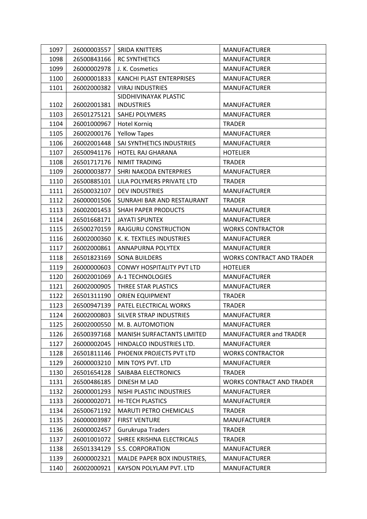| 1097 | 26000003557 | <b>SRIDA KNITTERS</b>            | <b>MANUFACTURER</b>              |
|------|-------------|----------------------------------|----------------------------------|
| 1098 | 26500843166 | <b>RC SYNTHETICS</b>             | <b>MANUFACTURER</b>              |
| 1099 | 26000002978 | J. K. Cosmetics                  | <b>MANUFACTURER</b>              |
| 1100 | 26000001833 | KANCHI PLAST ENTERPRISES         | <b>MANUFACTURER</b>              |
| 1101 | 26002000382 | <b>VIRAJ INDUSTRIES</b>          | <b>MANUFACTURER</b>              |
|      |             | SIDDHIVINAYAK PLASTIC            |                                  |
| 1102 | 26002001381 | <b>INDUSTRIES</b>                | <b>MANUFACTURER</b>              |
| 1103 | 26501275121 | SAHEJ POLYMERS                   | <b>MANUFACTURER</b>              |
| 1104 | 26001000967 | Hotel Korniq                     | TRADER                           |
| 1105 | 26002000176 | <b>Yellow Tapes</b>              | <b>MANUFACTURER</b>              |
| 1106 | 26002001448 | SAI SYNTHETICS INDUSTRIES        | <b>MANUFACTURER</b>              |
| 1107 | 26500941176 | HOTEL RAJ GHARANA                | <b>HOTELIER</b>                  |
| 1108 | 26501717176 | <b>NIMIT TRADING</b>             | <b>TRADER</b>                    |
| 1109 | 26000003877 | SHRI NAKODA ENTERPRIES           | <b>MANUFACTURER</b>              |
| 1110 | 26500885101 | LILA POLYMERS PRIVATE LTD        | <b>TRADER</b>                    |
| 1111 | 26500032107 | <b>DEV INDUSTRIES</b>            | <b>MANUFACTURER</b>              |
| 1112 | 26000001506 | SUNRAHI BAR AND RESTAURANT       | <b>TRADER</b>                    |
| 1113 | 26002001453 | <b>SHAH PAPER PRODUCTS</b>       | <b>MANUFACTURER</b>              |
| 1114 | 26501668171 | <b>JAYATI SPUNTEX</b>            | <b>MANUFACTURER</b>              |
| 1115 | 26500270159 | RAJGURU CONSTRUCTION             | <b>WORKS CONTRACTOR</b>          |
| 1116 | 26002000360 | K. K. TEXTILES INDUSTRIES        | <b>MANUFACTURER</b>              |
| 1117 | 26002000861 | ANNAPURNA POLYTEX                | <b>MANUFACTURER</b>              |
| 1118 | 26501823169 | <b>SONA BUILDERS</b>             | <b>WORKS CONTRACT AND TRADER</b> |
| 1119 | 26000000603 | <b>CONWY HOSPITALITY PVT LTD</b> | <b>HOTELIER</b>                  |
| 1120 | 26002001069 | A-1 TECHNOLOGIES                 | <b>MANUFACTURER</b>              |
| 1121 | 26002000905 | THREE STAR PLASTICS              | <b>MANUFACTURER</b>              |
| 1122 | 26501311190 | ORIEN EQUIPMENT                  | <b>TRADER</b>                    |
| 1123 | 26500947139 | PATEL ELECTRICAL WORKS           | <b>TRADER</b>                    |
| 1124 | 26002000803 | SILVER STRAP INDUSTRIES          | <b>MANUFACTURER</b>              |
| 1125 | 26002000550 | M. B. AUTOMOTION                 | <b>MANUFACTURER</b>              |
| 1126 | 26500397168 | MANISH SURFACTANTS LIMITED       | <b>MANUFACTURER and TRADER</b>   |
| 1127 | 26000002045 | HINDALCO INDUSTRIES LTD.         | <b>MANUFACTURER</b>              |
| 1128 | 26501811146 | PHOENIX PROJECTS PVT LTD         | <b>WORKS CONTRACTOR</b>          |
| 1129 | 26000003210 | MIN TOYS PVT. LTD                | <b>MANUFACTURER</b>              |
| 1130 | 26501654128 | SAIBABA ELECTRONICS              | <b>TRADER</b>                    |
| 1131 | 26500486185 | DINESH M LAD                     | <b>WORKS CONTRACT AND TRADER</b> |
| 1132 | 26000001293 | NISHI PLASTIC INDUSTRIES         | <b>MANUFACTURER</b>              |
| 1133 | 26000002071 | <b>HI-TECH PLASTICS</b>          | <b>MANUFACTURER</b>              |
| 1134 | 26500671192 | <b>MARUTI PETRO CHEMICALS</b>    | TRADER                           |
| 1135 | 26000003987 | <b>FIRST VENTURE</b>             | <b>MANUFACTURER</b>              |
| 1136 | 26000002457 | Gurukrupa Traders                | TRADER                           |
| 1137 | 26001001072 | SHREE KRISHNA ELECTRICALS        | <b>TRADER</b>                    |
| 1138 | 26501334129 | S.S. CORPORATION                 | <b>MANUFACTURER</b>              |
| 1139 | 26000002321 | MALDE PAPER BOX INDUSTRIES,      | <b>MANUFACTURER</b>              |
| 1140 | 26002000921 | KAYSON POLYLAM PVT. LTD          | <b>MANUFACTURER</b>              |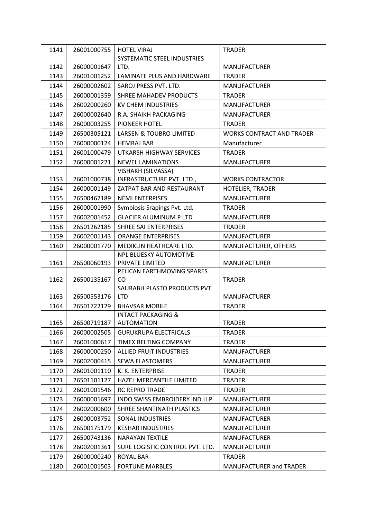| 1141 | 26001000755 | <b>HOTEL VIRAJ</b>                | <b>TRADER</b>                    |
|------|-------------|-----------------------------------|----------------------------------|
|      |             | SYSTEMATIC STEEL INDUSTRIES       |                                  |
| 1142 | 26000001647 | LTD.                              | <b>MANUFACTURER</b>              |
| 1143 | 26001001252 | LAMINATE PLUS AND HARDWARE        | <b>TRADER</b>                    |
| 1144 | 26000002602 | SAROJ PRESS PVT. LTD.             | <b>MANUFACTURER</b>              |
| 1145 | 26000001359 | SHREE MAHADEV PRODUCTS            | <b>TRADER</b>                    |
| 1146 | 26002000260 | <b>KV CHEM INDUSTRIES</b>         | <b>MANUFACTURER</b>              |
| 1147 | 26000002640 | R.A. SHAIKH PACKAGING             | <b>MANUFACTURER</b>              |
| 1148 | 26000003255 | PIONEER HOTEL                     | <b>TRADER</b>                    |
| 1149 | 26500305121 | LARSEN & TOUBRO LIMITED           | <b>WORKS CONTRACT AND TRADER</b> |
| 1150 | 26000000124 | <b>HEMRAJ BAR</b>                 | Manufacturer                     |
| 1151 | 26001000479 | UTKARSH HIGHWAY SERVICES          | <b>TRADER</b>                    |
| 1152 | 26000001221 | <b>NEWEL LAMINATIONS</b>          | <b>MANUFACTURER</b>              |
|      |             | VISHAKH (SILVASSA)                |                                  |
| 1153 | 26001000738 | INFRASTRUCTURE PVT. LTD.,         | <b>WORKS CONTRACTOR</b>          |
| 1154 | 26000001149 | ZATPAT BAR AND RESTAURANT         | <b>HOTELIER, TRADER</b>          |
| 1155 | 26500467189 | <b>NEMI ENTERPISES</b>            | <b>MANUFACTURER</b>              |
| 1156 | 26000001990 | Symbiosis Srapings Pvt. Ltd.      | <b>TRADER</b>                    |
| 1157 | 26002001452 | <b>GLACIER ALUMINUM P LTD</b>     | <b>MANUFACTURER</b>              |
| 1158 | 26501262185 | SHREE SAI ENTERPRISES             | <b>TRADER</b>                    |
| 1159 | 26002001143 | <b>ORANGE ENTERPRISES</b>         | <b>MANUFACTURER</b>              |
| 1160 | 26000001770 | MEDIKLIN HEATHCARE LTD.           | MANUFACTURER, OTHERS             |
|      |             | NPL BLUESKY AUTOMOTIVE            |                                  |
| 1161 | 26500060193 | PRIVATE LIMITED                   | <b>MANUFACTURER</b>              |
|      |             | PELICAN EARTHMOVING SPARES        |                                  |
| 1162 | 26500135167 | CO<br>SAURABH PLASTO PRODUCTS PVT | <b>TRADER</b>                    |
| 1163 | 26500553176 | <b>LTD</b>                        | <b>MANUFACTURER</b>              |
| 1164 | 26501722129 | <b>BHAVSAR MOBILE</b>             | <b>TRADER</b>                    |
|      |             | <b>INTACT PACKAGING &amp;</b>     |                                  |
| 1165 | 26500719187 | <b>AUTOMATION</b>                 | TRADER                           |
| 1166 | 26000002505 | <b>GURUKRUPA ELECTRICALS</b>      | <b>TRADER</b>                    |
| 1167 | 26001000617 | TIMEX BELTING COMPANY             | <b>TRADER</b>                    |
| 1168 | 26000000250 | <b>ALLIED FRUIT INDUSTRIES</b>    | <b>MANUFACTURER</b>              |
| 1169 | 26002000415 | SEWA ELASTOMERS                   | <b>MANUFACTURER</b>              |
| 1170 | 26001001110 | K. K. ENTERPRISE                  | <b>TRADER</b>                    |
| 1171 | 26501101127 | <b>HAZEL MERCANTILE LIMITED</b>   | <b>TRADER</b>                    |
| 1172 | 26001001546 | <b>RC REPRO TRADE</b>             | <b>TRADER</b>                    |
| 1173 | 26000001697 | INDO SWISS EMBROIDERY IND.LLP     | <b>MANUFACTURER</b>              |
| 1174 | 26002000600 | SHREE SHANTINATH PLASTICS         | <b>MANUFACTURER</b>              |
| 1175 | 26000003752 | SONAL INDUSTRIES                  | <b>MANUFACTURER</b>              |
| 1176 | 26500175179 | <b>KESHAR INDUSTRIES</b>          | <b>MANUFACTURER</b>              |
| 1177 | 26500743136 | <b>NARAYAN TEXTILE</b>            | <b>MANUFACTURER</b>              |
| 1178 | 26002001361 | SURE LOGISTIC CONTROL PVT. LTD.   | <b>MANUFACTURER</b>              |
| 1179 | 26000000240 | <b>ROYAL BAR</b>                  | <b>TRADER</b>                    |
| 1180 | 26001001503 | <b>FORTUNE MARBLES</b>            | MANUFACTURER and TRADER          |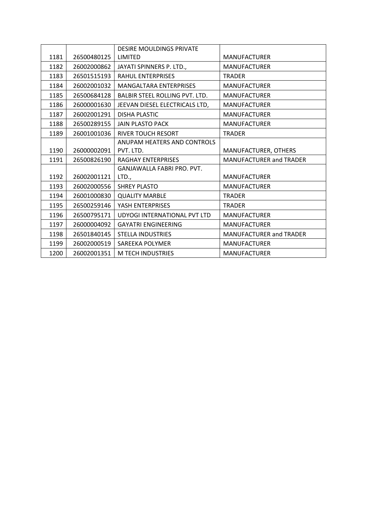|      |             | <b>DESIRE MOULDINGS PRIVATE</b>       |                                |
|------|-------------|---------------------------------------|--------------------------------|
| 1181 | 26500480125 | LIMITED                               | <b>MANUFACTURER</b>            |
| 1182 | 26002000862 | JAYATI SPINNERS P. LTD.,              | <b>MANUFACTURER</b>            |
| 1183 | 26501515193 | <b>RAHUL ENTERPRISES</b>              | <b>TRADER</b>                  |
| 1184 | 26002001032 | <b>MANGALTARA ENTERPRISES</b>         | <b>MANUFACTURER</b>            |
| 1185 | 26500684128 | <b>BALBIR STEEL ROLLING PVT. LTD.</b> | <b>MANUFACTURER</b>            |
| 1186 | 26000001630 | JEEVAN DIESEL ELECTRICALS LTD,        | <b>MANUFACTURER</b>            |
| 1187 | 26002001291 | <b>DISHA PLASTIC</b>                  | <b>MANUFACTURER</b>            |
| 1188 | 26500289155 | <b>JAIN PLASTO PACK</b>               | <b>MANUFACTURER</b>            |
| 1189 | 26001001036 | <b>RIVER TOUCH RESORT</b>             | <b>TRADER</b>                  |
|      |             | ANUPAM HEATERS AND CONTROLS           |                                |
| 1190 | 26000002091 | PVT. LTD.                             | MANUFACTURER, OTHERS           |
| 1191 | 26500826190 | <b>RAGHAY ENTERPRISES</b>             | <b>MANUFACTURER and TRADER</b> |
|      |             | <b>GANJAWALLA FABRI PRO. PVT.</b>     |                                |
| 1192 | 26002001121 | LTD.,                                 | <b>MANUFACTURER</b>            |
| 1193 | 26002000556 | <b>SHREY PLASTO</b>                   | <b>MANUFACTURER</b>            |
| 1194 | 26001000830 | <b>QUALITY MARBLE</b>                 | <b>TRADER</b>                  |
| 1195 | 26500259146 | YASH ENTERPRISES                      | <b>TRADER</b>                  |
| 1196 | 26500795171 | UDYOGI INTERNATIONAL PVT LTD          | <b>MANUFACTURER</b>            |
| 1197 | 26000004092 | <b>GAYATRI ENGINEERING</b>            | <b>MANUFACTURER</b>            |
| 1198 | 26501840145 | <b>STELLA INDUSTRIES</b>              | <b>MANUFACTURER and TRADER</b> |
| 1199 | 26002000519 | SAREEKA POLYMER                       | <b>MANUFACTURER</b>            |
| 1200 | 26002001351 | M TECH INDUSTRIES                     | <b>MANUFACTURER</b>            |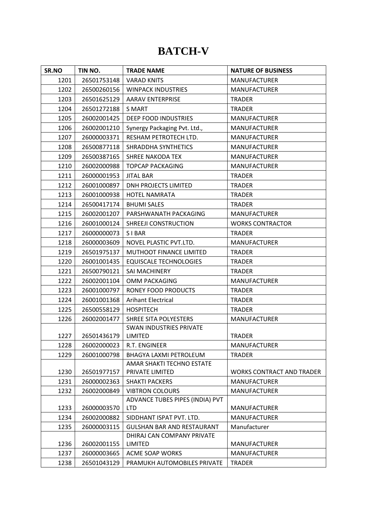#### **BATCH-V**

| SR.NO | TIN NO.     | <b>TRADE NAME</b>                            | <b>NATURE OF BUSINESS</b>        |
|-------|-------------|----------------------------------------------|----------------------------------|
| 1201  | 26501753148 | <b>VARAD KNITS</b>                           | <b>MANUFACTURER</b>              |
| 1202  | 26500260156 | <b>WINPACK INDUSTRIES</b>                    | <b>MANUFACTURER</b>              |
| 1203  | 26501625129 | <b>AARAV ENTERPRISE</b>                      | <b>TRADER</b>                    |
| 1204  | 26501272188 | <b>S MART</b>                                | <b>TRADER</b>                    |
| 1205  | 26002001425 | DEEP FOOD INDUSTRIES                         | <b>MANUFACTURER</b>              |
| 1206  | 26002001210 | Synergy Packaging Pvt. Ltd.,                 | <b>MANUFACTURER</b>              |
| 1207  | 26000003371 | RESHAM PETROTECH LTD.                        | <b>MANUFACTURER</b>              |
| 1208  | 26500877118 | SHRADDHA SYNTHETICS                          | <b>MANUFACTURER</b>              |
| 1209  | 26500387165 | SHREE NAKODA TEX                             | <b>MANUFACTURER</b>              |
| 1210  | 26002000988 | <b>TOPCAP PACKAGING</b>                      | <b>MANUFACTURER</b>              |
| 1211  | 26000001953 | <b>JITAL BAR</b>                             | <b>TRADER</b>                    |
| 1212  | 26001000897 | <b>DNH PROJECTS LIMITED</b>                  | <b>TRADER</b>                    |
| 1213  | 26001000938 | <b>HOTEL NAMRATA</b>                         | <b>TRADER</b>                    |
| 1214  | 26500417174 | <b>BHUMI SALES</b>                           | <b>TRADER</b>                    |
| 1215  | 26002001207 | PARSHWANATH PACKAGING                        | <b>MANUFACTURER</b>              |
| 1216  | 26001000124 | SHREEJI CONSTRUCTION                         | <b>WORKS CONTRACTOR</b>          |
| 1217  | 26000000073 | <b>SIBAR</b>                                 | <b>TRADER</b>                    |
| 1218  | 26000003609 | NOVEL PLASTIC PVT.LTD.                       | <b>MANUFACTURER</b>              |
| 1219  | 26501975137 | MUTHOOT FINANCE LIMITED                      | <b>TRADER</b>                    |
| 1220  | 26001001435 | <b>EQUISCALE TECHNOLOGIES</b>                | <b>TRADER</b>                    |
| 1221  | 26500790121 | SAI MACHINERY                                | <b>TRADER</b>                    |
| 1222  | 26002001104 | OMM PACKAGING                                | <b>MANUFACTURER</b>              |
| 1223  | 26001000797 | RONEY FOOD PRODUCTS                          | <b>TRADER</b>                    |
| 1224  | 26001001368 | <b>Arihant Electrical</b>                    | <b>TRADER</b>                    |
| 1225  | 26500558129 | <b>HOSPITECH</b>                             | <b>TRADER</b>                    |
| 1226  | 26002001477 | SHREE SITA POLYESTERS                        | <b>MANUFACTURER</b>              |
|       |             | <b>SWAN INDUSTRIES PRIVATE</b>               |                                  |
| 1227  | 26501436179 | LIMITED                                      | <b>TRADER</b>                    |
| 1228  | 26002000023 | R.T. ENGINEER                                | <b>MANUFACTURER</b>              |
| 1229  | 26001000798 | BHAGYA LAXMI PETROLEUM                       | <b>TRADER</b>                    |
| 1230  | 26501977157 | AMAR SHAKTI TECHNO ESTATE<br>PRIVATE LIMITED | <b>WORKS CONTRACT AND TRADER</b> |
| 1231  | 26000002363 | <b>SHAKTI PACKERS</b>                        | <b>MANUFACTURER</b>              |
| 1232  | 26002000849 | <b>VIBTRON COLOURS</b>                       | <b>MANUFACTURER</b>              |
|       |             | ADVANCE TUBES PIPES (INDIA) PVT              |                                  |
| 1233  | 26000003570 | <b>LTD</b>                                   | <b>MANUFACTURER</b>              |
| 1234  | 26002000882 | SIDDHANT ISPAT PVT. LTD.                     | <b>MANUFACTURER</b>              |
| 1235  | 26000003115 | <b>GULSHAN BAR AND RESTAURANT</b>            | Manufacturer                     |
|       |             | DHIRAJ CAN COMPANY PRIVATE                   |                                  |
| 1236  | 26002001155 | LIMITED                                      | <b>MANUFACTURER</b>              |
| 1237  | 26000003665 | <b>ACME SOAP WORKS</b>                       | <b>MANUFACTURER</b>              |
| 1238  | 26501043129 | PRAMUKH AUTOMOBILES PRIVATE                  | <b>TRADER</b>                    |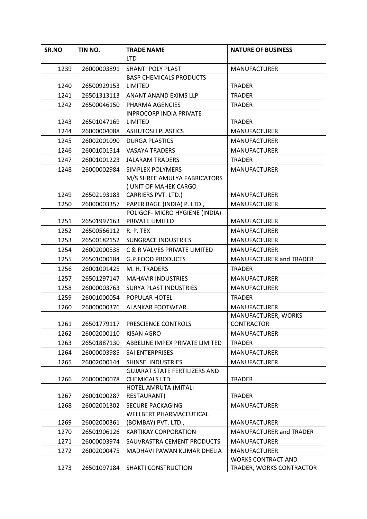| SR.NO                                                                | TIN NO.                                                                                               | <b>TRADE NAME</b>                                                                                                                                                                                                     | <b>NATURE OF BUSINESS</b>                                                                                                                                                                     |
|----------------------------------------------------------------------|-------------------------------------------------------------------------------------------------------|-----------------------------------------------------------------------------------------------------------------------------------------------------------------------------------------------------------------------|-----------------------------------------------------------------------------------------------------------------------------------------------------------------------------------------------|
|                                                                      |                                                                                                       | <b>LTD</b>                                                                                                                                                                                                            |                                                                                                                                                                                               |
| 1239                                                                 | 26000003891                                                                                           | <b>SHANTI POLY PLAST</b>                                                                                                                                                                                              | <b>MANUFACTURER</b>                                                                                                                                                                           |
|                                                                      |                                                                                                       | <b>BASP CHEMICALS PRODUCTS</b>                                                                                                                                                                                        |                                                                                                                                                                                               |
| 1240                                                                 | 26500929153                                                                                           | LIMITED                                                                                                                                                                                                               | <b>TRADER</b>                                                                                                                                                                                 |
| 1241                                                                 | 26501313113                                                                                           | ANANT ANAND EXIMS LLP                                                                                                                                                                                                 | <b>TRADER</b>                                                                                                                                                                                 |
| 1242                                                                 | 26500046150                                                                                           | PHARMA AGENCIES                                                                                                                                                                                                       | <b>TRADER</b>                                                                                                                                                                                 |
|                                                                      |                                                                                                       | <b>INPROCORP INDIA PRIVATE</b>                                                                                                                                                                                        |                                                                                                                                                                                               |
| 1243                                                                 | 26501047169                                                                                           | LIMITED                                                                                                                                                                                                               | <b>TRADER</b>                                                                                                                                                                                 |
| 1244                                                                 | 26000004088                                                                                           | <b>ASHUTOSH PLASTICS</b>                                                                                                                                                                                              | <b>MANUFACTURER</b>                                                                                                                                                                           |
| 1245                                                                 | 26002001090                                                                                           | <b>DURGA PLASTICS</b>                                                                                                                                                                                                 | <b>MANUFACTURER</b>                                                                                                                                                                           |
| 1246                                                                 | 26001001514                                                                                           | <b>VASAYA TRADERS</b>                                                                                                                                                                                                 | <b>MANUFACTURER</b>                                                                                                                                                                           |
| 1247                                                                 | 26001001223                                                                                           | <b>JALARAM TRADERS</b>                                                                                                                                                                                                | <b>TRADER</b>                                                                                                                                                                                 |
| 1248                                                                 | 26000002984                                                                                           | <b>SIMPLEX POLYMERS</b>                                                                                                                                                                                               | <b>MANUFACTURER</b>                                                                                                                                                                           |
|                                                                      |                                                                                                       | M/S SHREE AMULYA FABRICATORS                                                                                                                                                                                          |                                                                                                                                                                                               |
|                                                                      |                                                                                                       | (UNIT OF MAHEK CARGO                                                                                                                                                                                                  |                                                                                                                                                                                               |
| 1249                                                                 | 26502193183                                                                                           | CARRIERS PVT. LTD.)                                                                                                                                                                                                   | <b>MANUFACTURER</b>                                                                                                                                                                           |
| 1250                                                                 | 26000003357                                                                                           | PAPER BAGE (INDIA) P. LTD.,<br>POLIGOF- MICRO HYGIENE (INDIA)                                                                                                                                                         | <b>MANUFACTURER</b>                                                                                                                                                                           |
| 1251                                                                 | 26501997163                                                                                           | PRIVATE LIMITED                                                                                                                                                                                                       | <b>MANUFACTURER</b>                                                                                                                                                                           |
| 1252                                                                 | 26500566112                                                                                           | R. P. TEX                                                                                                                                                                                                             | <b>MANUFACTURER</b>                                                                                                                                                                           |
| 1253                                                                 | 26500182152                                                                                           | <b>SUNGRACE INDUSTRIES</b>                                                                                                                                                                                            | <b>MANUFACTURER</b>                                                                                                                                                                           |
| 1254                                                                 | 26002000538                                                                                           | C & R VALVES PRIVATE LIMITED                                                                                                                                                                                          | <b>MANUFACTURER</b>                                                                                                                                                                           |
| 1255                                                                 | 26501000184                                                                                           | <b>G.P.FOOD PRODUCTS</b>                                                                                                                                                                                              | MANUFACTURER and TRADER                                                                                                                                                                       |
| 1256                                                                 | 26001001425                                                                                           | M. H. TRADERS                                                                                                                                                                                                         | <b>TRADER</b>                                                                                                                                                                                 |
| 1257                                                                 | 26501297147                                                                                           | <b>MAHAVIR INDUSTRIES</b>                                                                                                                                                                                             | <b>MANUFACTURER</b>                                                                                                                                                                           |
| 1258                                                                 | 26000003763                                                                                           | <b>SURYA PLAST INDUSTRIES</b>                                                                                                                                                                                         | <b>MANUFACTURER</b>                                                                                                                                                                           |
| 1259                                                                 | 26001000054                                                                                           | POPULAR HOTEL                                                                                                                                                                                                         | <b>TRADER</b>                                                                                                                                                                                 |
| 1260                                                                 | 26000000376                                                                                           | <b>ALANKAR FOOTWEAR</b>                                                                                                                                                                                               | <b>MANUFACTURER</b>                                                                                                                                                                           |
|                                                                      |                                                                                                       |                                                                                                                                                                                                                       | MANUFACTURER, WORKS                                                                                                                                                                           |
| 1261                                                                 | 26501779117                                                                                           | PRESCIENCE CONTROLS                                                                                                                                                                                                   | <b>CONTRACTOR</b>                                                                                                                                                                             |
| 1262                                                                 | 26002000110                                                                                           | <b>KISAN AGRO</b>                                                                                                                                                                                                     | <b>MANUFACTURER</b>                                                                                                                                                                           |
|                                                                      | 26501887130                                                                                           |                                                                                                                                                                                                                       |                                                                                                                                                                                               |
|                                                                      |                                                                                                       |                                                                                                                                                                                                                       |                                                                                                                                                                                               |
|                                                                      | 26002000144                                                                                           | <b>SHINSEI INDUSTRIES</b>                                                                                                                                                                                             | <b>MANUFACTURER</b>                                                                                                                                                                           |
|                                                                      |                                                                                                       | <b>GUJARAT STATE FERTILIZERS AND</b>                                                                                                                                                                                  |                                                                                                                                                                                               |
| 1266                                                                 | 26000000078                                                                                           | CHEMICALS LTD.                                                                                                                                                                                                        | <b>TRADER</b>                                                                                                                                                                                 |
|                                                                      |                                                                                                       | HOTEL AMRUTA (MITALI                                                                                                                                                                                                  |                                                                                                                                                                                               |
| 1267                                                                 | 26001000287                                                                                           | RESTAURANT)                                                                                                                                                                                                           | <b>TRADER</b>                                                                                                                                                                                 |
|                                                                      |                                                                                                       | <b>SECURE PACKAGING</b>                                                                                                                                                                                               | <b>MANUFACTURER</b>                                                                                                                                                                           |
|                                                                      |                                                                                                       |                                                                                                                                                                                                                       |                                                                                                                                                                                               |
|                                                                      |                                                                                                       |                                                                                                                                                                                                                       |                                                                                                                                                                                               |
|                                                                      |                                                                                                       |                                                                                                                                                                                                                       |                                                                                                                                                                                               |
|                                                                      |                                                                                                       |                                                                                                                                                                                                                       |                                                                                                                                                                                               |
|                                                                      |                                                                                                       |                                                                                                                                                                                                                       |                                                                                                                                                                                               |
|                                                                      |                                                                                                       |                                                                                                                                                                                                                       |                                                                                                                                                                                               |
| 1263<br>1264<br>1265<br>1268<br>1269<br>1270<br>1271<br>1272<br>1273 | 26000003985<br>26002001302<br>26002000361<br>26501906126<br>26000003974<br>26002000475<br>26501097184 | ABBELINE IMPEX PRIVATE LIMITED<br>SAI ENTERPRISES<br>WELLBERT PHARMACEUTICAL<br>(BOMBAY) PVT. LTD.,<br><b>KARTIKAY CORPORATION</b><br>SAUVRASTRA CEMENT PRODUCTS<br>MADHAVI PAWAN KUMAR DHELIA<br>SHAKTI CONSTRUCTION | <b>TRADER</b><br><b>MANUFACTURER</b><br><b>MANUFACTURER</b><br>MANUFACTURER and TRADER<br><b>MANUFACTURER</b><br><b>MANUFACTURER</b><br><b>WORKS CONTRACT AND</b><br>TRADER, WORKS CONTRACTOR |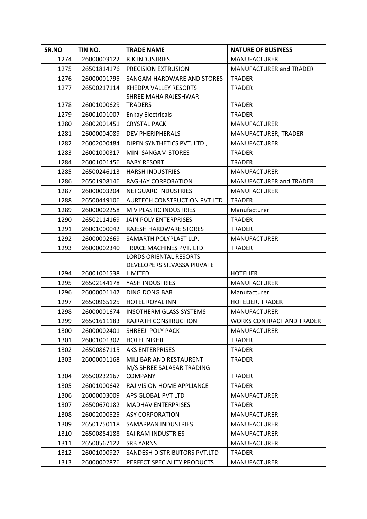| SR.NO | TIN NO.     | <b>TRADE NAME</b>              | <b>NATURE OF BUSINESS</b>        |
|-------|-------------|--------------------------------|----------------------------------|
| 1274  | 26000003122 | R.K.INDUSTRIES                 | <b>MANUFACTURER</b>              |
| 1275  | 26501814176 | PRECISION EXTRUSION            | MANUFACTURER and TRADER          |
| 1276  | 26000001795 | SANGAM HARDWARE AND STORES     | <b>TRADER</b>                    |
| 1277  | 26500217114 | KHEDPA VALLEY RESORTS          | <b>TRADER</b>                    |
|       |             | SHREE MAHA RAJESHWAR           |                                  |
| 1278  | 26001000629 | <b>TRADERS</b>                 | <b>TRADER</b>                    |
| 1279  | 26001001007 | <b>Enkay Electricals</b>       | <b>TRADER</b>                    |
| 1280  | 26002001451 | <b>CRYSTAL PACK</b>            | <b>MANUFACTURER</b>              |
| 1281  | 26000004089 | <b>DEV PHERIPHERALS</b>        | MANUFACTURER, TRADER             |
| 1282  | 26002000484 | DIPEN SYNTHETICS PVT. LTD.,    | <b>MANUFACTURER</b>              |
| 1283  | 26001000317 | MINI SANGAM STORES             | <b>TRADER</b>                    |
| 1284  | 26001001456 | <b>BABY RESORT</b>             | <b>TRADER</b>                    |
| 1285  | 26500246113 | <b>HARSH INDUSTRIES</b>        | <b>MANUFACTURER</b>              |
| 1286  | 26501908146 | <b>RAGHAY CORPORATION</b>      | <b>MANUFACTURER and TRADER</b>   |
| 1287  | 26000003204 | NETGUARD INDUSTRIES            | <b>MANUFACTURER</b>              |
| 1288  | 26500449106 | AURTECH CONSTRUCTION PVT LTD   | <b>TRADER</b>                    |
| 1289  | 26000002258 | M V PLASTIC INDUSTRIES         | Manufacturer                     |
| 1290  | 26502114169 | <b>JAIN POLY ENTERPRISES</b>   | <b>TRADER</b>                    |
| 1291  | 26001000042 | RAJESH HARDWARE STORES         | <b>TRADER</b>                    |
| 1292  | 26000002669 | SAMARTH POLYPLAST LLP.         | <b>MANUFACTURER</b>              |
| 1293  | 26000002340 | TRIACE MACHINES PVT. LTD.      | <b>TRADER</b>                    |
|       |             | <b>LORDS ORIENTAL RESORTS</b>  |                                  |
|       |             | DEVELOPERS SILVASSA PRIVATE    |                                  |
| 1294  | 26001001538 | LIMITED                        | <b>HOTELIER</b>                  |
| 1295  | 26502144178 | YASH INDUSTRIES                | <b>MANUFACTURER</b>              |
| 1296  | 26000001147 | DING DONG BAR                  | Manufacturer                     |
| 1297  | 26500965125 | HOTEL ROYAL INN                | HOTELIER, TRADER                 |
| 1298  | 26000001674 | <b>INSOTHERM GLASS SYSTEMS</b> | <b>MANUFACTURER</b>              |
| 1299  | 26501611183 | RAJRATH CONSTRUCTION           | <b>WORKS CONTRACT AND TRADER</b> |
| 1300  | 26000002401 | SHREEJI POLY PACK              | <b>MANUFACTURER</b>              |
| 1301  | 26001001302 | <b>HOTEL NIKHIL</b>            | <b>TRADER</b>                    |
| 1302  | 26500867115 | <b>AKS ENTERPRISES</b>         | <b>TRADER</b>                    |
| 1303  | 26000001168 | MILI BAR AND RESTAURENT        | <b>TRADER</b>                    |
|       |             | M/S SHREE SALASAR TRADING      |                                  |
| 1304  | 26500232167 | <b>COMPANY</b>                 | <b>TRADER</b>                    |
| 1305  | 26001000642 | RAJ VISION HOME APPLIANCE      | <b>TRADER</b>                    |
| 1306  | 26000003009 | APS GLOBAL PVT LTD             | <b>MANUFACTURER</b>              |
| 1307  | 26500670182 | <b>MADHAV ENTERPRISES</b>      | <b>TRADER</b>                    |
| 1308  | 26002000525 | <b>ASY CORPORATION</b>         | <b>MANUFACTURER</b>              |
| 1309  | 26501750118 | SAMARPAN INDUSTRIES            | <b>MANUFACTURER</b>              |
| 1310  | 26500884188 | SAI RAM INDUSTRIES             | <b>MANUFACTURER</b>              |
| 1311  | 26500567122 | <b>SRB YARNS</b>               | <b>MANUFACTURER</b>              |
| 1312  | 26001000927 | SANDESH DISTRIBUTORS PVT.LTD   | <b>TRADER</b>                    |
| 1313  | 26000002876 | PERFECT SPECIALITY PRODUCTS    | <b>MANUFACTURER</b>              |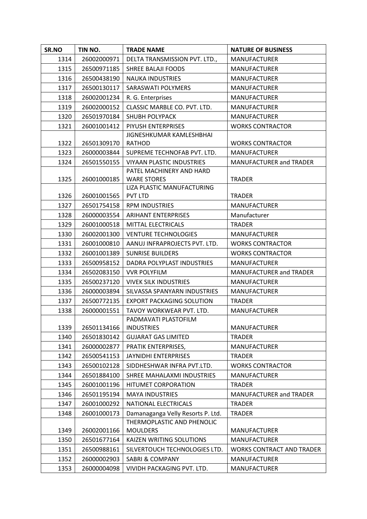| SR.NO        | TIN NO.     | <b>TRADE NAME</b>                     | <b>NATURE OF BUSINESS</b>        |
|--------------|-------------|---------------------------------------|----------------------------------|
| 1314         | 26002000971 | DELTA TRANSMISSION PVT. LTD.,         | <b>MANUFACTURER</b>              |
| 1315         | 26500971185 | <b>SHREE BALAJI FOODS</b>             | <b>MANUFACTURER</b>              |
| 1316         | 26500438190 | <b>NAUKA INDUSTRIES</b>               | <b>MANUFACTURER</b>              |
| 1317         | 26500130117 | SARASWATI POLYMERS                    | <b>MANUFACTURER</b>              |
| 1318         | 26002001234 | R. G. Enterprises                     | <b>MANUFACTURER</b>              |
| 1319         | 26002000152 | CLASSIC MARBLE CO. PVT. LTD.          | <b>MANUFACTURER</b>              |
| 1320         | 26501970184 | <b>SHUBH POLYPACK</b>                 | <b>MANUFACTURER</b>              |
| 1321         | 26001001412 | PIYUSH ENTERPRISES                    | <b>WORKS CONTRACTOR</b>          |
|              |             | JIGNESHKUMAR KAMLESHBHAI              |                                  |
| 1322         | 26501309170 | <b>RATHOD</b>                         | <b>WORKS CONTRACTOR</b>          |
| 1323         | 26000003844 | SUPREME TECHNOFAB PVT. LTD.           | <b>MANUFACTURER</b>              |
| 1324         | 26501550155 | <b>VIYAAN PLASTIC INDUSTRIES</b>      | MANUFACTURER and TRADER          |
|              |             | PATEL MACHINERY AND HARD              |                                  |
| 1325         | 26001000185 | <b>WARE STORES</b>                    | <b>TRADER</b>                    |
| 1326         | 26001001565 | LIZA PLASTIC MANUFACTURING<br>PVT LTD | <b>TRADER</b>                    |
| 1327         | 26501754158 | <b>RPM INDUSTRIES</b>                 | <b>MANUFACTURER</b>              |
| 1328         | 26000003554 | <b>ARIHANT ENTERPRISES</b>            | Manufacturer                     |
| 1329         | 26001000518 | MITTAL ELECTRICALS                    | <b>TRADER</b>                    |
| 1330         | 26002001300 | <b>VENTURE TECHNOLOGIES</b>           | <b>MANUFACTURER</b>              |
| 1331         | 26001000810 | AANUJ INFRAPROJECTS PVT. LTD.         | <b>WORKS CONTRACTOR</b>          |
| 1332         | 26001001389 | <b>SUNRISE BUILDERS</b>               | <b>WORKS CONTRACTOR</b>          |
|              | 26500958152 | DADRA POLYPLAST INDUSTRIES            | <b>MANUFACTURER</b>              |
| 1333<br>1334 | 26502083150 | <b>VVR POLYFILM</b>                   | MANUFACTURER and TRADER          |
| 1335         | 26500237120 | <b>VIVEK SILK INDUSTRIES</b>          | <b>MANUFACTURER</b>              |
| 1336         | 26000003894 | SILVASSA SPANYARN INDUSTRIES          | <b>MANUFACTURER</b>              |
| 1337         | 26500772135 | <b>EXPORT PACKAGING SOLUTION</b>      | <b>TRADER</b>                    |
| 1338         | 26000001551 | TAVOY WORKWEAR PVT. LTD.              | <b>MANUFACTURER</b>              |
|              |             | PADMAVATI PLASTOFILM                  |                                  |
| 1339         | 26501134166 | <b>INDUSTRIES</b>                     | <b>MANUFACTURER</b>              |
| 1340         | 26501830142 | <b>GUJARAT GAS LIMITED</b>            | <b>TRADER</b>                    |
| 1341         | 26000002877 | PRATIK ENTERPRISES,                   | <b>MANUFACTURER</b>              |
| 1342         | 26500541153 | JAYNIDHI ENTERPRISES                  | <b>TRADER</b>                    |
| 1343         | 26500102128 | SIDDHESHWAR INFRA PVT.LTD.            | <b>WORKS CONTRACTOR</b>          |
| 1344         | 26501884100 | SHREE MAHALAXMI INDUSTRIES            | <b>MANUFACTURER</b>              |
| 1345         | 26001001196 | <b>HITUMET CORPORATION</b>            | <b>TRADER</b>                    |
| 1346         | 26501195194 | <b>MAYA INDUSTRIES</b>                | MANUFACTURER and TRADER          |
| 1347         | 26001000292 | NATIONAL ELECTRICALS                  | <b>TRADER</b>                    |
| 1348         | 26001000173 | Damanaganga Velly Resorts P. Ltd.     | <b>TRADER</b>                    |
|              |             | THERMOPLASTIC AND PHENOLIC            |                                  |
| 1349         | 26002001166 | <b>MOULDERS</b>                       | <b>MANUFACTURER</b>              |
| 1350         | 26501677164 | <b>KAIZEN WRITING SOLUTIONS</b>       | <b>MANUFACTURER</b>              |
| 1351         | 26500988161 | SILVERTOUCH TECHNOLOGIES LTD.         | <b>WORKS CONTRACT AND TRADER</b> |
| 1352         | 26000002903 | <b>SABRI &amp; COMPANY</b>            | <b>MANUFACTURER</b>              |
| 1353         | 26000004098 | VIVIDH PACKAGING PVT. LTD.            | <b>MANUFACTURER</b>              |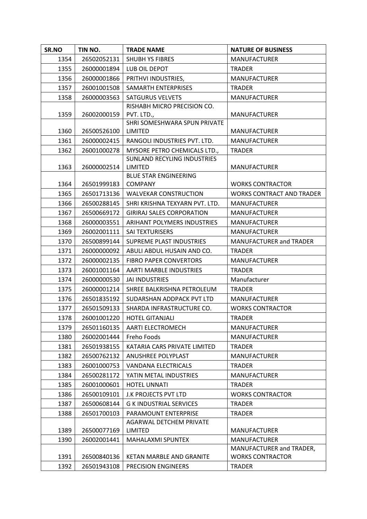| SR.NO | TIN NO.     | <b>TRADE NAME</b>                      | <b>NATURE OF BUSINESS</b>        |
|-------|-------------|----------------------------------------|----------------------------------|
| 1354  | 26502052131 | <b>SHUBH YS FIBRES</b>                 | <b>MANUFACTURER</b>              |
| 1355  | 26000001894 | LUB OIL DEPOT                          | <b>TRADER</b>                    |
| 1356  | 26000001866 | PRITHVI INDUSTRIES,                    | <b>MANUFACTURER</b>              |
| 1357  | 26001001508 | SAMARTH ENTERPRISES                    | <b>TRADER</b>                    |
| 1358  | 26000003563 | <b>SATGURUS VELVETS</b>                | <b>MANUFACTURER</b>              |
|       |             | RISHABH MICRO PRECISION CO.            |                                  |
| 1359  | 26002000159 | PVT. LTD.,                             | <b>MANUFACTURER</b>              |
|       |             | SHRI SOMESHWARA SPUN PRIVATE           |                                  |
| 1360  | 26500526100 | <b>LIMITED</b>                         | <b>MANUFACTURER</b>              |
| 1361  | 26000002415 | RANGOLI INDUSTRIES PVT. LTD.           | <b>MANUFACTURER</b>              |
| 1362  | 26001000278 | MYSORE PETRO CHEMICALS LTD.,           | <b>TRADER</b>                    |
| 1363  | 26000002514 | SUNLAND RECYLING INDUSTRIES<br>LIMITED | <b>MANUFACTURER</b>              |
|       |             | <b>BLUE STAR ENGINEERING</b>           |                                  |
| 1364  | 26501999183 | <b>COMPANY</b>                         | <b>WORKS CONTRACTOR</b>          |
| 1365  | 26501713136 | <b>WALVEKAR CONSTRUCTION</b>           | <b>WORKS CONTRACT AND TRADER</b> |
| 1366  | 26500288145 | SHRI KRISHNA TEXYARN PVT. LTD.         | <b>MANUFACTURER</b>              |
| 1367  | 26500669172 | <b>GIRIRAJ SALES CORPORATION</b>       | <b>MANUFACTURER</b>              |
| 1368  | 26000003551 | ARIHANT POLYMERS INDUSTRIES            | <b>MANUFACTURER</b>              |
| 1369  | 26002001111 | SAI TEXTURISERS                        | <b>MANUFACTURER</b>              |
| 1370  | 26500899144 | <b>SUPREME PLAST INDUSTRIES</b>        | MANUFACTURER and TRADER          |
| 1371  | 26000000092 | ABULI ABDUL HUSAIN AND CO.             | <b>TRADER</b>                    |
| 1372  | 26000002135 | <b>FIBRO PAPER CONVERTORS</b>          | <b>MANUFACTURER</b>              |
| 1373  | 26001001164 | AARTI MARBLE INDUSTRIES                | <b>TRADER</b>                    |
| 1374  | 26000000530 | <b>JAI INDUSTRIES</b>                  | Manufacturer                     |
| 1375  | 26000001214 | SHREE BALKRISHNA PETROLEUM             | <b>TRADER</b>                    |
| 1376  | 26501835192 | SUDARSHAN ADDPACK PVT LTD              | <b>MANUFACTURER</b>              |
| 1377  | 26501509133 | SHARDA INFRASTRUCTURE CO.              | <b>WORKS CONTRACTOR</b>          |
| 1378  | 26001001220 | <b>HOTEL GITANJALI</b>                 | <b>TRADER</b>                    |
| 1379  | 26501160135 | <b>AARTI ELECTROMECH</b>               | <b>MANUFACTURER</b>              |
| 1380  | 26002001444 | Freho Foods                            | <b>MANUFACTURER</b>              |
| 1381  | 26501938155 | KATARIA CARS PRIVATE LIMITED           | <b>TRADER</b>                    |
| 1382  | 26500762132 | ANUSHREE POLYPLAST                     | <b>MANUFACTURER</b>              |
| 1383  | 26001000753 | VANDANA ELECTRICALS                    | <b>TRADER</b>                    |
| 1384  | 26500281172 | YATIN METAL INDUSTRIES                 | <b>MANUFACTURER</b>              |
| 1385  | 26001000601 | <b>HOTEL UNNATI</b>                    | <b>TRADER</b>                    |
| 1386  | 26500109101 | J.K PROJECTS PVT LTD                   | <b>WORKS CONTRACTOR</b>          |
| 1387  | 26500608144 | <b>G K INDUSTRIAL SERVICES</b>         | <b>TRADER</b>                    |
| 1388  | 26501700103 | PARAMOUNT ENTERPRISE                   | <b>TRADER</b>                    |
|       |             | AGARWAL DETCHEM PRIVATE                |                                  |
| 1389  | 26500077169 | <b>LIMITED</b>                         | <b>MANUFACTURER</b>              |
| 1390  | 26002001441 | MAHALAXMI SPUNTEX                      | <b>MANUFACTURER</b>              |
|       |             |                                        | MANUFACTURER and TRADER,         |
| 1391  | 26500840136 | <b>KETAN MARBLE AND GRANITE</b>        | <b>WORKS CONTRACTOR</b>          |
| 1392  | 26501943108 | PRECISION ENGINEERS                    | <b>TRADER</b>                    |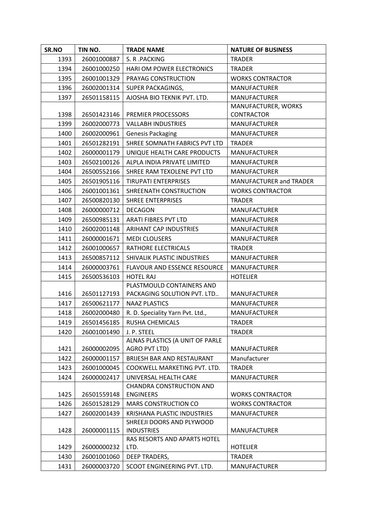| SR.NO | TIN NO.     | <b>TRADE NAME</b>                              | <b>NATURE OF BUSINESS</b>      |
|-------|-------------|------------------------------------------------|--------------------------------|
| 1393  | 26001000887 | S. R. PACKING                                  | <b>TRADER</b>                  |
| 1394  | 26001000250 | HARI OM POWER ELECTRONICS                      | <b>TRADER</b>                  |
| 1395  | 26001001329 | PRAYAG CONSTRUCTION                            | <b>WORKS CONTRACTOR</b>        |
| 1396  | 26002001314 | SUPER PACKAGINGS,                              | <b>MANUFACTURER</b>            |
| 1397  | 26501158115 | AJOSHA BIO TEKNIK PVT. LTD.                    | <b>MANUFACTURER</b>            |
|       |             |                                                | MANUFACTURER, WORKS            |
| 1398  | 26501423146 | PREMIER PROCESSORS                             | <b>CONTRACTOR</b>              |
| 1399  | 26002000773 | <b>VALLABH INDUSTRIES</b>                      | <b>MANUFACTURER</b>            |
| 1400  | 26002000961 | <b>Genesis Packaging</b>                       | <b>MANUFACTURER</b>            |
| 1401  | 26501282191 | SHREE SOMNATH FABRICS PVT LTD                  | <b>TRADER</b>                  |
| 1402  | 26000001179 | UNIQUE HEALTH CARE PRODUCTS                    | <b>MANUFACTURER</b>            |
| 1403  | 26502100126 | ALPLA INDIA PRIVATE LIMITED                    | <b>MANUFACTURER</b>            |
| 1404  | 26500552166 | SHREE RAM TEXOLENE PVT LTD                     | <b>MANUFACTURER</b>            |
| 1405  | 26501905116 | <b>TIRUPATI ENTERPRISES</b>                    | <b>MANUFACTURER and TRADER</b> |
| 1406  | 26001001361 | SHREENATH CONSTRUCTION                         | <b>WORKS CONTRACTOR</b>        |
| 1407  | 26500820130 | <b>SHREE ENTERPRISES</b>                       | <b>TRADER</b>                  |
| 1408  | 26000000712 | <b>DECAGON</b>                                 | <b>MANUFACTURER</b>            |
| 1409  | 26500985131 | <b>ARATI FIBRES PVT LTD</b>                    | <b>MANUFACTURER</b>            |
| 1410  | 26002001148 | <b>ARIHANT CAP INDUSTRIES</b>                  | <b>MANUFACTURER</b>            |
| 1411  | 26000001671 | <b>MEDI CLOUSERS</b>                           | <b>MANUFACTURER</b>            |
| 1412  | 26001000657 | RATHORE ELECTRICALS                            | <b>TRADER</b>                  |
| 1413  | 26500857112 | SHIVALIK PLASTIC INDUSTRIES                    | <b>MANUFACTURER</b>            |
| 1414  | 26000003761 | <b>FLAVOUR AND ESSENCE RESOURCE</b>            | <b>MANUFACTURER</b>            |
| 1415  | 26500536103 | <b>HOTEL RAJ</b>                               | <b>HOTELIER</b>                |
|       |             | PLASTMOULD CONTAINERS AND                      |                                |
| 1416  | 26501127193 | PACKAGING SOLUTION PVT. LTD                    | <b>MANUFACTURER</b>            |
| 1417  | 26500621177 | <b>NAAZ PLASTICS</b>                           | <b>MANUFACTURER</b>            |
| 1418  | 26002000480 | R. D. Speciality Yarn Pvt. Ltd.,               | <b>MANUFACTURER</b>            |
| 1419  | 26501456185 | RUSHA CHEMICALS                                | TRADER                         |
| 1420  | 26001001490 | J. P. STEEL                                    | <b>TRADER</b>                  |
|       |             | ALNAS PLASTICS (A UNIT OF PARLE                |                                |
| 1421  | 26000002095 | AGRO PVT LTD)                                  | <b>MANUFACTURER</b>            |
| 1422  | 26000001157 | <b>BRIJESH BAR AND RESTAURANT</b>              | Manufacturer                   |
| 1423  | 26001000045 | COOKWELL MARKETING PVT. LTD.                   | <b>TRADER</b>                  |
| 1424  | 26000002417 | UNIVERSAL HEALTH CARE                          | <b>MANUFACTURER</b>            |
|       |             | CHANDRA CONSTRUCTION AND                       |                                |
| 1425  | 26501559148 | <b>ENGINEERS</b>                               | <b>WORKS CONTRACTOR</b>        |
| 1426  | 26501528129 | <b>MARS CONSTRUCTION CO</b>                    | <b>WORKS CONTRACTOR</b>        |
| 1427  | 26002001439 | <b>KRISHANA PLASTIC INDUSTRIES</b>             | <b>MANUFACTURER</b>            |
| 1428  | 26000001115 | SHREEJI DOORS AND PLYWOOD<br><b>INDUSTRIES</b> | <b>MANUFACTURER</b>            |
|       |             | RAS RESORTS AND APARTS HOTEL                   |                                |
| 1429  | 26000000232 | LTD.                                           | <b>HOTELIER</b>                |
| 1430  | 26001001060 | DEEP TRADERS,                                  | <b>TRADER</b>                  |
| 1431  | 26000003720 | SCOOT ENGINEERING PVT. LTD.                    | <b>MANUFACTURER</b>            |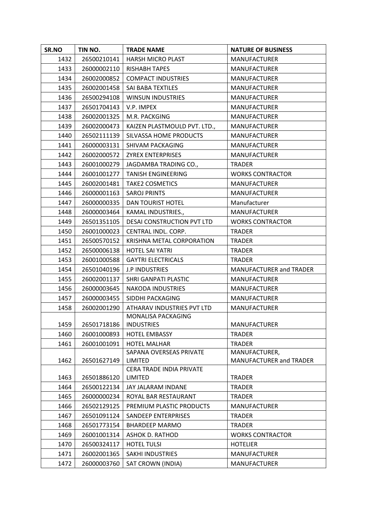| SR.NO | TIN NO.     | <b>TRADE NAME</b>                       | <b>NATURE OF BUSINESS</b>      |
|-------|-------------|-----------------------------------------|--------------------------------|
| 1432  | 26500210141 | <b>HARSH MICRO PLAST</b>                | <b>MANUFACTURER</b>            |
| 1433  | 26000002110 | <b>RISHABH TAPES</b>                    | <b>MANUFACTURER</b>            |
| 1434  | 26002000852 | <b>COMPACT INDUSTRIES</b>               | <b>MANUFACTURER</b>            |
| 1435  | 26002001458 | SAI BABA TEXTILES                       | <b>MANUFACTURER</b>            |
| 1436  | 26500294108 | <b>WINSUN INDUSTRIES</b>                | <b>MANUFACTURER</b>            |
| 1437  | 26501704143 | V.P. IMPEX                              | <b>MANUFACTURER</b>            |
| 1438  | 26002001325 | M.R. PACKGING                           | <b>MANUFACTURER</b>            |
| 1439  | 26002000473 | KAIZEN PLASTMOULD PVT. LTD.,            | MANUFACTURER                   |
| 1440  | 26502111139 | SILVASSA HOME PRODUCTS                  | <b>MANUFACTURER</b>            |
| 1441  | 26000003131 | SHIVAM PACKAGING                        | <b>MANUFACTURER</b>            |
| 1442  | 26002000572 | <b>ZYREX ENTERPRISES</b>                | <b>MANUFACTURER</b>            |
| 1443  | 26001000279 | JAGDAMBA TRADING CO.,                   | <b>TRADER</b>                  |
| 1444  | 26001001277 | <b>TANISH ENGINEERING</b>               | <b>WORKS CONTRACTOR</b>        |
| 1445  | 26002001481 | <b>TAKE2 COSMETICS</b>                  | <b>MANUFACTURER</b>            |
| 1446  | 26000001163 | <b>SAROJ PRINTS</b>                     | <b>MANUFACTURER</b>            |
| 1447  | 26000000335 | DAN TOURIST HOTEL                       | Manufacturer                   |
| 1448  | 26000003464 | KAMAL INDUSTRIES.,                      | <b>MANUFACTURER</b>            |
| 1449  | 26501351105 | DESAI CONSTRUCTION PVT LTD              | <b>WORKS CONTRACTOR</b>        |
| 1450  | 26001000023 | CENTRAL INDL. CORP.                     | <b>TRADER</b>                  |
| 1451  | 26500570152 | KRISHNA METAL CORPORATION               | <b>TRADER</b>                  |
| 1452  | 26500006138 | <b>HOTEL SAI YATRI</b>                  | <b>TRADER</b>                  |
| 1453  | 26001000588 | <b>GAYTRI ELECTRICALS</b>               | <b>TRADER</b>                  |
| 1454  | 26501040196 | <b>J.P INDUSTRIES</b>                   | MANUFACTURER and TRADER        |
| 1455  | 26002001137 | SHRI GANPATI PLASTIC                    | <b>MANUFACTURER</b>            |
| 1456  | 26000003645 | <b>NAKODA INDUSTRIES</b>                | <b>MANUFACTURER</b>            |
| 1457  | 26000003455 | SIDDHI PACKAGING                        | <b>MANUFACTURER</b>            |
| 1458  | 26002001290 | ATHARAV INDUSTRIES PVT LTD              | <b>MANUFACTURER</b>            |
| 1459  | 26501718186 | MONALISA PACKAGING<br><b>INDUSTRIES</b> | <b>MANUFACTURER</b>            |
| 1460  | 26001000893 | <b>HOTEL EMBASSY</b>                    | <b>TRADER</b>                  |
| 1461  | 26001001091 | <b>HOTEL MALHAR</b>                     | <b>TRADER</b>                  |
|       |             | SAPANA OVERSEAS PRIVATE                 | MANUFACTURER,                  |
| 1462  | 26501627149 | <b>LIMITED</b>                          | <b>MANUFACTURER and TRADER</b> |
|       |             | CERA TRADE INDIA PRIVATE                |                                |
| 1463  | 26501886120 | LIMITED                                 | <b>TRADER</b>                  |
| 1464  | 26500122134 | JAY JALARAM INDANE                      | <b>TRADER</b>                  |
| 1465  | 26000000234 | ROYAL BAR RESTAURANT                    | <b>TRADER</b>                  |
| 1466  | 26502129125 | PREMIUM PLASTIC PRODUCTS                | <b>MANUFACTURER</b>            |
| 1467  | 26501091124 | SANDEEP ENTERPRISES                     | <b>TRADER</b>                  |
| 1468  | 26501773154 | <b>BHARDEEP MARMO</b>                   | <b>TRADER</b>                  |
| 1469  | 26001001314 | <b>ASHOK D. RATHOD</b>                  | <b>WORKS CONTRACTOR</b>        |
| 1470  | 26500324117 | <b>HOTEL TULSI</b>                      | <b>HOTELIER</b>                |
| 1471  | 26002001365 | <b>SAKHI INDUSTRIES</b>                 | <b>MANUFACTURER</b>            |
| 1472  | 26000003760 | <b>SAT CROWN (INDIA)</b>                | <b>MANUFACTURER</b>            |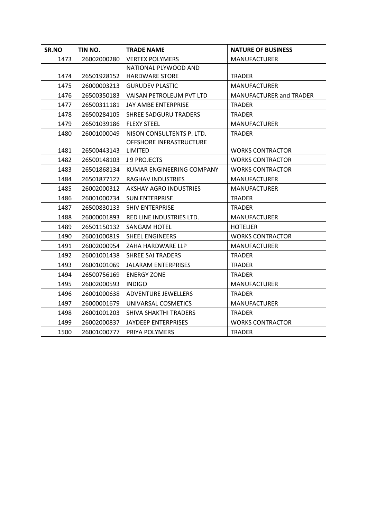| SR.NO | TIN NO.     | <b>TRADE NAME</b>             | <b>NATURE OF BUSINESS</b> |
|-------|-------------|-------------------------------|---------------------------|
| 1473  | 26002000280 | <b>VERTEX POLYMERS</b>        | <b>MANUFACTURER</b>       |
|       |             | NATIONAL PLYWOOD AND          |                           |
| 1474  | 26501928152 | <b>HARDWARE STORE</b>         | <b>TRADER</b>             |
| 1475  | 26000003213 | <b>GURUDEV PLASTIC</b>        | <b>MANUFACTURER</b>       |
| 1476  | 26500350183 | VAISAN PETROLEUM PVT LTD      | MANUFACTURER and TRADER   |
| 1477  | 26500311181 | JAY AMBE ENTERPRISE           | <b>TRADER</b>             |
| 1478  | 26500284105 | <b>SHREE SADGURU TRADERS</b>  | <b>TRADER</b>             |
| 1479  | 26501039186 | <b>FLEXY STEEL</b>            | <b>MANUFACTURER</b>       |
| 1480  | 26001000049 | NISON CONSULTENTS P. LTD.     | <b>TRADER</b>             |
|       |             | OFFSHORE INFRASTRUCTURE       |                           |
| 1481  | 26500443143 | LIMITED                       | <b>WORKS CONTRACTOR</b>   |
| 1482  | 26500148103 | <b>J 9 PROJECTS</b>           | <b>WORKS CONTRACTOR</b>   |
| 1483  | 26501868134 | KUMAR ENGINEERING COMPANY     | <b>WORKS CONTRACTOR</b>   |
| 1484  | 26501877127 | RAGHAV INDUSTRIES             | <b>MANUFACTURER</b>       |
| 1485  | 26002000312 | <b>AKSHAY AGRO INDUSTRIES</b> | <b>MANUFACTURER</b>       |
| 1486  | 26001000734 | <b>SUN ENTERPRISE</b>         | <b>TRADER</b>             |
| 1487  | 26500830133 | <b>SHIV ENTERPRISE</b>        | <b>TRADER</b>             |
| 1488  | 26000001893 | RED LINE INDUSTRIES LTD.      | <b>MANUFACTURER</b>       |
| 1489  | 26501150132 | <b>SANGAM HOTEL</b>           | <b>HOTELIER</b>           |
| 1490  | 26001000819 | <b>SHEEL ENGINEERS</b>        | <b>WORKS CONTRACTOR</b>   |
| 1491  | 26002000954 | ZAHA HARDWARE LLP             | <b>MANUFACTURER</b>       |
| 1492  | 26001001438 | <b>SHREE SAI TRADERS</b>      | <b>TRADER</b>             |
| 1493  | 26001001069 | <b>JALARAM ENTERPRISES</b>    | <b>TRADER</b>             |
| 1494  | 26500756169 | <b>ENERGY ZONE</b>            | <b>TRADER</b>             |
| 1495  | 26002000593 | <b>INDIGO</b>                 | <b>MANUFACTURER</b>       |
| 1496  | 26001000638 | <b>ADVENTURE JEWELLERS</b>    | <b>TRADER</b>             |
| 1497  | 26000001679 | UNIVARSAL COSMETICS           | <b>MANUFACTURER</b>       |
| 1498  | 26001001203 | SHIVA SHAKTHI TRADERS         | <b>TRADER</b>             |
| 1499  | 26002000837 | JAYDEEP ENTERPRISES           | <b>WORKS CONTRACTOR</b>   |
| 1500  | 26001000777 | <b>PRIYA POLYMERS</b>         | <b>TRADER</b>             |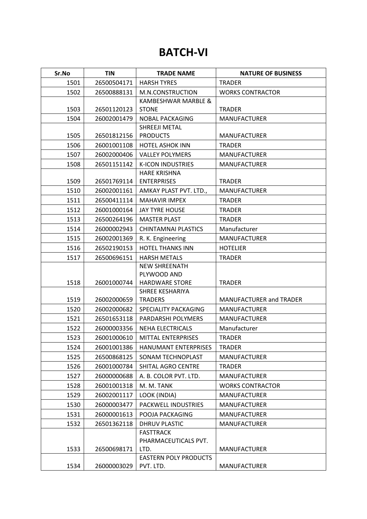#### **BATCH-VI**

| Sr.No | <b>TIN</b>  | <b>TRADE NAME</b>                    | <b>NATURE OF BUSINESS</b> |
|-------|-------------|--------------------------------------|---------------------------|
| 1501  | 26500504171 | <b>HARSH TYRES</b>                   | <b>TRADER</b>             |
| 1502  | 26500888131 | M.N.CONSTRUCTION                     | <b>WORKS CONTRACTOR</b>   |
|       |             | KAMBESHWAR MARBLE &                  |                           |
| 1503  | 26501120123 | <b>STONE</b>                         | <b>TRADER</b>             |
| 1504  | 26002001479 | <b>NOBAL PACKAGING</b>               | <b>MANUFACTURER</b>       |
|       |             | SHREEJI METAL                        |                           |
| 1505  | 26501812156 | <b>PRODUCTS</b>                      | <b>MANUFACTURER</b>       |
| 1506  | 26001001108 | <b>HOTEL ASHOK INN</b>               | <b>TRADER</b>             |
| 1507  | 26002000406 | <b>VALLEY POLYMERS</b>               | <b>MANUFACTURER</b>       |
| 1508  | 26501151142 | <b>K-ICON INDUSTRIES</b>             | <b>MANUFACTURER</b>       |
|       |             | <b>HARE KRISHNA</b>                  |                           |
| 1509  | 26501769114 | <b>ENTERPRISES</b>                   | <b>TRADER</b>             |
| 1510  | 26002001161 | AMKAY PLAST PVT. LTD.,               | <b>MANUFACTURER</b>       |
| 1511  | 26500411114 | <b>MAHAVIR IMPEX</b>                 | <b>TRADER</b>             |
| 1512  | 26001000164 | <b>JAY TYRE HOUSE</b>                | <b>TRADER</b>             |
| 1513  | 26500264196 | <b>MASTER PLAST</b>                  | <b>TRADER</b>             |
| 1514  | 26000002943 | <b>CHINTAMNAI PLASTICS</b>           | Manufacturer              |
| 1515  | 26002001369 | R. K. Engineering                    | <b>MANUFACTURER</b>       |
| 1516  | 26502190153 | <b>HOTEL THANKS INN</b>              | <b>HOTELIER</b>           |
| 1517  | 26500696151 | <b>HARSH METALS</b>                  | <b>TRADER</b>             |
|       |             | <b>NEW SHREENATH</b>                 |                           |
|       |             | PLYWOOD AND                          |                           |
| 1518  | 26001000744 | <b>HARDWARE STORE</b>                | <b>TRADER</b>             |
| 1519  | 26002000659 | SHREE KESHARIYA                      |                           |
|       | 26002000682 | <b>TRADERS</b>                       | MANUFACTURER and TRADER   |
| 1520  |             | SPECIALITY PACKAGING                 | <b>MANUFACTURER</b>       |
| 1521  | 26501653118 | PARDARSHI POLYMERS                   | <b>MANUFACTURER</b>       |
| 1522  | 26000003356 | <b>NEHA ELECTRICALS</b>              | Manufacturer              |
| 1523  | 26001000610 | <b>MITTAL ENTERPRISES</b>            | <b>TRADER</b>             |
| 1524  | 26001001386 | HANUMANT ENTERPRISES                 | <b>TRADER</b>             |
| 1525  | 26500868125 | SONAM TECHNOPLAST                    | <b>MANUFACTURER</b>       |
| 1526  | 26001000784 | SHITAL AGRO CENTRE                   | <b>TRADER</b>             |
| 1527  | 26000000688 | A. B. COLOR PVT. LTD.                | <b>MANUFACTURER</b>       |
| 1528  | 26001001318 | M. M. TANK                           | <b>WORKS CONTRACTOR</b>   |
| 1529  | 26002001117 | LOOK (INDIA)                         | <b>MANUFACTURER</b>       |
| 1530  | 26000003477 | PACKWELL INDUSTRIES                  | <b>MANUFACTURER</b>       |
| 1531  | 26000001613 | POOJA PACKAGING                      | <b>MANUFACTURER</b>       |
| 1532  | 26501362118 | <b>DHRUV PLASTIC</b>                 | <b>MANUFACTURER</b>       |
|       |             | <b>FASTTRACK</b>                     |                           |
|       |             | PHARMACEUTICALS PVT.                 |                           |
| 1533  | 26500698171 | LTD.<br><b>EASTERN POLY PRODUCTS</b> | <b>MANUFACTURER</b>       |
| 1534  | 26000003029 | PVT. LTD.                            | MANUFACTURER              |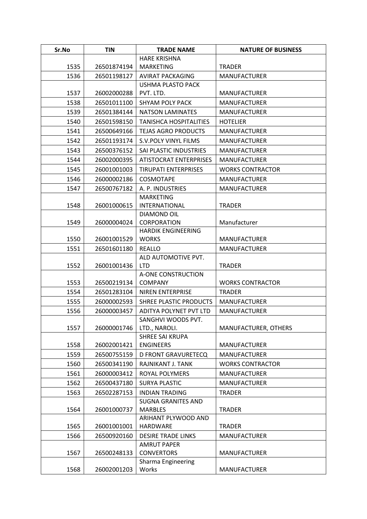| Sr.No | <b>TIN</b>  | <b>TRADE NAME</b>                       | <b>NATURE OF BUSINESS</b> |
|-------|-------------|-----------------------------------------|---------------------------|
|       |             | <b>HARE KRISHNA</b>                     |                           |
| 1535  | 26501874194 | <b>MARKETING</b>                        | <b>TRADER</b>             |
| 1536  | 26501198127 | <b>AVIRAT PACKAGING</b>                 | <b>MANUFACTURER</b>       |
|       |             | <b>USHMA PLASTO PACK</b>                |                           |
| 1537  | 26002000288 | PVT. LTD.                               | <b>MANUFACTURER</b>       |
| 1538  | 26501011100 | <b>SHYAM POLY PACK</b>                  | <b>MANUFACTURER</b>       |
| 1539  | 26501384144 | <b>NATSON LAMINATES</b>                 | <b>MANUFACTURER</b>       |
| 1540  | 26501598150 | <b>TANISHCA HOSPITALITIES</b>           | <b>HOTELIER</b>           |
| 1541  | 26500649166 | <b>TEJAS AGRO PRODUCTS</b>              | <b>MANUFACTURER</b>       |
| 1542  | 26501193174 | S.V. POLY VINYL FILMS                   | <b>MANUFACTURER</b>       |
| 1543  | 26500376152 | SAI PLASTIC INDUSTRIES                  | <b>MANUFACTURER</b>       |
| 1544  | 26002000395 | <b>ATISTOCRAT ENTERPRISES</b>           | <b>MANUFACTURER</b>       |
| 1545  | 26001001003 | <b>TIRUPATI ENTERPRISES</b>             | <b>WORKS CONTRACTOR</b>   |
| 1546  | 26000002186 | <b>COSMOTAPE</b>                        | <b>MANUFACTURER</b>       |
| 1547  | 26500767182 | A. P. INDUSTRIES                        | <b>MANUFACTURER</b>       |
|       |             | <b>MARKETING</b>                        |                           |
| 1548  | 26001000615 | <b>INTERNATIONAL</b>                    | <b>TRADER</b>             |
|       |             | DIAMOND OIL                             |                           |
| 1549  | 26000004024 | CORPORATION                             | Manufacturer              |
|       |             | <b>HARDIK ENGINEERING</b>               |                           |
| 1550  | 26001001529 | <b>WORKS</b>                            | <b>MANUFACTURER</b>       |
| 1551  | 26501601180 | <b>REALLO</b><br>ALD AUTOMOTIVE PVT.    | <b>MANUFACTURER</b>       |
| 1552  | 26001001436 | <b>LTD</b>                              | <b>TRADER</b>             |
|       |             | A-ONE CONSTRUCTION                      |                           |
| 1553  | 26500219134 | <b>COMPANY</b>                          | <b>WORKS CONTRACTOR</b>   |
| 1554  | 26501283104 | NIREN ENTERPRISE                        | <b>TRADER</b>             |
| 1555  | 26000002593 | SHREE PLASTIC PRODUCTS                  | <b>MANUFACTURER</b>       |
| 1556  | 26000003457 | ADITYA POLYNET PVT LTD                  | <b>MANUFACTURER</b>       |
|       |             | SANGHVI WOODS PVT.                      |                           |
| 1557  | 26000001746 | LTD., NAROLI.                           | MANUFACTURER, OTHERS      |
|       |             | <b>SHREE SAI KRUPA</b>                  |                           |
| 1558  | 26002001421 | <b>ENGINEERS</b>                        | <b>MANUFACTURER</b>       |
| 1559  | 26500755159 | <b>D FRONT GRAVURETECQ</b>              | <b>MANUFACTURER</b>       |
| 1560  | 26500341190 | RAJNIKANT J. TANK                       | <b>WORKS CONTRACTOR</b>   |
| 1561  | 26000003412 | ROYAL POLYMERS                          | <b>MANUFACTURER</b>       |
| 1562  | 26500437180 | <b>SURYA PLASTIC</b>                    | <b>MANUFACTURER</b>       |
| 1563  | 26502287153 | <b>INDIAN TRADING</b>                   | <b>TRADER</b>             |
|       |             | <b>SUGNA GRANITES AND</b>               |                           |
| 1564  | 26001000737 | <b>MARBLES</b>                          | <b>TRADER</b>             |
|       |             | ARIHANT PLYWOOD AND                     |                           |
| 1565  | 26001001001 | <b>HARDWARE</b>                         | <b>TRADER</b>             |
| 1566  | 26500920160 | <b>DESIRE TRADE LINKS</b>               | <b>MANUFACTURER</b>       |
| 1567  | 26500248133 | <b>AMRUT PAPER</b><br><b>CONVERTORS</b> | <b>MANUFACTURER</b>       |
|       |             | Sharma Engineering                      |                           |
| 1568  | 26002001203 | Works                                   | <b>MANUFACTURER</b>       |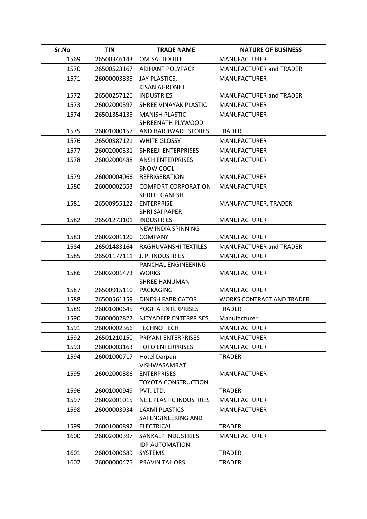| Sr.No | <b>TIN</b>  | <b>TRADE NAME</b>                            | <b>NATURE OF BUSINESS</b>        |
|-------|-------------|----------------------------------------------|----------------------------------|
| 1569  | 26500346143 | OM SAI TEXTILE                               | <b>MANUFACTURER</b>              |
| 1570  | 26500523167 | <b>ARIHANT POLYPACK</b>                      | <b>MANUFACTURER and TRADER</b>   |
| 1571  | 26000003835 | JAY PLASTICS,                                | <b>MANUFACTURER</b>              |
|       |             | <b>KISAN AGRONET</b>                         |                                  |
| 1572  | 26500257126 | <b>INDUSTRIES</b>                            | MANUFACTURER and TRADER          |
| 1573  | 26002000597 | SHREE VINAYAK PLASTIC                        | <b>MANUFACTURER</b>              |
| 1574  | 26501354135 | <b>MANISH PLASTIC</b>                        | <b>MANUFACTURER</b>              |
|       |             | SHREENATH PLYWOOD                            |                                  |
| 1575  | 26001000157 | AND HARDWARE STORES                          | <b>TRADER</b>                    |
| 1576  | 26500887121 | <b>WHITE GLOSSY</b>                          | <b>MANUFACTURER</b>              |
| 1577  | 26002000331 | SHREEJI ENTERPRISES                          | <b>MANUFACTURER</b>              |
| 1578  | 26002000488 | <b>ANSH ENTERPRISES</b>                      | <b>MANUFACTURER</b>              |
|       |             | SNOW COOL                                    |                                  |
| 1579  | 26000004066 | <b>REFRIGERATION</b>                         | <b>MANUFACTURER</b>              |
| 1580  | 26000002653 | <b>COMFORT CORPORATION</b>                   | <b>MANUFACTURER</b>              |
| 1581  | 26500955122 | SHREE. GANESH<br><b>ENTERPRISE</b>           | MANUFACTURER, TRADER             |
|       |             | <b>SHRI SAI PAPER</b>                        |                                  |
| 1582  | 26501273101 | <b>INDUSTRIES</b>                            | <b>MANUFACTURER</b>              |
|       |             | NEW INDIA SPINNING                           |                                  |
| 1583  | 26002001120 | <b>COMPANY</b>                               | <b>MANUFACTURER</b>              |
| 1584  | 26501483164 | RAGHUVANSHI TEXTILES                         | <b>MANUFACTURER and TRADER</b>   |
| 1585  | 26501177111 | J. P. INDUSTRIES                             | <b>MANUFACTURER</b>              |
|       |             | PANCHAL ENGINEERING                          |                                  |
| 1586  | 26002001473 | <b>WORKS</b>                                 | <b>MANUFACTURER</b>              |
|       |             | <b>SHREE HANUMAN</b>                         |                                  |
| 1587  | 26500915110 | <b>PACKAGING</b>                             | <b>MANUFACTURER</b>              |
| 1588  | 26500561159 | DINESH FABRICATOR                            | <b>WORKS CONTRACT AND TRADER</b> |
| 1589  | 26001000645 | YOGITA ENTERPRISES                           | <b>TRADER</b>                    |
| 1590  | 26000002827 | NITYADEEP ENTERPRISES,                       | Manufacturer                     |
| 1591  | 26000002366 | <b>TECHNO TECH</b>                           | <b>MANUFACTURER</b>              |
| 1592  | 26501210150 | PRIYANI ENTERPRISES                          | <b>MANUFACTURER</b>              |
| 1593  | 26000003163 | <b>TOTO ENTERPRISES</b>                      | <b>MANUFACTURER</b>              |
| 1594  | 26001000717 | <b>Hotel Darpan</b>                          | <b>TRADER</b>                    |
|       |             | VISHWASAMRAT                                 |                                  |
| 1595  | 26002000386 | <b>ENTERPRISES</b>                           | <b>MANUFACTURER</b>              |
| 1596  | 26001000949 | <b>TOYOTA CONSTRUCTION</b><br>PVT. LTD.      | <b>TRADER</b>                    |
|       |             |                                              |                                  |
| 1597  | 26002001015 | <b>NEIL PLASTIC INDUSTRIES</b>               | <b>MANUFACTURER</b>              |
| 1598  | 26000003934 | <b>LAXMI PLASTICS</b><br>SAI ENGINEERING AND | <b>MANUFACTURER</b>              |
| 1599  | 26001000892 | <b>ELECTRICAL</b>                            | <b>TRADER</b>                    |
| 1600  | 26002000397 | SANKALP INDUSTRIES                           | <b>MANUFACTURER</b>              |
|       |             | <b>IDP AUTOMATION</b>                        |                                  |
| 1601  | 26001000689 | <b>SYSTEMS</b>                               | <b>TRADER</b>                    |
| 1602  | 26000000475 | PRAVIN TAILORS                               | <b>TRADER</b>                    |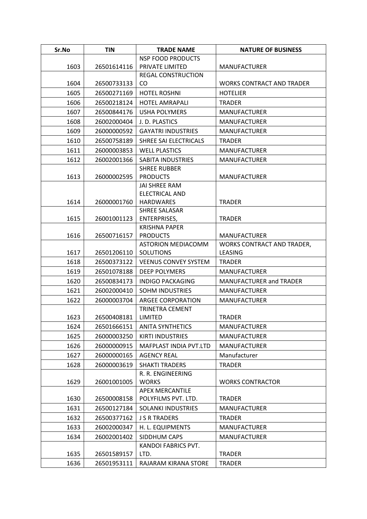| Sr.No | <b>TIN</b>  | <b>TRADE NAME</b>                    | <b>NATURE OF BUSINESS</b>         |
|-------|-------------|--------------------------------------|-----------------------------------|
|       |             | <b>NSP FOOD PRODUCTS</b>             |                                   |
| 1603  | 26501614116 | PRIVATE LIMITED                      | <b>MANUFACTURER</b>               |
|       |             | <b>REGAL CONSTRUCTION</b>            |                                   |
| 1604  | 26500733133 | CO                                   | <b>WORKS CONTRACT AND TRADER</b>  |
| 1605  | 26500271169 | <b>HOTEL ROSHNI</b>                  | <b>HOTELIER</b>                   |
| 1606  | 26500218124 | <b>HOTEL AMRAPALI</b>                | <b>TRADER</b>                     |
| 1607  | 26500844176 | <b>USHA POLYMERS</b>                 | <b>MANUFACTURER</b>               |
| 1608  | 26002000404 | J. D. PLASTICS                       | <b>MANUFACTURER</b>               |
| 1609  | 26000000592 | <b>GAYATRI INDUSTRIES</b>            | <b>MANUFACTURER</b>               |
| 1610  | 26500758189 | SHREE SAI ELECTRICALS                | <b>TRADER</b>                     |
| 1611  | 26000003853 | <b>WELL PLASTICS</b>                 | <b>MANUFACTURER</b>               |
| 1612  | 26002001366 | SABITA INDUSTRIES                    | <b>MANUFACTURER</b>               |
|       |             | <b>SHREE RUBBER</b>                  |                                   |
| 1613  | 26000002595 | <b>PRODUCTS</b>                      | <b>MANUFACTURER</b>               |
|       |             | <b>JAI SHREE RAM</b>                 |                                   |
|       |             | <b>ELECTRICAL AND</b>                |                                   |
| 1614  | 26000001760 | <b>HARDWARES</b>                     | <b>TRADER</b>                     |
| 1615  | 26001001123 | SHREE SALASAR<br><b>ENTERPRISES,</b> | <b>TRADER</b>                     |
|       |             | <b>KRISHNA PAPER</b>                 |                                   |
| 1616  | 26500716157 | <b>PRODUCTS</b>                      | <b>MANUFACTURER</b>               |
|       |             | <b>ASTORION MEDIACOMM</b>            | <b>WORKS CONTRACT AND TRADER,</b> |
| 1617  | 26501206110 | <b>SOLUTIONS</b>                     | <b>LEASING</b>                    |
| 1618  | 26500373122 | <b>VEENUS CONVEY SYSTEM</b>          | <b>TRADER</b>                     |
| 1619  | 26501078188 | <b>DEEP POLYMERS</b>                 | <b>MANUFACTURER</b>               |
| 1620  | 26500834173 | INDIGO PACKAGING                     | <b>MANUFACTURER and TRADER</b>    |
| 1621  | 26002000410 | <b>SOHM INDUSTRIES</b>               | <b>MANUFACTURER</b>               |
| 1622  | 26000003704 | ARGEE CORPORATION                    | <b>MANUFACTURER</b>               |
|       |             | <b>TRINETRA CEMENT</b>               |                                   |
| 1623  | 26500408181 | <b>LIMITED</b>                       | <b>TRADER</b>                     |
| 1624  | 26501666151 | <b>ANITA SYNTHETICS</b>              | <b>MANUFACTURER</b>               |
| 1625  | 26000003250 | <b>KIRTI INDUSTRIES</b>              | <b>MANUFACTURER</b>               |
| 1626  | 26000000915 | MAFPLAST INDIA PVT.LTD               | <b>MANUFACTURER</b>               |
| 1627  | 26000000165 | <b>AGENCY REAL</b>                   | Manufacturer                      |
| 1628  | 26000003619 | <b>SHAKTI TRADERS</b>                | <b>TRADER</b>                     |
|       |             | R. R. ENGINEERING                    |                                   |
| 1629  | 26001001005 | <b>WORKS</b>                         | <b>WORKS CONTRACTOR</b>           |
|       |             | <b>APEX MERCANTILE</b>               |                                   |
| 1630  | 26500008158 | POLYFILMS PVT. LTD.                  | <b>TRADER</b>                     |
| 1631  | 26500127184 | SOLANKI INDUSTRIES                   | <b>MANUFACTURER</b>               |
| 1632  | 26500377162 | <b>J S R TRADERS</b>                 | <b>TRADER</b>                     |
| 1633  | 26002000347 | H. L. EQUIPMENTS                     | <b>MANUFACTURER</b>               |
| 1634  | 26002001402 | SIDDHUM CAPS                         | <b>MANUFACTURER</b>               |
|       |             | KANDOI FABRICS PVT.                  |                                   |
| 1635  | 26501589157 | LTD.                                 | <b>TRADER</b>                     |
| 1636  | 26501953111 | RAJARAM KIRANA STORE                 | <b>TRADER</b>                     |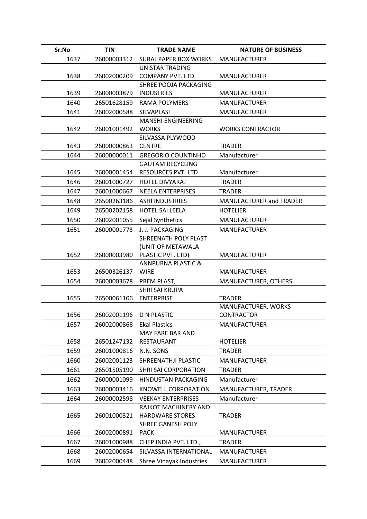| Sr.No | <b>TIN</b>  | <b>TRADE NAME</b>                                              | <b>NATURE OF BUSINESS</b>                |
|-------|-------------|----------------------------------------------------------------|------------------------------------------|
| 1637  | 26000003312 | <b>SURAJ PAPER BOX WORKS</b>                                   | <b>MANUFACTURER</b>                      |
| 1638  | 26002000209 | <b>UNISTAR TRADING</b><br>COMPANY PVT. LTD.                    | <b>MANUFACTURER</b>                      |
| 1639  | 26000003879 | SHREE POOJA PACKAGING<br><b>INDUSTRIES</b>                     | <b>MANUFACTURER</b>                      |
| 1640  | 26501628159 | <b>RAMA POLYMERS</b>                                           | <b>MANUFACTURER</b>                      |
| 1641  | 26002000588 | SILVAPLAST                                                     | <b>MANUFACTURER</b>                      |
| 1642  | 26001001492 | <b>MANSHI ENGINEERING</b><br><b>WORKS</b>                      | <b>WORKS CONTRACTOR</b>                  |
| 1643  | 26000000863 | SILVASSA PLYWOOD<br><b>CENTRE</b>                              | <b>TRADER</b>                            |
| 1644  | 26000000011 | <b>GREGORIO COUNTINHO</b>                                      | Manufacturer                             |
| 1645  | 26000001454 | <b>GAUTAM RECYCLING</b><br>RESOURCES PVT. LTD.                 | Manufacturer                             |
| 1646  | 26001000727 | <b>HOTEL DIVYARAJ</b>                                          | <b>TRADER</b>                            |
| 1647  | 26001000667 | <b>NEELA ENTERPRISES</b>                                       | <b>TRADER</b>                            |
| 1648  | 26500263186 | <b>ASHI INDUSTRIES</b>                                         | MANUFACTURER and TRADER                  |
| 1649  | 26500202158 | <b>HOTEL SAI LEELA</b>                                         | <b>HOTELIER</b>                          |
| 1650  | 26002001055 | Sejal Synthetics                                               | <b>MANUFACTURER</b>                      |
| 1651  | 26000001773 | J. J. PACKAGING                                                | <b>MANUFACTURER</b>                      |
| 1652  | 26000003980 | SHREENATH POLY PLAST<br>(UNIT OF METAWALA<br>PLASTIC PVT. LTD) | <b>MANUFACTURER</b>                      |
| 1653  | 26500326137 | <b>ANNPURNA PLASTIC &amp;</b><br><b>WIRE</b>                   | <b>MANUFACTURER</b>                      |
| 1654  | 26000003678 | PREM PLAST,                                                    | MANUFACTURER, OTHERS                     |
| 1655  | 26500061106 | <b>SHRI SAI KRUPA</b><br><b>ENTERPRISE</b>                     | <b>TRADER</b>                            |
| 1656  | 26002001196 | <b>D N PLASTIC</b>                                             | MANUFACTURER, WORKS<br><b>CONTRACTOR</b> |
| 1657  | 26002000868 | <b>Ekal Plastics</b>                                           | <b>MANUFACTURER</b>                      |
| 1658  | 26501247132 | MAY FARE BAR AND<br>RESTAURANT                                 | <b>HOTELIER</b>                          |
| 1659  | 26001000816 | N.N. SONS                                                      | <b>TRADER</b>                            |
| 1660  | 26002001123 | SHREENATHJI PLASTIC                                            | <b>MANUFACTURER</b>                      |
| 1661  | 26501505190 | SHRI SAI CORPORATION                                           | <b>TRADER</b>                            |
| 1662  | 26000001099 | HINDUSTAN PACKAGING                                            | Manufacturer                             |
| 1663  | 26000003416 | <b>KNOWELL CORPORATION</b>                                     | MANUFACTURER, TRADER                     |
| 1664  | 26000002598 | <b>VEEKAY ENTERPRISES</b>                                      | Manufacturer                             |
| 1665  | 26001000321 | RAJKOT MACHINERY AND<br><b>HARDWARE STORES</b>                 | <b>TRADER</b>                            |
| 1666  | 26002000891 | SHREE GANESH POLY<br><b>PACK</b>                               | <b>MANUFACTURER</b>                      |
| 1667  | 26001000988 | CHEP INDIA PVT. LTD.,                                          | <b>TRADER</b>                            |
| 1668  | 26002000654 | SILVASSA INTERNATIONAL                                         | <b>MANUFACTURER</b>                      |
| 1669  | 26002000448 | Shree Vinayak Industries                                       | <b>MANUFACTURER</b>                      |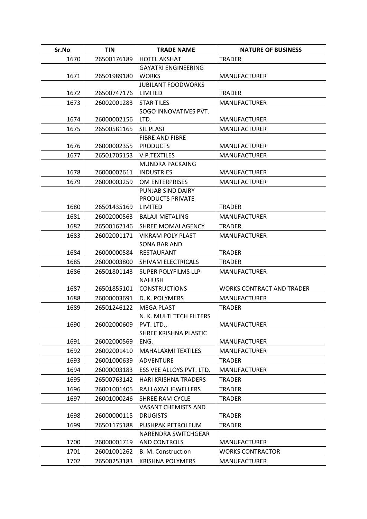| Sr.No | <b>TIN</b>  | <b>TRADE NAME</b>                   | <b>NATURE OF BUSINESS</b>        |
|-------|-------------|-------------------------------------|----------------------------------|
| 1670  | 26500176189 | <b>HOTEL AKSHAT</b>                 | <b>TRADER</b>                    |
|       |             | <b>GAYATRI ENGINEERING</b>          |                                  |
| 1671  | 26501989180 | <b>WORKS</b>                        | <b>MANUFACTURER</b>              |
|       |             | <b>JUBILANT FOODWORKS</b>           |                                  |
| 1672  | 26500747176 | <b>LIMITED</b>                      | <b>TRADER</b>                    |
| 1673  | 26002001283 | <b>STAR TILES</b>                   | <b>MANUFACTURER</b>              |
|       |             | SOGO INNOVATIVES PVT.               |                                  |
| 1674  | 26000002156 | LTD.                                | <b>MANUFACTURER</b>              |
| 1675  | 26500581165 | <b>SIL PLAST</b>                    | <b>MANUFACTURER</b>              |
|       |             | <b>FIBRE AND FIBRE</b>              |                                  |
| 1676  | 26000002355 | <b>PRODUCTS</b>                     | <b>MANUFACTURER</b>              |
| 1677  | 26501705153 | V.P.TEXTILES                        | <b>MANUFACTURER</b>              |
|       |             | MUNDRA PACKAING                     |                                  |
| 1678  | 26000002611 | <b>INDUSTRIES</b>                   | <b>MANUFACTURER</b>              |
| 1679  | 26000003259 | OM ENTERPRISES                      | <b>MANUFACTURER</b>              |
|       |             | PUNJAB SIND DAIRY                   |                                  |
|       |             | <b>PRODUCTS PRIVATE</b>             |                                  |
| 1680  | 26501435169 | LIMITED                             | <b>TRADER</b>                    |
| 1681  | 26002000563 | <b>BALAJI METALING</b>              | <b>MANUFACTURER</b>              |
| 1682  | 26500162146 | SHREE MOMAI AGENCY                  | <b>TRADER</b>                    |
| 1683  | 26002001171 | <b>VIKRAM POLY PLAST</b>            | <b>MANUFACTURER</b>              |
|       |             | SONA BAR AND                        |                                  |
| 1684  | 26000000584 | RESTAURANT                          | <b>TRADER</b>                    |
| 1685  | 26000003800 | SHIVAM ELECTRICALS                  | <b>TRADER</b>                    |
| 1686  | 26501801143 | SUPER POLYFILMS LLP                 | <b>MANUFACTURER</b>              |
|       |             | <b>NAHUSH</b>                       |                                  |
| 1687  | 26501855101 | <b>CONSTRUCTIONS</b>                | <b>WORKS CONTRACT AND TRADER</b> |
| 1688  | 26000003691 | D. K. POLYMERS                      | <b>MANUFACTURER</b>              |
| 1689  | 26501246122 | <b>MEGA PLAST</b>                   | <b>TRADER</b>                    |
| 1690  |             | N. K. MULTI TECH FILTERS            |                                  |
|       | 26002000609 | PVT. LTD.,<br>SHREE KRISHNA PLASTIC | <b>MANUFACTURER</b>              |
| 1691  | 26002000569 | ENG.                                | <b>MANUFACTURER</b>              |
| 1692  | 26002001410 | MAHALAXMI TEXTILES                  | <b>MANUFACTURER</b>              |
| 1693  | 26001000639 | <b>ADVENTURE</b>                    | <b>TRADER</b>                    |
| 1694  | 26000003183 | ESS VEE ALLOYS PVT. LTD.            | <b>MANUFACTURER</b>              |
|       | 26500763142 |                                     |                                  |
| 1695  |             | HARI KRISHNA TRADERS                | <b>TRADER</b>                    |
| 1696  | 26001001405 | RAJ LAXMI JEWELLERS                 | <b>TRADER</b>                    |
| 1697  | 26001000246 | <b>SHREE RAM CYCLE</b>              | <b>TRADER</b>                    |
|       |             | <b>VASANT CHEMISTS AND</b>          |                                  |
| 1698  | 26000000115 | <b>DRUGISTS</b>                     | <b>TRADER</b>                    |
| 1699  | 26501175188 | PUSHPAK PETROLEUM                   | <b>TRADER</b>                    |
| 1700  | 26000001719 | NARENDRA SWITCHGEAR<br>AND CONTROLS | <b>MANUFACTURER</b>              |
|       |             |                                     |                                  |
| 1701  | 26001001262 | B. M. Construction                  | <b>WORKS CONTRACTOR</b>          |
| 1702  | 26500253183 | <b>KRISHNA POLYMERS</b>             | <b>MANUFACTURER</b>              |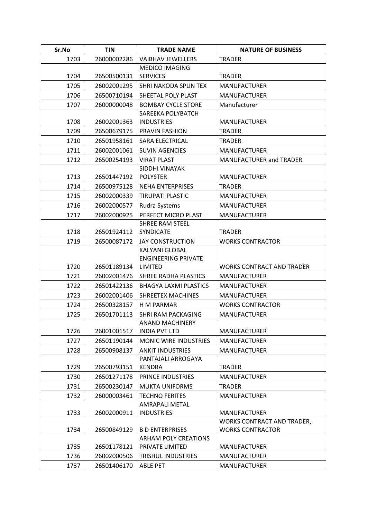| Sr.No | <b>TIN</b>  | <b>TRADE NAME</b>                                | <b>NATURE OF BUSINESS</b>        |
|-------|-------------|--------------------------------------------------|----------------------------------|
| 1703  | 26000002286 | <b>VAIBHAV JEWELLERS</b>                         | <b>TRADER</b>                    |
|       |             | <b>MEDICO IMAGING</b>                            |                                  |
| 1704  | 26500500131 | <b>SERVICES</b>                                  | <b>TRADER</b>                    |
| 1705  | 26002001295 | SHRI NAKODA SPUN TEX                             | <b>MANUFACTURER</b>              |
| 1706  | 26500710194 | SHEETAL POLY PLAST                               | <b>MANUFACTURER</b>              |
| 1707  | 26000000048 | <b>BOMBAY CYCLE STORE</b>                        | Manufacturer                     |
|       |             | SAREEKA POLYBATCH                                |                                  |
| 1708  | 26002001363 | <b>INDUSTRIES</b>                                | <b>MANUFACTURER</b>              |
| 1709  | 26500679175 | PRAVIN FASHION                                   | <b>TRADER</b>                    |
| 1710  | 26501958161 | SARA ELECTRICAL                                  | <b>TRADER</b>                    |
| 1711  | 26002001061 | <b>SUVIN AGENCIES</b>                            | <b>MANUFACTURER</b>              |
| 1712  | 26500254193 | <b>VIRAT PLAST</b>                               | MANUFACTURER and TRADER          |
|       |             | SIDDHI VINAYAK                                   |                                  |
| 1713  | 26501447192 | <b>POLYSTER</b>                                  | <b>MANUFACTURER</b>              |
| 1714  | 26500975128 | <b>NEHA ENTERPRISES</b>                          | <b>TRADER</b>                    |
| 1715  | 26002000339 | <b>TIRUPATI PLASTIC</b>                          | <b>MANUFACTURER</b>              |
| 1716  | 26002000577 | Rudra Systems                                    | <b>MANUFACTURER</b>              |
| 1717  | 26002000925 | PERFECT MICRO PLAST                              | <b>MANUFACTURER</b>              |
|       |             | <b>SHREE RAM STEEL</b>                           | <b>TRADER</b>                    |
| 1718  | 26501924112 | SYNDICATE                                        |                                  |
| 1719  | 26500087172 | <b>JAY CONSTRUCTION</b><br><b>KALYANI GLOBAL</b> | <b>WORKS CONTRACTOR</b>          |
|       |             | <b>ENGINEERING PRIVATE</b>                       |                                  |
| 1720  | 26501189134 | <b>LIMITED</b>                                   | <b>WORKS CONTRACT AND TRADER</b> |
| 1721  | 26002001476 | SHREE RADHA PLASTICS                             | <b>MANUFACTURER</b>              |
| 1722  | 26501422136 | <b>BHAGYA LAXMI PLASTICS</b>                     | <b>MANUFACTURER</b>              |
| 1723  | 26002001406 | <b>SHREETEX MACHINES</b>                         | <b>MANUFACTURER</b>              |
| 1724  | 26500328157 | <b>H M PARMAR</b>                                | <b>WORKS CONTRACTOR</b>          |
| 1725  | 26501701113 | SHRI RAM PACKAGING                               | <b>MANUFACTURER</b>              |
|       |             | <b>ANAND MACHINERY</b>                           |                                  |
| 1726  | 26001001517 | <b>INDIA PVT LTD</b>                             | <b>MANUFACTURER</b>              |
| 1727  | 26501190144 | <b>MONIC WIRE INDUSTRIES</b>                     | <b>MANUFACTURER</b>              |
| 1728  | 26500908137 | <b>ANKIT INDUSTRIES</b>                          | <b>MANUFACTURER</b>              |
|       |             | PANTAJALI ARROGAYA                               |                                  |
| 1729  | 26500793151 | <b>KENDRA</b>                                    | <b>TRADER</b>                    |
| 1730  | 26501271178 | PRINCE INDUSTRIES                                | <b>MANUFACTURER</b>              |
| 1731  | 26500230147 | <b>MUKTA UNIFORMS</b>                            | <b>TRADER</b>                    |
| 1732  | 26000003461 | <b>TECHNO FERITES</b>                            | <b>MANUFACTURER</b>              |
|       |             | <b>AMRAPALI METAL</b>                            |                                  |
| 1733  | 26002000911 | <b>INDUSTRIES</b>                                | <b>MANUFACTURER</b>              |
|       |             |                                                  | WORKS CONTRACT AND TRADER,       |
| 1734  | 26500849129 | <b>B D ENTERPRISES</b>                           | <b>WORKS CONTRACTOR</b>          |
| 1735  | 26501178121 | <b>ARHAM POLY CREATIONS</b><br>PRIVATE LIMITED   | <b>MANUFACTURER</b>              |
|       |             | TRISHUL INDUSTRIES                               | <b>MANUFACTURER</b>              |
| 1736  | 26002000506 |                                                  |                                  |
| 1737  | 26501406170 | <b>ABLE PET</b>                                  | <b>MANUFACTURER</b>              |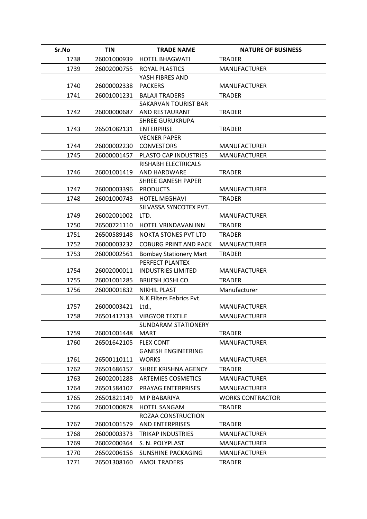| Sr.No | <b>TIN</b>  | <b>TRADE NAME</b>                            | <b>NATURE OF BUSINESS</b> |
|-------|-------------|----------------------------------------------|---------------------------|
| 1738  | 26001000939 | <b>HOTEL BHAGWATI</b>                        | <b>TRADER</b>             |
| 1739  | 26002000755 | <b>ROYAL PLASTICS</b>                        | <b>MANUFACTURER</b>       |
|       |             | YASH FIBRES AND                              |                           |
| 1740  | 26000002338 | <b>PACKERS</b>                               | <b>MANUFACTURER</b>       |
| 1741  | 26001001231 | <b>BALAJI TRADERS</b>                        | <b>TRADER</b>             |
|       |             | SAKARVAN TOURIST BAR                         |                           |
| 1742  | 26000000687 | AND RESTAURANT                               | <b>TRADER</b>             |
|       |             | <b>SHREE GURUKRUPA</b>                       |                           |
| 1743  | 26501082131 | <b>ENTERPRISE</b>                            | <b>TRADER</b>             |
|       |             | <b>VECNER PAPER</b>                          |                           |
| 1744  | 26000002230 | <b>CONVESTORS</b>                            | <b>MANUFACTURER</b>       |
| 1745  | 26000001457 | PLASTO CAP INDUSTRIES                        | <b>MANUFACTURER</b>       |
|       |             | RISHABH ELECTRICALS                          |                           |
| 1746  | 26001001419 | AND HARDWARE                                 | <b>TRADER</b>             |
| 1747  | 26000003396 | <b>SHREE GANESH PAPER</b><br><b>PRODUCTS</b> | <b>MANUFACTURER</b>       |
| 1748  | 26001000743 | <b>HOTEL MEGHAVI</b>                         | <b>TRADER</b>             |
|       |             | SILVASSA SYNCOTEX PVT.                       |                           |
| 1749  | 26002001002 | LTD.                                         | <b>MANUFACTURER</b>       |
| 1750  | 26500721110 | HOTEL VRINDAVAN INN                          | <b>TRADER</b>             |
| 1751  | 26500589148 | <b>NOKTA STONES PVT LTD</b>                  | <b>TRADER</b>             |
| 1752  | 26000003232 | <b>COBURG PRINT AND PACK</b>                 | <b>MANUFACTURER</b>       |
| 1753  | 26000002561 | <b>Bombay Stationery Mart</b>                | <b>TRADER</b>             |
|       |             | PERFECT PLANTEX                              |                           |
| 1754  | 26002000011 | <b>INDUSTRIES LIMITED</b>                    | <b>MANUFACTURER</b>       |
| 1755  | 26001001285 | <b>BRIJESH JOSHI CO.</b>                     | <b>TRADER</b>             |
| 1756  | 26000001832 | <b>NIKHIL PLAST</b>                          | Manufacturer              |
|       |             | N.K.Filters Febrics Pvt.                     |                           |
| 1757  | 26000003421 | Ltd.,                                        | <b>MANUFACTURER</b>       |
| 1758  | 26501412133 | <b>VIBGYOR TEXTILE</b>                       | <b>MANUFACTURER</b>       |
|       |             | <b>SUNDARAM STATIONERY</b>                   |                           |
| 1759  | 26001001448 | MART                                         | <b>TRADER</b>             |
| 1760  | 26501642105 | <b>FLEX CONT</b>                             | <b>MANUFACTURER</b>       |
|       |             | <b>GANESH ENGINEERING</b>                    |                           |
| 1761  | 26500110111 | <b>WORKS</b>                                 | <b>MANUFACTURER</b>       |
| 1762  | 26501686157 | SHREE KRISHNA AGENCY                         | <b>TRADER</b>             |
| 1763  | 26002001288 | <b>ARTEMIES COSMETICS</b>                    | <b>MANUFACTURER</b>       |
| 1764  | 26501584107 | <b>PRAYAG ENTERPRISES</b>                    | <b>MANUFACTURER</b>       |
| 1765  | 26501821149 | M P BABARIYA                                 | <b>WORKS CONTRACTOR</b>   |
| 1766  | 26001000878 | <b>HOTEL SANGAM</b>                          | <b>TRADER</b>             |
|       |             | ROZAA CONSTRUCTION                           |                           |
| 1767  | 26001001579 | <b>AND ENTERPRISES</b>                       | <b>TRADER</b>             |
| 1768  | 26000003373 | TRIKAP INDUSTRIES                            | <b>MANUFACTURER</b>       |
| 1769  | 26002000364 | S. N. POLYPLAST                              | <b>MANUFACTURER</b>       |
| 1770  | 26502006156 | <b>SUNSHINE PACKAGING</b>                    | <b>MANUFACTURER</b>       |
| 1771  | 26501308160 | <b>AMOL TRADERS</b>                          | <b>TRADER</b>             |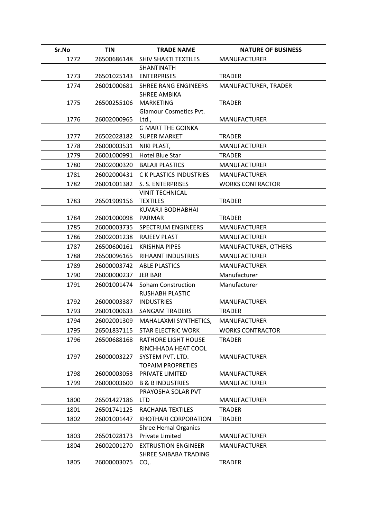| Sr.No | <b>TIN</b>  | <b>TRADE NAME</b>                               | <b>NATURE OF BUSINESS</b> |
|-------|-------------|-------------------------------------------------|---------------------------|
| 1772  | 26500686148 | <b>SHIV SHAKTI TEXTILES</b>                     | <b>MANUFACTURER</b>       |
| 1773  | 26501025143 | <b>SHANTINATH</b><br><b>ENTERPRISES</b>         | <b>TRADER</b>             |
| 1774  | 26001000681 | <b>SHREE RANG ENGINEERS</b>                     | MANUFACTURER, TRADER      |
|       |             | <b>SHREE AMBIKA</b>                             |                           |
| 1775  | 26500255106 | <b>MARKETING</b>                                | <b>TRADER</b>             |
|       |             | <b>Glamour Cosmetics Pvt.</b>                   |                           |
| 1776  | 26002000965 | Ltd.,                                           | <b>MANUFACTURER</b>       |
| 1777  | 26502028182 | <b>G MART THE GOINKA</b><br><b>SUPER MARKET</b> | <b>TRADER</b>             |
| 1778  | 26000003531 | NIKI PLAST,                                     | <b>MANUFACTURER</b>       |
| 1779  | 26001000991 | Hotel Blue Star                                 | <b>TRADER</b>             |
| 1780  | 26002000320 | <b>BALAJI PLASTICS</b>                          | <b>MANUFACTURER</b>       |
| 1781  | 26002000431 | <b>CK PLASTICS INDUSTRIES</b>                   | <b>MANUFACTURER</b>       |
| 1782  | 26001001382 | S. S. ENTERPRISES                               | <b>WORKS CONTRACTOR</b>   |
|       |             | <b>VINIT TECHNICAL</b>                          |                           |
| 1783  | 26501909156 | <b>TEXTILES</b>                                 | <b>TRADER</b>             |
|       |             | KUVARJI BODHABHAI                               |                           |
| 1784  | 26001000098 | <b>PARMAR</b>                                   | <b>TRADER</b>             |
| 1785  | 26000003735 | <b>SPECTRUM ENGINEERS</b>                       | <b>MANUFACTURER</b>       |
| 1786  | 26002001238 | <b>RAJEEV PLAST</b>                             | <b>MANUFACTURER</b>       |
| 1787  | 26500600161 | <b>KRISHNA PIPES</b>                            | MANUFACTURER, OTHERS      |
| 1788  | 26500096165 | RIHAANT INDUSTRIES                              | <b>MANUFACTURER</b>       |
| 1789  | 26000003742 | <b>ABLE PLASTICS</b>                            | <b>MANUFACTURER</b>       |
| 1790  | 26000000237 | <b>JER BAR</b>                                  | Manufacturer              |
| 1791  | 26001001474 | <b>Soham Construction</b>                       | Manufacturer              |
|       |             | <b>RUSHABH PLASTIC</b>                          |                           |
| 1792  | 26000003387 | <b>INDUSTRIES</b>                               | <b>MANUFACTURER</b>       |
| 1793  | 26001000633 | <b>SANGAM TRADERS</b>                           | <b>TRADER</b>             |
| 1794  | 26002001309 | MAHALAXMI SYNTHETICS,                           | MANUFACTURER              |
| 1795  | 26501837115 | <b>STAR ELECTRIC WORK</b>                       | <b>WORKS CONTRACTOR</b>   |
| 1796  | 26500688168 | <b>RATHORE LIGHT HOUSE</b>                      | <b>TRADER</b>             |
| 1797  | 26000003227 | RINCHHADA HEAT COOL<br>SYSTEM PVT. LTD.         |                           |
|       |             | <b>TOPAIM PROPRETIES</b>                        | <b>MANUFACTURER</b>       |
| 1798  | 26000003053 | PRIVATE LIMITED                                 | <b>MANUFACTURER</b>       |
| 1799  | 26000003600 | <b>B &amp; B INDUSTRIES</b>                     | <b>MANUFACTURER</b>       |
|       |             | PRAYOSHA SOLAR PVT                              |                           |
| 1800  | 26501427186 | <b>LTD</b>                                      | <b>MANUFACTURER</b>       |
| 1801  | 26501741125 | RACHANA TEXTILES                                | <b>TRADER</b>             |
| 1802  | 26001001447 | <b>KHOTHARI CORPORATION</b>                     | <b>TRADER</b>             |
|       |             | <b>Shree Hemal Organics</b>                     |                           |
| 1803  | 26501028173 | Private Limited                                 | <b>MANUFACTURER</b>       |
| 1804  | 26002001270 | <b>EXTRUSTION ENGINEER</b>                      | <b>MANUFACTURER</b>       |
|       |             | SHREE SAIBABA TRADING                           |                           |
| 1805  | 26000003075 | CO,                                             | <b>TRADER</b>             |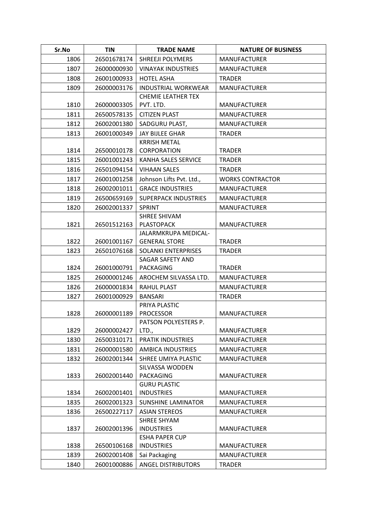| Sr.No | <b>TIN</b>  | <b>TRADE NAME</b>                            | <b>NATURE OF BUSINESS</b> |
|-------|-------------|----------------------------------------------|---------------------------|
| 1806  | 26501678174 | <b>SHREEJI POLYMERS</b>                      | <b>MANUFACTURER</b>       |
| 1807  | 26000000930 | <b>VINAYAK INDUSTRIES</b>                    | <b>MANUFACTURER</b>       |
| 1808  | 26001000933 | <b>HOTEL ASHA</b>                            | <b>TRADER</b>             |
| 1809  | 26000003176 | <b>INDUSTRIAL WORKWEAR</b>                   | <b>MANUFACTURER</b>       |
|       |             | <b>CHEMIE LEATHER TEX</b>                    |                           |
| 1810  | 26000003305 | PVT. LTD.                                    | <b>MANUFACTURER</b>       |
| 1811  | 26500578135 | <b>CITIZEN PLAST</b>                         | <b>MANUFACTURER</b>       |
| 1812  | 26002001380 | SADGURU PLAST,                               | <b>MANUFACTURER</b>       |
| 1813  | 26001000349 | <b>JAY BIJLEE GHAR</b>                       | <b>TRADER</b>             |
|       |             | <b>KRRISH METAL</b>                          |                           |
| 1814  | 26500010178 | CORPORATION                                  | <b>TRADER</b>             |
| 1815  | 26001001243 | KANHA SALES SERVICE                          | <b>TRADER</b>             |
| 1816  | 26501094154 | <b>VIHAAN SALES</b>                          | <b>TRADER</b>             |
| 1817  | 26001001258 | Johnson Lifts Pvt. Ltd.,                     | <b>WORKS CONTRACTOR</b>   |
| 1818  | 26002001011 | <b>GRACE INDUSTRIES</b>                      | <b>MANUFACTURER</b>       |
| 1819  | 26500659169 | <b>SUPERPACK INDUSTRIES</b>                  | <b>MANUFACTURER</b>       |
| 1820  | 26002001337 | <b>SPRINT</b>                                | <b>MANUFACTURER</b>       |
|       |             | SHREE SHIVAM                                 |                           |
| 1821  | 26501512163 | <b>PLASTOPACK</b>                            | <b>MANUFACTURER</b>       |
| 1822  | 26001001167 | JALARMKRUPA MEDICAL-<br><b>GENERAL STORE</b> | <b>TRADER</b>             |
| 1823  | 26501076168 | SOLANKI ENTERPRISES                          | <b>TRADER</b>             |
|       |             | <b>SAGAR SAFETY AND</b>                      |                           |
| 1824  | 26001000791 | <b>PACKAGING</b>                             | <b>TRADER</b>             |
| 1825  | 26000001246 | AROCHEM SILVASSA LTD.                        | <b>MANUFACTURER</b>       |
| 1826  | 26000001834 | <b>RAHUL PLAST</b>                           | <b>MANUFACTURER</b>       |
| 1827  | 26001000929 | <b>BANSARI</b>                               | <b>TRADER</b>             |
|       |             | PRIYA PLASTIC                                |                           |
| 1828  | 26000001189 | <b>PROCESSOR</b>                             | <b>MANUFACTURER</b>       |
|       |             | PATSON POLYESTERS P.                         |                           |
| 1829  | 26000002427 | LTD.,                                        | <b>MANUFACTURER</b>       |
| 1830  | 26500310171 | PRATIK INDUSTRIES                            | <b>MANUFACTURER</b>       |
| 1831  | 26000001580 | <b>AMBICA INDUSTRIES</b>                     | <b>MANUFACTURER</b>       |
| 1832  | 26002001344 | SHREE UMIYA PLASTIC                          | <b>MANUFACTURER</b>       |
|       |             | SILVASSA WODDEN                              |                           |
| 1833  | 26002001440 | <b>PACKAGING</b>                             | <b>MANUFACTURER</b>       |
|       |             | <b>GURU PLASTIC</b>                          |                           |
| 1834  | 26002001401 | <b>INDUSTRIES</b>                            | <b>MANUFACTURER</b>       |
| 1835  | 26002001323 | <b>SUNSHINE LAMINATOR</b>                    | <b>MANUFACTURER</b>       |
| 1836  | 26500227117 | <b>ASIAN STEREOS</b><br>SHREE SHYAM          | <b>MANUFACTURER</b>       |
| 1837  | 26002001396 | <b>INDUSTRIES</b>                            | <b>MANUFACTURER</b>       |
|       |             | <b>ESHA PAPER CUP</b>                        |                           |
| 1838  | 26500106168 | <b>INDUSTRIES</b>                            | <b>MANUFACTURER</b>       |
| 1839  | 26002001408 | Sai Packaging                                | <b>MANUFACTURER</b>       |
| 1840  | 26001000886 | <b>ANGEL DISTRIBUTORS</b>                    | <b>TRADER</b>             |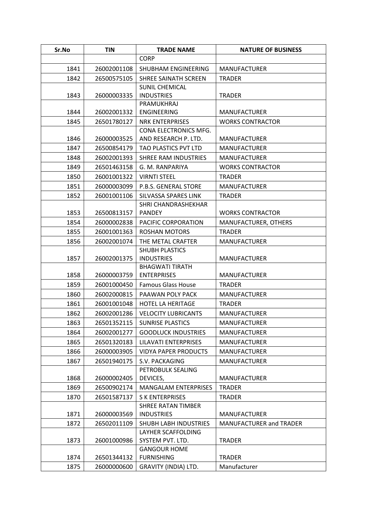| Sr.No | <b>TIN</b>  | <b>TRADE NAME</b>                          | <b>NATURE OF BUSINESS</b> |
|-------|-------------|--------------------------------------------|---------------------------|
|       |             | <b>CORP</b>                                |                           |
| 1841  | 26002001108 | SHUBHAM ENGINEERING                        | <b>MANUFACTURER</b>       |
| 1842  | 26500575105 | SHREE SAINATH SCREEN                       | <b>TRADER</b>             |
|       |             | <b>SUNIL CHEMICAL</b>                      |                           |
| 1843  | 26000003335 | <b>INDUSTRIES</b>                          | <b>TRADER</b>             |
|       |             | PRAMUKHRAJ                                 |                           |
| 1844  | 26002001332 | <b>ENGINEERING</b>                         | <b>MANUFACTURER</b>       |
| 1845  | 26501780127 | <b>NRK ENTERPRISES</b>                     | <b>WORKS CONTRACTOR</b>   |
|       |             | CONA ELECTRONICS MFG.                      |                           |
| 1846  | 26000003525 | AND RESEARCH P. LTD.                       | <b>MANUFACTURER</b>       |
| 1847  | 26500854179 | TAO PLASTICS PVT LTD                       | <b>MANUFACTURER</b>       |
| 1848  | 26002001393 | SHREE RAM INDUSTRIES                       | <b>MANUFACTURER</b>       |
| 1849  | 26501463158 | G. M. RANPARIYA                            | <b>WORKS CONTRACTOR</b>   |
| 1850  | 26001001322 | <b>VIRNTI STEEL</b>                        | <b>TRADER</b>             |
| 1851  | 26000003099 | P.B.S. GENERAL STORE                       | <b>MANUFACTURER</b>       |
| 1852  | 26001001106 | SILVASSA SPARES LINK                       | <b>TRADER</b>             |
|       |             | SHRI CHANDRASHEKHAR                        |                           |
| 1853  | 26500813157 | <b>PANDEY</b>                              | <b>WORKS CONTRACTOR</b>   |
| 1854  | 26000002838 | PACIFIC CORPORATION                        | MANUFACTURER, OTHERS      |
| 1855  | 26001001363 | <b>ROSHAN MOTORS</b>                       | <b>TRADER</b>             |
| 1856  | 26002001074 | THE METAL CRAFTER                          | <b>MANUFACTURER</b>       |
| 1857  | 26002001375 | <b>SHUBH PLASTICS</b><br><b>INDUSTRIES</b> | <b>MANUFACTURER</b>       |
|       |             | <b>BHAGWATI TIRATH</b>                     |                           |
| 1858  | 26000003759 | <b>ENTERPRISES</b>                         | <b>MANUFACTURER</b>       |
| 1859  | 26001000450 | <b>Famous Glass House</b>                  | <b>TRADER</b>             |
| 1860  | 26002000815 | PAAWAN POLY PACK                           | <b>MANUFACTURER</b>       |
| 1861  | 26001001048 | <b>HOTEL LA HERITAGE</b>                   | <b>TRADER</b>             |
| 1862  | 26002001286 | <b>VELOCITY LUBRICANTS</b>                 | <b>MANUFACTURER</b>       |
| 1863  | 26501352115 | <b>SUNRISE PLASTICS</b>                    | <b>MANUFACTURER</b>       |
| 1864  | 26002001277 | <b>GOODLUCK INDUSTRIES</b>                 | <b>MANUFACTURER</b>       |
| 1865  | 26501320183 | LILAVATI ENTERPRISES                       | <b>MANUFACTURER</b>       |
| 1866  | 26000003905 | <b>VIDYA PAPER PRODUCTS</b>                | <b>MANUFACTURER</b>       |
| 1867  | 26501940175 | S.V. PACKAGING                             | <b>MANUFACTURER</b>       |
|       |             | PETROBULK SEALING                          |                           |
| 1868  | 26000002405 | DEVICES,                                   | <b>MANUFACTURER</b>       |
| 1869  | 26500902174 | <b>MANGALAM ENTERPRISES</b>                | <b>TRADER</b>             |
| 1870  | 26501587137 | <b>SKENTERPRISES</b>                       | <b>TRADER</b>             |
|       |             | <b>SHREE RATAN TIMBER</b>                  |                           |
| 1871  | 26000003569 | <b>INDUSTRIES</b>                          | <b>MANUFACTURER</b>       |
| 1872  | 26502011109 | <b>SHUBH LABH INDUSTRIES</b>               | MANUFACTURER and TRADER   |
|       |             | LAYHER SCAFFOLDING                         |                           |
| 1873  | 26001000986 | SYSTEM PVT. LTD.                           | <b>TRADER</b>             |
|       |             | <b>GANGOUR HOME</b>                        |                           |
| 1874  | 26501344132 | <b>FURNISHING</b>                          | <b>TRADER</b>             |
| 1875  | 26000000600 | GRAVITY (INDIA) LTD.                       | Manufacturer              |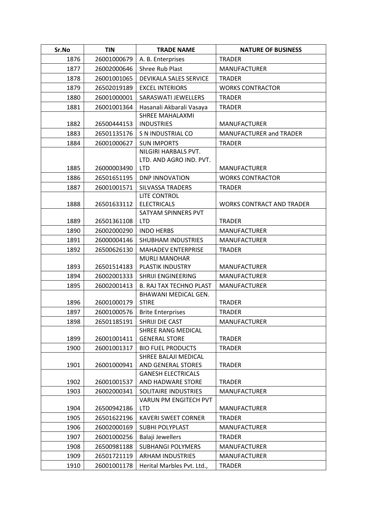| Sr.No | <b>TIN</b>  | <b>TRADE NAME</b>                     | <b>NATURE OF BUSINESS</b>        |
|-------|-------------|---------------------------------------|----------------------------------|
| 1876  | 26001000679 | A. B. Enterprises                     | <b>TRADER</b>                    |
| 1877  | 26002000646 | <b>Shree Rub Plast</b>                | <b>MANUFACTURER</b>              |
| 1878  | 26001001065 | DEVIKALA SALES SERVICE                | <b>TRADER</b>                    |
| 1879  | 26502019189 | <b>EXCEL INTERIORS</b>                | <b>WORKS CONTRACTOR</b>          |
| 1880  | 26001000001 | SARASWATI JEWELLERS                   | <b>TRADER</b>                    |
| 1881  | 26001001364 | Hasanali Akbarali Vasaya              | <b>TRADER</b>                    |
|       |             | <b>SHREE MAHALAXMI</b>                |                                  |
| 1882  | 26500444153 | <b>INDUSTRIES</b>                     | <b>MANUFACTURER</b>              |
| 1883  | 26501135176 | S N INDUSTRIAL CO                     | <b>MANUFACTURER and TRADER</b>   |
| 1884  | 26001000627 | <b>SUN IMPORTS</b>                    | <b>TRADER</b>                    |
|       |             | NILGIRI HARBALS PVT.                  |                                  |
|       |             | LTD. AND AGRO IND. PVT.               |                                  |
| 1885  | 26000003490 | <b>LTD</b>                            | <b>MANUFACTURER</b>              |
| 1886  | 26501651195 | <b>DNP INNOVATION</b>                 | <b>WORKS CONTRACTOR</b>          |
| 1887  | 26001001571 | SILVASSA TRADERS<br>LITE CONTROL      | <b>TRADER</b>                    |
| 1888  | 26501633112 | <b>ELECTRICALS</b>                    | <b>WORKS CONTRACT AND TRADER</b> |
|       |             | SATYAM SPINNERS PVT                   |                                  |
| 1889  | 26501361108 | <b>LTD</b>                            | <b>TRADER</b>                    |
| 1890  | 26002000290 | <b>INDO HERBS</b>                     | <b>MANUFACTURER</b>              |
| 1891  | 26000004146 | <b>SHUBHAM INDUSTRIES</b>             | <b>MANUFACTURER</b>              |
| 1892  | 26500626130 | <b>MAHADEV ENTERPRISE</b>             | <b>TRADER</b>                    |
|       |             | <b>MURLI MANOHAR</b>                  |                                  |
| 1893  | 26501514183 | PLASTIK INDUSTRY                      | <b>MANUFACTURER</b>              |
| 1894  | 26002001333 | <b>SHRIJI ENGINEERING</b>             | <b>MANUFACTURER</b>              |
| 1895  | 26002001413 | <b>B. RAJ TAX TECHNO PLAST</b>        | <b>MANUFACTURER</b>              |
|       |             | BHAWANI MEDICAL GEN.                  |                                  |
| 1896  | 26001000179 | <b>STIRE</b>                          | <b>TRADER</b>                    |
| 1897  | 26001000576 | <b>Brite Enterprises</b>              | <b>TRADER</b>                    |
| 1898  | 26501185191 | SHRIJI DIE CAST<br>SHREE RANG MEDICAL | <b>MANUFACTURER</b>              |
| 1899  | 26001001411 | <b>GENERAL STORE</b>                  | <b>TRADER</b>                    |
| 1900  | 26001001317 | <b>BIO FUEL PRODUCTS</b>              | <b>TRADER</b>                    |
|       |             | SHREE BALAJI MEDICAL                  |                                  |
| 1901  | 26001000941 | AND GENERAL STORES                    | <b>TRADER</b>                    |
|       |             | <b>GANESH ELECTRICALS</b>             |                                  |
| 1902  | 26001001537 | AND HADWARE STORE                     | <b>TRADER</b>                    |
| 1903  | 26002000341 | SOLITAIRE INDUSTRIES                  | <b>MANUFACTURER</b>              |
|       |             | VARUN PM ENGITECH PVT                 |                                  |
| 1904  | 26500942186 | <b>LTD</b>                            | <b>MANUFACTURER</b>              |
| 1905  | 26501622196 | <b>KAVERI SWEET CORNER</b>            | <b>TRADER</b>                    |
| 1906  | 26002000169 | SUBHI POLYPLAST                       | <b>MANUFACTURER</b>              |
| 1907  | 26001000256 | Balaji Jewellers                      | <b>TRADER</b>                    |
| 1908  | 26500981188 | <b>SUBHANGI POLYMERS</b>              | <b>MANUFACTURER</b>              |
| 1909  | 26501721119 | <b>ARHAM INDUSTRIES</b>               | <b>MANUFACTURER</b>              |
| 1910  | 26001001178 | Herital Marbles Pvt. Ltd.,            | <b>TRADER</b>                    |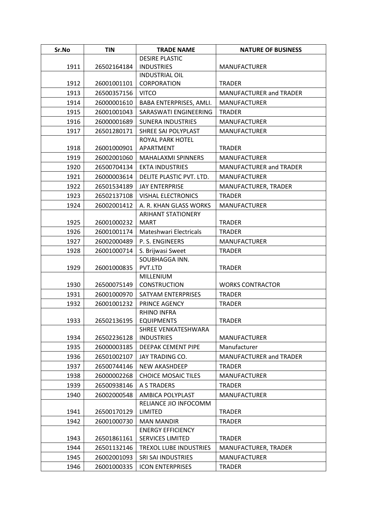| Sr.No | <b>TIN</b>  | <b>TRADE NAME</b>          | <b>NATURE OF BUSINESS</b> |
|-------|-------------|----------------------------|---------------------------|
|       |             | <b>DESIRE PLASTIC</b>      |                           |
| 1911  | 26502164184 | <b>INDUSTRIES</b>          | <b>MANUFACTURER</b>       |
|       |             | <b>INDUSTRIAL OIL</b>      |                           |
| 1912  | 26001001101 | CORPORATION                | <b>TRADER</b>             |
| 1913  | 26500357156 | <b>VITCO</b>               | MANUFACTURER and TRADER   |
| 1914  | 26000001610 | BABA ENTERPRISES, AMLI.    | <b>MANUFACTURER</b>       |
| 1915  | 26001001043 | SARASWATI ENGINEERING      | <b>TRADER</b>             |
| 1916  | 26000001689 | <b>SUNERA INDUSTRIES</b>   | <b>MANUFACTURER</b>       |
| 1917  | 26501280171 | SHREE SAI POLYPLAST        | <b>MANUFACTURER</b>       |
|       |             | ROYAL PARK HOTEL           |                           |
| 1918  | 26001000901 | APARTMENT                  | <b>TRADER</b>             |
| 1919  | 26002001060 | <b>MAHALAXMI SPINNERS</b>  | <b>MANUFACTURER</b>       |
| 1920  | 26500704134 | <b>EKTA INDUSTRIES</b>     | MANUFACTURER and TRADER   |
| 1921  | 26000003614 | DELITE PLASTIC PVT. LTD.   | <b>MANUFACTURER</b>       |
| 1922  | 26501534189 | <b>JAY ENTERPRISE</b>      | MANUFACTURER, TRADER      |
| 1923  | 26502137108 | <b>VISHAL ELECTRONICS</b>  | <b>TRADER</b>             |
| 1924  | 26002001412 | A. R. KHAN GLASS WORKS     | <b>MANUFACTURER</b>       |
|       |             | <b>ARIHANT STATIONERY</b>  |                           |
| 1925  | 26001000232 | <b>MART</b>                | <b>TRADER</b>             |
| 1926  | 26001001174 | Mateshwari Electricals     | <b>TRADER</b>             |
| 1927  | 26002000489 | P. S. ENGINEERS            | <b>MANUFACTURER</b>       |
| 1928  | 26001000714 | S. Brijwasi Sweet          | <b>TRADER</b>             |
|       |             | SOUBHAGGA INN.             |                           |
| 1929  | 26001000835 | PVT.LTD<br>MILLENIUM       | <b>TRADER</b>             |
| 1930  | 26500075149 | <b>CONSTRUCTION</b>        | <b>WORKS CONTRACTOR</b>   |
| 1931  | 26001000970 | SATYAM ENTERPRISES         | <b>TRADER</b>             |
| 1932  | 26001001232 | PRINCE AGENCY              | <b>TRADER</b>             |
|       |             | <b>RHINO INFRA</b>         |                           |
| 1933  | 26502136195 | <b>EQUIPMENTS</b>          | <b>TRADER</b>             |
|       |             | SHREE VENKATESHWARA        |                           |
| 1934  | 26502236128 | <b>INDUSTRIES</b>          | <b>MANUFACTURER</b>       |
| 1935  | 26000003185 | DEEPAK CEMENT PIPE         | Manufacturer              |
| 1936  | 26501002107 | JAY TRADING CO.            | MANUFACTURER and TRADER   |
| 1937  | 26500744146 | <b>NEW AKASHDEEP</b>       | <b>TRADER</b>             |
| 1938  | 26000002268 | <b>CHOICE MOSAIC TILES</b> | <b>MANUFACTURER</b>       |
| 1939  | 26500938146 | <b>A S TRADERS</b>         | <b>TRADER</b>             |
| 1940  | 26002000548 | AMBICA POLYPLAST           | <b>MANUFACTURER</b>       |
|       |             | RELIANCE JIO INFOCOMM      |                           |
| 1941  | 26500170129 | <b>LIMITED</b>             | <b>TRADER</b>             |
| 1942  | 26001000730 | <b>MAN MANDIR</b>          | <b>TRADER</b>             |
|       |             | <b>ENERGY EFFICIENCY</b>   |                           |
| 1943  | 26501861161 | <b>SERVICES LIMITED</b>    | <b>TRADER</b>             |
| 1944  | 26501132146 | TREXOL LUBE INDUSTRIES     | MANUFACTURER, TRADER      |
| 1945  | 26002001093 | SRI SAI INDUSTRIES         | <b>MANUFACTURER</b>       |
| 1946  | 26001000335 | <b>ICON ENTERPRISES</b>    | <b>TRADER</b>             |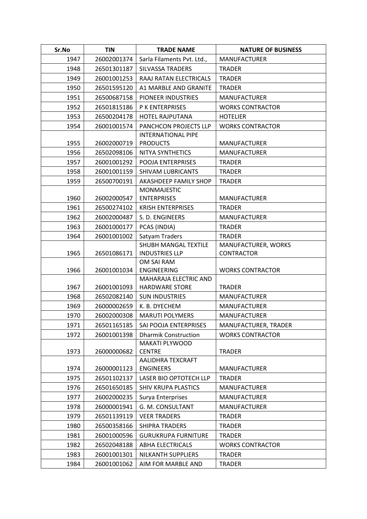| Sr.No | <b>TIN</b>  | <b>TRADE NAME</b>                           | <b>NATURE OF BUSINESS</b> |
|-------|-------------|---------------------------------------------|---------------------------|
| 1947  | 26002001374 | Sarla Filaments Pvt. Ltd.,                  | <b>MANUFACTURER</b>       |
| 1948  | 26501301187 | <b>SILVASSA TRADERS</b>                     | <b>TRADER</b>             |
| 1949  | 26001001253 | RAAJ RATAN ELECTRICALS                      | <b>TRADER</b>             |
| 1950  | 26501595120 | A1 MARBLE AND GRANITE                       | <b>TRADER</b>             |
| 1951  | 26500687158 | PIONEER INDUSTRIES                          | <b>MANUFACTURER</b>       |
| 1952  | 26501815186 | <b>P K ENTERPRISES</b>                      | <b>WORKS CONTRACTOR</b>   |
| 1953  | 26500204178 | <b>HOTEL RAJPUTANA</b>                      | <b>HOTELIER</b>           |
| 1954  | 26001001574 | PANCHCON PROJECTS LLP                       | <b>WORKS CONTRACTOR</b>   |
|       |             | <b>INTERNATIONAL PIPE</b>                   |                           |
| 1955  | 26002000719 | <b>PRODUCTS</b>                             | <b>MANUFACTURER</b>       |
| 1956  | 26502098106 | NITYA SYNTHETICS                            | <b>MANUFACTURER</b>       |
| 1957  | 26001001292 | POOJA ENTERPRISES                           | <b>TRADER</b>             |
| 1958  | 26001001159 | <b>SHIVAM LUBRICANTS</b>                    | <b>TRADER</b>             |
| 1959  | 26500700191 | AKASHDEEP FAMILY SHOP                       | <b>TRADER</b>             |
|       |             | <b>MONMAJESTIC</b>                          |                           |
| 1960  | 26002000547 | <b>ENTERPRISES</b>                          | <b>MANUFACTURER</b>       |
| 1961  | 26500274102 | <b>KRISH ENTERPRISES</b>                    | <b>TRADER</b>             |
| 1962  | 26002000487 | S. D. ENGINEERS                             | <b>MANUFACTURER</b>       |
| 1963  | 26001000177 | PCAS (INDIA)                                | <b>TRADER</b>             |
| 1964  | 26001001002 | Satyam Traders                              | <b>TRADER</b>             |
|       |             | SHUBH MANGAL TEXTILE                        | MANUFACTURER, WORKS       |
| 1965  | 26501086171 | <b>INDUSTRIES LLP</b>                       | <b>CONTRACTOR</b>         |
|       |             | OM SAI RAM                                  |                           |
| 1966  | 26001001034 | <b>ENGINEERING</b><br>MAHARAJA ELECTRIC AND | <b>WORKS CONTRACTOR</b>   |
| 1967  | 26001001093 | <b>HARDWARE STORE</b>                       | <b>TRADER</b>             |
| 1968  | 26502082140 | <b>SUN INDUSTRIES</b>                       | <b>MANUFACTURER</b>       |
| 1969  | 26000002659 | K. B. DYECHEM                               | <b>MANUFACTURER</b>       |
| 1970  | 26002000308 | <b>MARUTI POLYMERS</b>                      | <b>MANUFACTURER</b>       |
| 1971  | 26501165185 | SAI POOJA ENTERPRISES                       | MANUFACTURER, TRADER      |
| 1972  | 26001001398 | <b>Dharmik Construction</b>                 | <b>WORKS CONTRACTOR</b>   |
|       |             | <b>MAKATI PLYWOOD</b>                       |                           |
| 1973  | 26000000682 | <b>CENTRE</b>                               | <b>TRADER</b>             |
|       |             | AALIDHRA TEXCRAFT                           |                           |
| 1974  | 26000001123 | <b>ENGINEERS</b>                            | <b>MANUFACTURER</b>       |
| 1975  | 26501102137 | LASER BIO OPTOTECH LLP                      | <b>TRADER</b>             |
| 1976  | 26501650185 | <b>SHIV KRUPA PLASTICS</b>                  | <b>MANUFACTURER</b>       |
| 1977  | 26002000235 | Surya Enterprises                           | <b>MANUFACTURER</b>       |
| 1978  | 26000001941 | G. M. CONSULTANT                            | <b>MANUFACTURER</b>       |
| 1979  | 26501139119 | <b>VEER TRADERS</b>                         | <b>TRADER</b>             |
| 1980  | 26500358166 | SHIPRA TRADERS                              | <b>TRADER</b>             |
| 1981  | 26001000596 | <b>GURUKRUPA FURNITURE</b>                  | <b>TRADER</b>             |
| 1982  | 26502048188 | ABHA ELECTRICALS                            | <b>WORKS CONTRACTOR</b>   |
| 1983  | 26001001301 | NILKANTH SUPPLIERS                          | <b>TRADER</b>             |
| 1984  | 26001001062 | AIM FOR MARBLE AND                          | <b>TRADER</b>             |